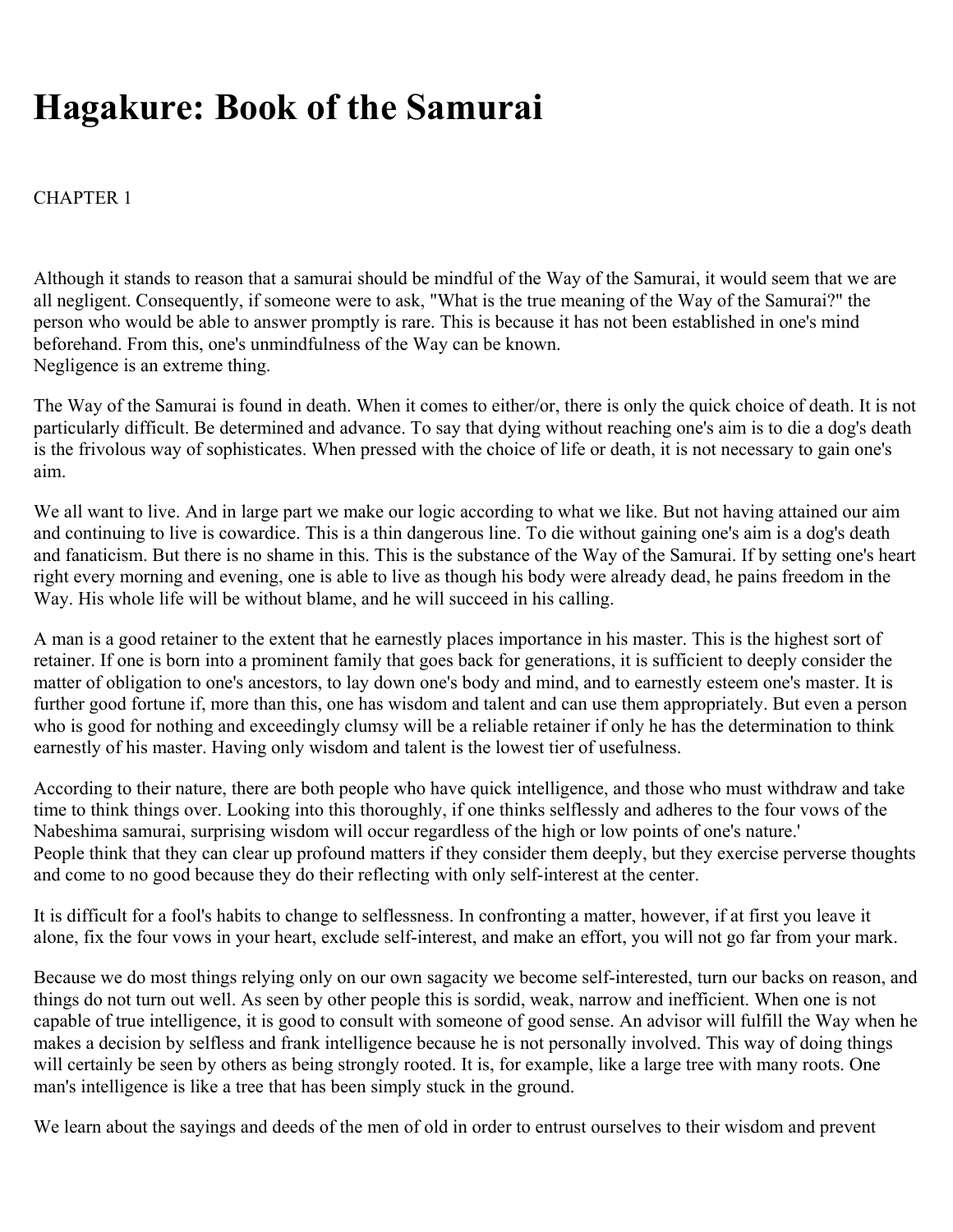# **Hagakure: Book of the Samurai**

#### CHAPTER 1

Although it stands to reason that a samurai should be mindful of the Way of the Samurai, it would seem that we are all negligent. Consequently, if someone were to ask, "What is the true meaning of the Way of the Samurai?" the person who would be able to answer promptly is rare. This is because it has not been established in one's mind beforehand. From this, one's unmindfulness of the Way can be known. Negligence is an extreme thing.

The Way of the Samurai is found in death. When it comes to either/or, there is only the quick choice of death. It is not particularly difficult. Be determined and advance. To say that dying without reaching one's aim is to die a dog's death is the frivolous way of sophisticates. When pressed with the choice of life or death, it is not necessary to gain one's aim.

We all want to live. And in large part we make our logic according to what we like. But not having attained our aim and continuing to live is cowardice. This is a thin dangerous line. To die without gaining one's aim is a dog's death and fanaticism. But there is no shame in this. This is the substance of the Way of the Samurai. If by setting one's heart right every morning and evening, one is able to live as though his body were already dead, he pains freedom in the Way. His whole life will be without blame, and he will succeed in his calling.

A man is a good retainer to the extent that he earnestly places importance in his master. This is the highest sort of retainer. If one is born into a prominent family that goes back for generations, it is sufficient to deeply consider the matter of obligation to one's ancestors, to lay down one's body and mind, and to earnestly esteem one's master. It is further good fortune if, more than this, one has wisdom and talent and can use them appropriately. But even a person who is good for nothing and exceedingly clumsy will be a reliable retainer if only he has the determination to think earnestly of his master. Having only wisdom and talent is the lowest tier of usefulness.

According to their nature, there are both people who have quick intelligence, and those who must withdraw and take time to think things over. Looking into this thoroughly, if one thinks selflessly and adheres to the four vows of the Nabeshima samurai, surprising wisdom will occur regardless of the high or low points of one's nature.' People think that they can clear up profound matters if they consider them deeply, but they exercise perverse thoughts and come to no good because they do their reflecting with only self-interest at the center.

It is difficult for a fool's habits to change to selflessness. In confronting a matter, however, if at first you leave it alone, fix the four vows in your heart, exclude self-interest, and make an effort, you will not go far from your mark.

Because we do most things relying only on our own sagacity we become self-interested, turn our backs on reason, and things do not turn out well. As seen by other people this is sordid, weak, narrow and inefficient. When one is not capable of true intelligence, it is good to consult with someone of good sense. An advisor will fulfill the Way when he makes a decision by selfless and frank intelligence because he is not personally involved. This way of doing things will certainly be seen by others as being strongly rooted. It is, for example, like a large tree with many roots. One man's intelligence is like a tree that has been simply stuck in the ground.

We learn about the sayings and deeds of the men of old in order to entrust ourselves to their wisdom and prevent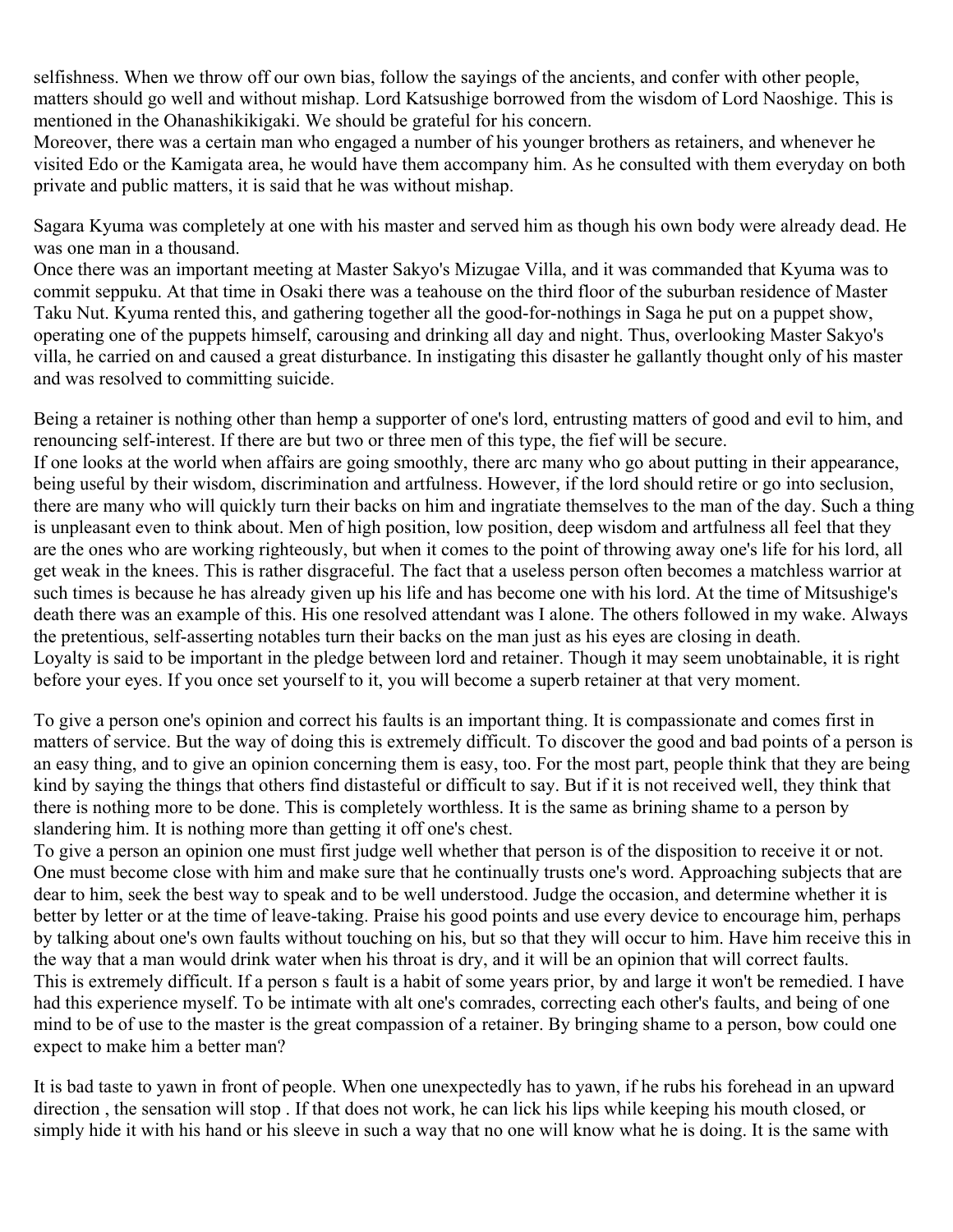selfishness. When we throw off our own bias, follow the sayings of the ancients, and confer with other people, matters should go well and without mishap. Lord Katsushige borrowed from the wisdom of Lord Naoshige. This is mentioned in the Ohanashikikigaki. We should be grateful for his concern.

Moreover, there was a certain man who engaged a number of his younger brothers as retainers, and whenever he visited Edo or the Kamigata area, he would have them accompany him. As he consulted with them everyday on both private and public matters, it is said that he was without mishap.

Sagara Kyuma was completely at one with his master and served him as though his own body were already dead. He was one man in a thousand.

Once there was an important meeting at Master Sakyo's Mizugae Villa, and it was commanded that Kyuma was to commit seppuku. At that time in Osaki there was a teahouse on the third floor of the suburban residence of Master Taku Nut. Kyuma rented this, and gathering together all the good-for-nothings in Saga he put on a puppet show, operating one of the puppets himself, carousing and drinking all day and night. Thus, overlooking Master Sakyo's villa, he carried on and caused a great disturbance. In instigating this disaster he gallantly thought only of his master and was resolved to committing suicide.

Being a retainer is nothing other than hemp a supporter of one's lord, entrusting matters of good and evil to him, and renouncing self-interest. If there are but two or three men of this type, the fief will be secure. If one looks at the world when affairs are going smoothly, there arc many who go about putting in their appearance, being useful by their wisdom, discrimination and artfulness. However, if the lord should retire or go into seclusion, there are many who will quickly turn their backs on him and ingratiate themselves to the man of the day. Such a thing is unpleasant even to think about. Men of high position, low position, deep wisdom and artfulness all feel that they are the ones who are working righteously, but when it comes to the point of throwing away one's life for his lord, all get weak in the knees. This is rather disgraceful. The fact that a useless person often becomes a matchless warrior at such times is because he has already given up his life and has become one with his lord. At the time of Mitsushige's death there was an example of this. His one resolved attendant was I alone. The others followed in my wake. Always the pretentious, self-asserting notables turn their backs on the man just as his eyes are closing in death.

Loyalty is said to be important in the pledge between lord and retainer. Though it may seem unobtainable, it is right before your eyes. If you once set yourself to it, you will become a superb retainer at that very moment.

To give a person one's opinion and correct his faults is an important thing. It is compassionate and comes first in matters of service. But the way of doing this is extremely difficult. To discover the good and bad points of a person is an easy thing, and to give an opinion concerning them is easy, too. For the most part, people think that they are being kind by saying the things that others find distasteful or difficult to say. But if it is not received well, they think that there is nothing more to be done. This is completely worthless. It is the same as brining shame to a person by slandering him. It is nothing more than getting it off one's chest.

To give a person an opinion one must first judge well whether that person is of the disposition to receive it or not. One must become close with him and make sure that he continually trusts one's word. Approaching subjects that are dear to him, seek the best way to speak and to be well understood. Judge the occasion, and determine whether it is better by letter or at the time of leave-taking. Praise his good points and use every device to encourage him, perhaps by talking about one's own faults without touching on his, but so that they will occur to him. Have him receive this in the way that a man would drink water when his throat is dry, and it will be an opinion that will correct faults. This is extremely difficult. If a person s fault is a habit of some years prior, by and large it won't be remedied. I have had this experience myself. To be intimate with alt one's comrades, correcting each other's faults, and being of one mind to be of use to the master is the great compassion of a retainer. By bringing shame to a person, bow could one expect to make him a better man?

It is bad taste to yawn in front of people. When one unexpectedly has to yawn, if he rubs his forehead in an upward direction , the sensation will stop . If that does not work, he can lick his lips while keeping his mouth closed, or simply hide it with his hand or his sleeve in such a way that no one will know what he is doing. It is the same with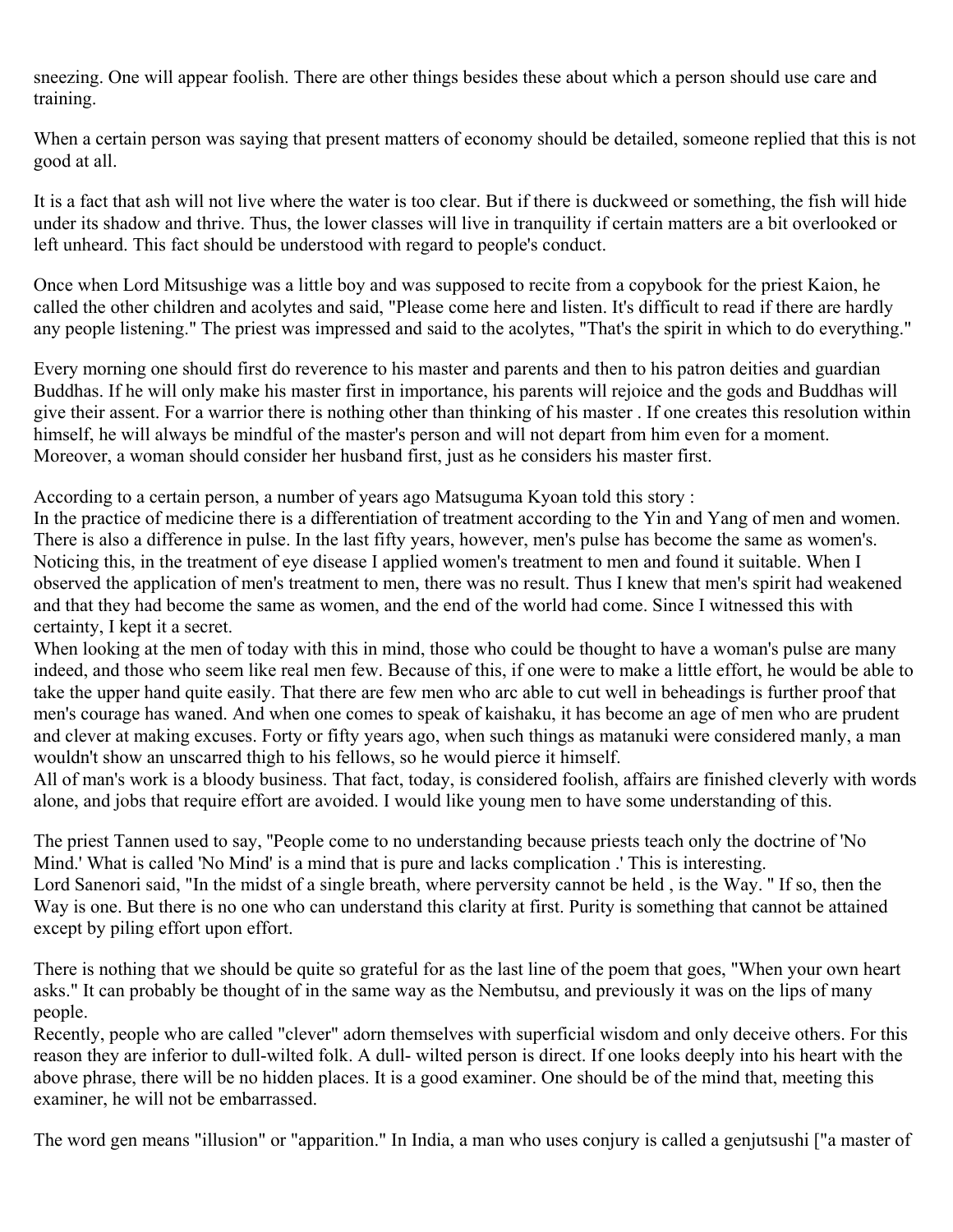sneezing. One will appear foolish. There are other things besides these about which a person should use care and training.

When a certain person was saying that present matters of economy should be detailed, someone replied that this is not good at all.

It is a fact that ash will not live where the water is too clear. But if there is duckweed or something, the fish will hide under its shadow and thrive. Thus, the lower classes will live in tranquility if certain matters are a bit overlooked or left unheard. This fact should be understood with regard to people's conduct.

Once when Lord Mitsushige was a little boy and was supposed to recite from a copybook for the priest Kaion, he called the other children and acolytes and said, "Please come here and listen. It's difficult to read if there are hardly any people listening." The priest was impressed and said to the acolytes, "That's the spirit in which to do everything."

Every morning one should first do reverence to his master and parents and then to his patron deities and guardian Buddhas. If he will only make his master first in importance, his parents will rejoice and the gods and Buddhas will give their assent. For a warrior there is nothing other than thinking of his master . If one creates this resolution within himself, he will always be mindful of the master's person and will not depart from him even for a moment. Moreover, a woman should consider her husband first, just as he considers his master first.

According to a certain person, a number of years ago Matsuguma Kyoan told this story :

In the practice of medicine there is a differentiation of treatment according to the Yin and Yang of men and women. There is also a difference in pulse. In the last fifty years, however, men's pulse has become the same as women's. Noticing this, in the treatment of eye disease I applied women's treatment to men and found it suitable. When I observed the application of men's treatment to men, there was no result. Thus I knew that men's spirit had weakened and that they had become the same as women, and the end of the world had come. Since I witnessed this with certainty, I kept it a secret.

When looking at the men of today with this in mind, those who could be thought to have a woman's pulse are many indeed, and those who seem like real men few. Because of this, if one were to make a little effort, he would be able to take the upper hand quite easily. That there are few men who arc able to cut well in beheadings is further proof that men's courage has waned. And when one comes to speak of kaishaku, it has become an age of men who are prudent and clever at making excuses. Forty or fifty years ago, when such things as matanuki were considered manly, a man wouldn't show an unscarred thigh to his fellows, so he would pierce it himself.

All of man's work is a bloody business. That fact, today, is considered foolish, affairs are finished cleverly with words alone, and jobs that require effort are avoided. I would like young men to have some understanding of this.

The priest Tannen used to say, ''People come to no understanding because priests teach only the doctrine of 'No Mind.' What is called 'No Mind' is a mind that is pure and lacks complication .' This is interesting.

Lord Sanenori said, "In the midst of a single breath, where perversity cannot be held , is the Way. '' If so, then the Way is one. But there is no one who can understand this clarity at first. Purity is something that cannot be attained except by piling effort upon effort.

There is nothing that we should be quite so grateful for as the last line of the poem that goes, "When your own heart asks." It can probably be thought of in the same way as the Nembutsu, and previously it was on the lips of many people.

Recently, people who are called "clever" adorn themselves with superficial wisdom and only deceive others. For this reason they are inferior to dull-wilted folk. A dull- wilted person is direct. If one looks deeply into his heart with the above phrase, there will be no hidden places. It is a good examiner. One should be of the mind that, meeting this examiner, he will not be embarrassed.

The word gen means "illusion" or "apparition." In India, a man who uses conjury is called a genjutsushi ["a master of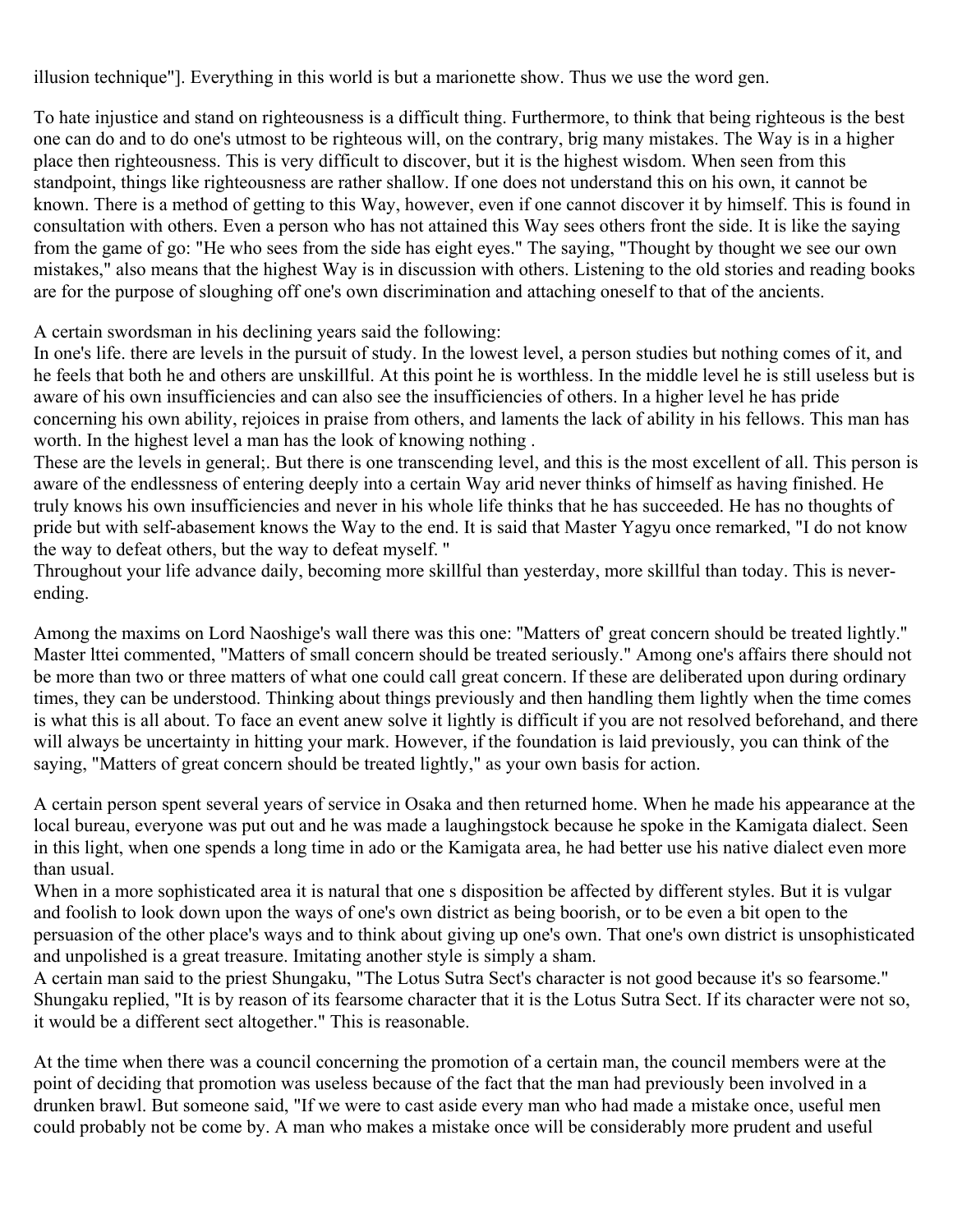illusion technique"]. Everything in this world is but a marionette show. Thus we use the word gen.

To hate injustice and stand on righteousness is a difficult thing. Furthermore, to think that being righteous is the best one can do and to do one's utmost to be righteous will, on the contrary, brig many mistakes. The Way is in a higher place then righteousness. This is very difficult to discover, but it is the highest wisdom. When seen from this standpoint, things like righteousness are rather shallow. If one does not understand this on his own, it cannot be known. There is a method of getting to this Way, however, even if one cannot discover it by himself. This is found in consultation with others. Even a person who has not attained this Way sees others front the side. It is like the saying from the game of go: "He who sees from the side has eight eyes." The saying, "Thought by thought we see our own mistakes," also means that the highest Way is in discussion with others. Listening to the old stories and reading books are for the purpose of sloughing off one's own discrimination and attaching oneself to that of the ancients.

A certain swordsman in his declining years said the following:

In one's life. there are levels in the pursuit of study. In the lowest level, a person studies but nothing comes of it, and he feels that both he and others are unskillful. At this point he is worthless. In the middle level he is still useless but is aware of his own insufficiencies and can also see the insufficiencies of others. In a higher level he has pride concerning his own ability, rejoices in praise from others, and laments the lack of ability in his fellows. This man has worth. In the highest level a man has the look of knowing nothing .

These are the levels in general;. But there is one transcending level, and this is the most excellent of all. This person is aware of the endlessness of entering deeply into a certain Way arid never thinks of himself as having finished. He truly knows his own insufficiencies and never in his whole life thinks that he has succeeded. He has no thoughts of pride but with self-abasement knows the Way to the end. It is said that Master Yagyu once remarked, "I do not know the way to defeat others, but the way to defeat myself. ''

Throughout your life advance daily, becoming more skillful than yesterday, more skillful than today. This is neverending.

Among the maxims on Lord Naoshige's wall there was this one: ''Matters of' great concern should be treated lightly.'' Master lttei commented, "Matters of small concern should be treated seriously." Among one's affairs there should not be more than two or three matters of what one could call great concern. If these are deliberated upon during ordinary times, they can be understood. Thinking about things previously and then handling them lightly when the time comes is what this is all about. To face an event anew solve it lightly is difficult if you are not resolved beforehand, and there will always be uncertainty in hitting your mark. However, if the foundation is laid previously, you can think of the saying, "Matters of great concern should be treated lightly," as your own basis for action.

A certain person spent several years of service in Osaka and then returned home. When he made his appearance at the local bureau, everyone was put out and he was made a laughingstock because he spoke in the Kamigata dialect. Seen in this light, when one spends a long time in ado or the Kamigata area, he had better use his native dialect even more than usual.

When in a more sophisticated area it is natural that one s disposition be affected by different styles. But it is vulgar and foolish to look down upon the ways of one's own district as being boorish, or to be even a bit open to the persuasion of the other place's ways and to think about giving up one's own. That one's own district is unsophisticated and unpolished is a great treasure. Imitating another style is simply a sham.

A certain man said to the priest Shungaku, "The Lotus Sutra Sect's character is not good because it's so fearsome." Shungaku replied, "It is by reason of its fearsome character that it is the Lotus Sutra Sect. If its character were not so, it would be a different sect altogether." This is reasonable.

At the time when there was a council concerning the promotion of a certain man, the council members were at the point of deciding that promotion was useless because of the fact that the man had previously been involved in a drunken brawl. But someone said, "If we were to cast aside every man who had made a mistake once, useful men could probably not be come by. A man who makes a mistake once will be considerably more prudent and useful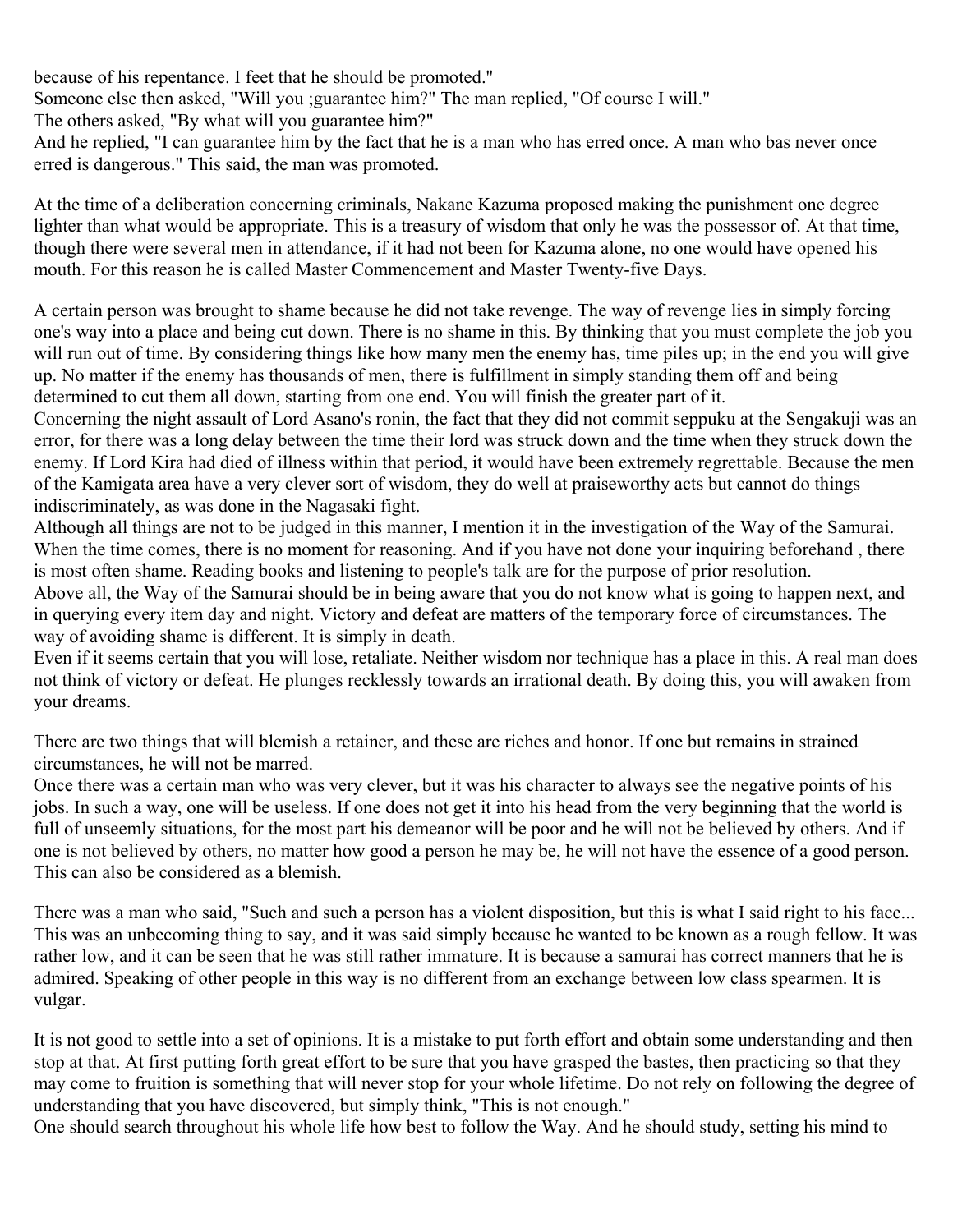because of his repentance. I feet that he should be promoted.'' Someone else then asked, "Will you ;guarantee him?" The man replied, "Of course I will." The others asked, "By what will you guarantee him?" And he replied, "I can guarantee him by the fact that he is a man who has erred once. A man who bas never once erred is dangerous." This said, the man was promoted.

At the time of a deliberation concerning criminals, Nakane Kazuma proposed making the punishment one degree lighter than what would be appropriate. This is a treasury of wisdom that only he was the possessor of. At that time, though there were several men in attendance, if it had not been for Kazuma alone, no one would have opened his mouth. For this reason he is called Master Commencement and Master Twenty-five Days.

A certain person was brought to shame because he did not take revenge. The way of revenge lies in simply forcing one's way into a place and being cut down. There is no shame in this. By thinking that you must complete the job you will run out of time. By considering things like how many men the enemy has, time piles up; in the end you will give up. No matter if the enemy has thousands of men, there is fulfillment in simply standing them off and being determined to cut them all down, starting from one end. You will finish the greater part of it.

Concerning the night assault of Lord Asano's ronin, the fact that they did not commit seppuku at the Sengakuji was an error, for there was a long delay between the time their lord was struck down and the time when they struck down the enemy. If Lord Kira had died of illness within that period, it would have been extremely regrettable. Because the men of the Kamigata area have a very clever sort of wisdom, they do well at praiseworthy acts but cannot do things indiscriminately, as was done in the Nagasaki fight.

Although all things are not to be judged in this manner, I mention it in the investigation of the Way of the Samurai. When the time comes, there is no moment for reasoning. And if you have not done your inquiring beforehand, there is most often shame. Reading books and listening to people's talk are for the purpose of prior resolution.

Above all, the Way of the Samurai should be in being aware that you do not know what is going to happen next, and in querying every item day and night. Victory and defeat are matters of the temporary force of circumstances. The way of avoiding shame is different. It is simply in death.

Even if it seems certain that you will lose, retaliate. Neither wisdom nor technique has a place in this. A real man does not think of victory or defeat. He plunges recklessly towards an irrational death. By doing this, you will awaken from your dreams.

There are two things that will blemish a retainer, and these are riches and honor. If one but remains in strained circumstances, he will not be marred.

Once there was a certain man who was very clever, but it was his character to always see the negative points of his jobs. In such a way, one will be useless. If one does not get it into his head from the very beginning that the world is full of unseemly situations, for the most part his demeanor will be poor and he will not be believed by others. And if one is not believed by others, no matter how good a person he may be, he will not have the essence of a good person. This can also be considered as a blemish.

There was a man who said, "Such and such a person has a violent disposition, but this is what I said right to his face... This was an unbecoming thing to say, and it was said simply because he wanted to be known as a rough fellow. It was rather low, and it can be seen that he was still rather immature. It is because a samurai has correct manners that he is admired. Speaking of other people in this way is no different from an exchange between low class spearmen. It is vulgar.

It is not good to settle into a set of opinions. It is a mistake to put forth effort and obtain some understanding and then stop at that. At first putting forth great effort to be sure that you have grasped the bastes, then practicing so that they may come to fruition is something that will never stop for your whole lifetime. Do not rely on following the degree of understanding that you have discovered, but simply think, "This is not enough."

One should search throughout his whole life how best to follow the Way. And he should study, setting his mind to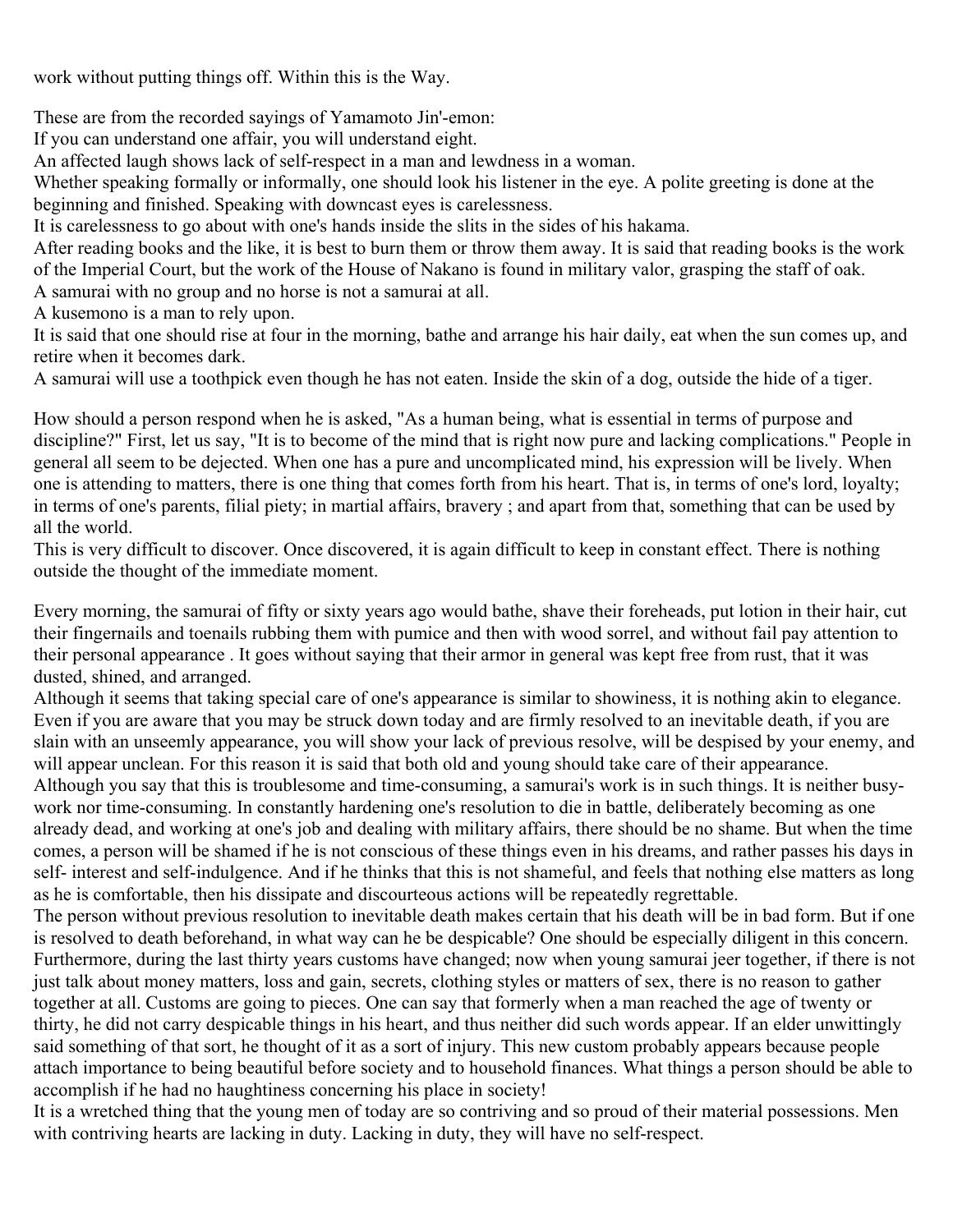work without putting things off. Within this is the Way.

These are from the recorded sayings of Yamamoto Jin'-emon:

If you can understand one affair, you will understand eight.

An affected laugh shows lack of self-respect in a man and lewdness in a woman.

Whether speaking formally or informally, one should look his listener in the eye. A polite greeting is done at the beginning and finished. Speaking with downcast eyes is carelessness.

It is carelessness to go about with one's hands inside the slits in the sides of his hakama.

After reading books and the like, it is best to burn them or throw them away. It is said that reading books is the work of the Imperial Court, but the work of the House of Nakano is found in military valor, grasping the staff of oak.

A samurai with no group and no horse is not a samurai at all.

A kusemono is a man to rely upon.

It is said that one should rise at four in the morning, bathe and arrange his hair daily, eat when the sun comes up, and retire when it becomes dark.

A samurai will use a toothpick even though he has not eaten. Inside the skin of a dog, outside the hide of a tiger.

How should a person respond when he is asked, "As a human being, what is essential in terms of purpose and discipline?" First, let us say, "It is to become of the mind that is right now pure and lacking complications." People in general all seem to be dejected. When one has a pure and uncomplicated mind, his expression will be lively. When one is attending to matters, there is one thing that comes forth from his heart. That is, in terms of one's lord, loyalty; in terms of one's parents, filial piety; in martial affairs, bravery ; and apart from that, something that can be used by all the world.

This is very difficult to discover. Once discovered, it is again difficult to keep in constant effect. There is nothing outside the thought of the immediate moment.

Every morning, the samurai of fifty or sixty years ago would bathe, shave their foreheads, put lotion in their hair, cut their fingernails and toenails rubbing them with pumice and then with wood sorrel, and without fail pay attention to their personal appearance . It goes without saying that their armor in general was kept free from rust, that it was dusted, shined, and arranged.

Although it seems that taking special care of one's appearance is similar to showiness, it is nothing akin to elegance. Even if you are aware that you may be struck down today and are firmly resolved to an inevitable death, if you are slain with an unseemly appearance, you will show your lack of previous resolve, will be despised by your enemy, and will appear unclean. For this reason it is said that both old and young should take care of their appearance.

Although you say that this is troublesome and time-consuming, a samurai's work is in such things. It is neither busywork nor time-consuming. In constantly hardening one's resolution to die in battle, deliberately becoming as one already dead, and working at one's job and dealing with military affairs, there should be no shame. But when the time comes, a person will be shamed if he is not conscious of these things even in his dreams, and rather passes his days in self- interest and self-indulgence. And if he thinks that this is not shameful, and feels that nothing else matters as long as he is comfortable, then his dissipate and discourteous actions will be repeatedly regrettable.

The person without previous resolution to inevitable death makes certain that his death will be in bad form. But if one is resolved to death beforehand, in what way can he be despicable? One should be especially diligent in this concern. Furthermore, during the last thirty years customs have changed; now when young samurai jeer together, if there is not just talk about money matters, loss and gain, secrets, clothing styles or matters of sex, there is no reason to gather together at all. Customs are going to pieces. One can say that formerly when a man reached the age of twenty or thirty, he did not carry despicable things in his heart, and thus neither did such words appear. If an elder unwittingly said something of that sort, he thought of it as a sort of injury. This new custom probably appears because people attach importance to being beautiful before society and to household finances. What things a person should be able to accomplish if he had no haughtiness concerning his place in society!

It is a wretched thing that the young men of today are so contriving and so proud of their material possessions. Men with contriving hearts are lacking in duty. Lacking in duty, they will have no self-respect.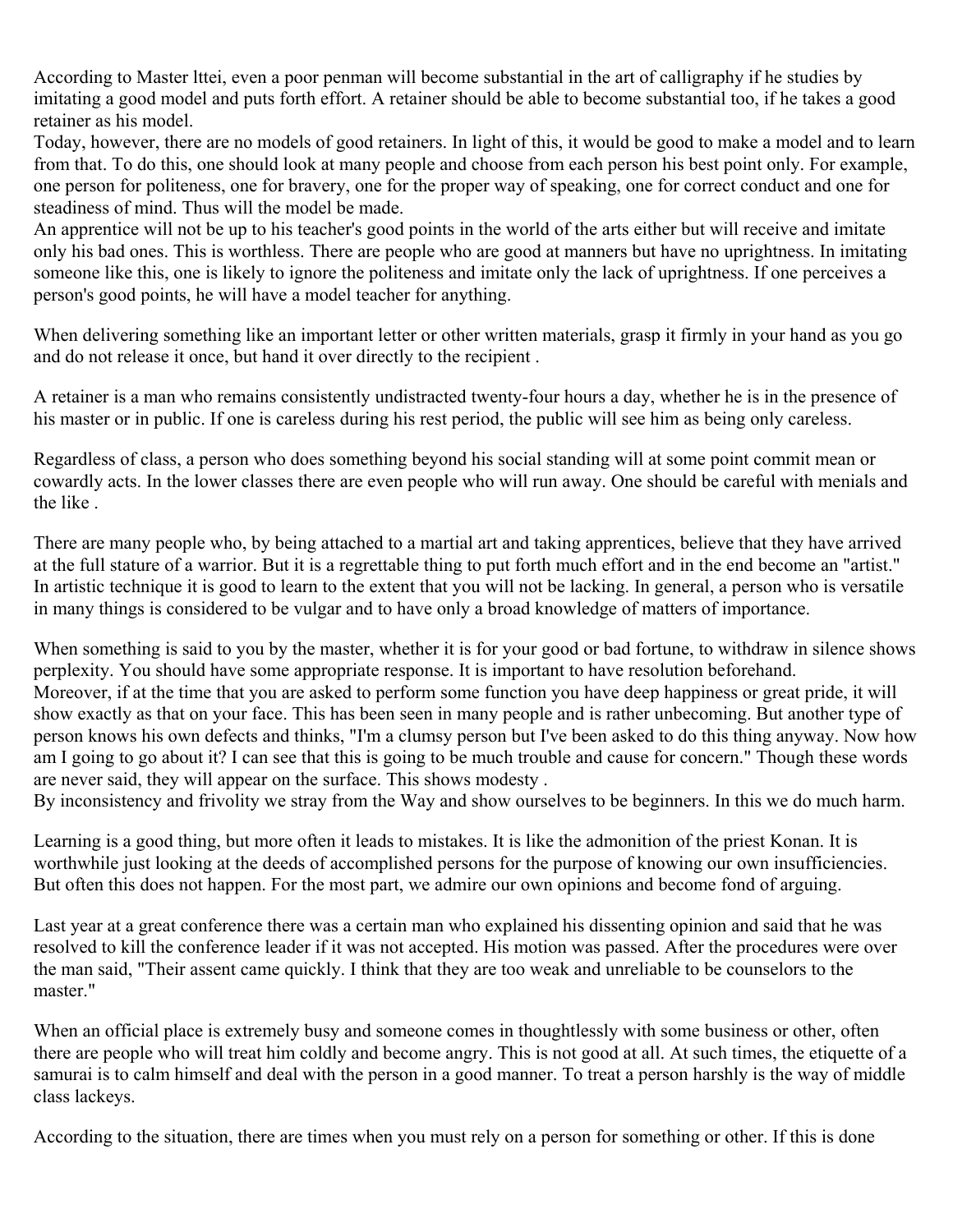According to Master lttei, even a poor penman will become substantial in the art of calligraphy if he studies by imitating a good model and puts forth effort. A retainer should be able to become substantial too, if he takes a good retainer as his model.

Today, however, there are no models of good retainers. In light of this, it would be good to make a model and to learn from that. To do this, one should look at many people and choose from each person his best point only. For example, one person for politeness, one for bravery, one for the proper way of speaking, one for correct conduct and one for steadiness of mind. Thus will the model be made.

An apprentice will not be up to his teacher's good points in the world of the arts either but will receive and imitate only his bad ones. This is worthless. There are people who are good at manners but have no uprightness. In imitating someone like this, one is likely to ignore the politeness and imitate only the lack of uprightness. If one perceives a person's good points, he will have a model teacher for anything.

When delivering something like an important letter or other written materials, grasp it firmly in your hand as you go and do not release it once, but hand it over directly to the recipient .

A retainer is a man who remains consistently undistracted twenty-four hours a day, whether he is in the presence of his master or in public. If one is careless during his rest period, the public will see him as being only careless.

Regardless of class, a person who does something beyond his social standing will at some point commit mean or cowardly acts. In the lower classes there are even people who will run away. One should be careful with menials and the like .

There are many people who, by being attached to a martial art and taking apprentices, believe that they have arrived at the full stature of a warrior. But it is a regrettable thing to put forth much effort and in the end become an "artist." In artistic technique it is good to learn to the extent that you will not be lacking. In general, a person who is versatile in many things is considered to be vulgar and to have only a broad knowledge of matters of importance.

When something is said to you by the master, whether it is for your good or bad fortune, to withdraw in silence shows perplexity. You should have some appropriate response. It is important to have resolution beforehand. Moreover, if at the time that you are asked to perform some function you have deep happiness or great pride, it will show exactly as that on your face. This has been seen in many people and is rather unbecoming. But another type of person knows his own defects and thinks, "I'm a clumsy person but I've been asked to do this thing anyway. Now how am I going to go about it? I can see that this is going to be much trouble and cause for concern." Though these words are never said, they will appear on the surface. This shows modesty .

By inconsistency and frivolity we stray from the Way and show ourselves to be beginners. In this we do much harm.

Learning is a good thing, but more often it leads to mistakes. It is like the admonition of the priest Konan. It is worthwhile just looking at the deeds of accomplished persons for the purpose of knowing our own insufficiencies. But often this does not happen. For the most part, we admire our own opinions and become fond of arguing.

Last year at a great conference there was a certain man who explained his dissenting opinion and said that he was resolved to kill the conference leader if it was not accepted. His motion was passed. After the procedures were over the man said, "Their assent came quickly. I think that they are too weak and unreliable to be counselors to the master."

When an official place is extremely busy and someone comes in thoughtlessly with some business or other, often there are people who will treat him coldly and become angry. This is not good at all. At such times, the etiquette of a samurai is to calm himself and deal with the person in a good manner. To treat a person harshly is the way of middle class lackeys.

According to the situation, there are times when you must rely on a person for something or other. If this is done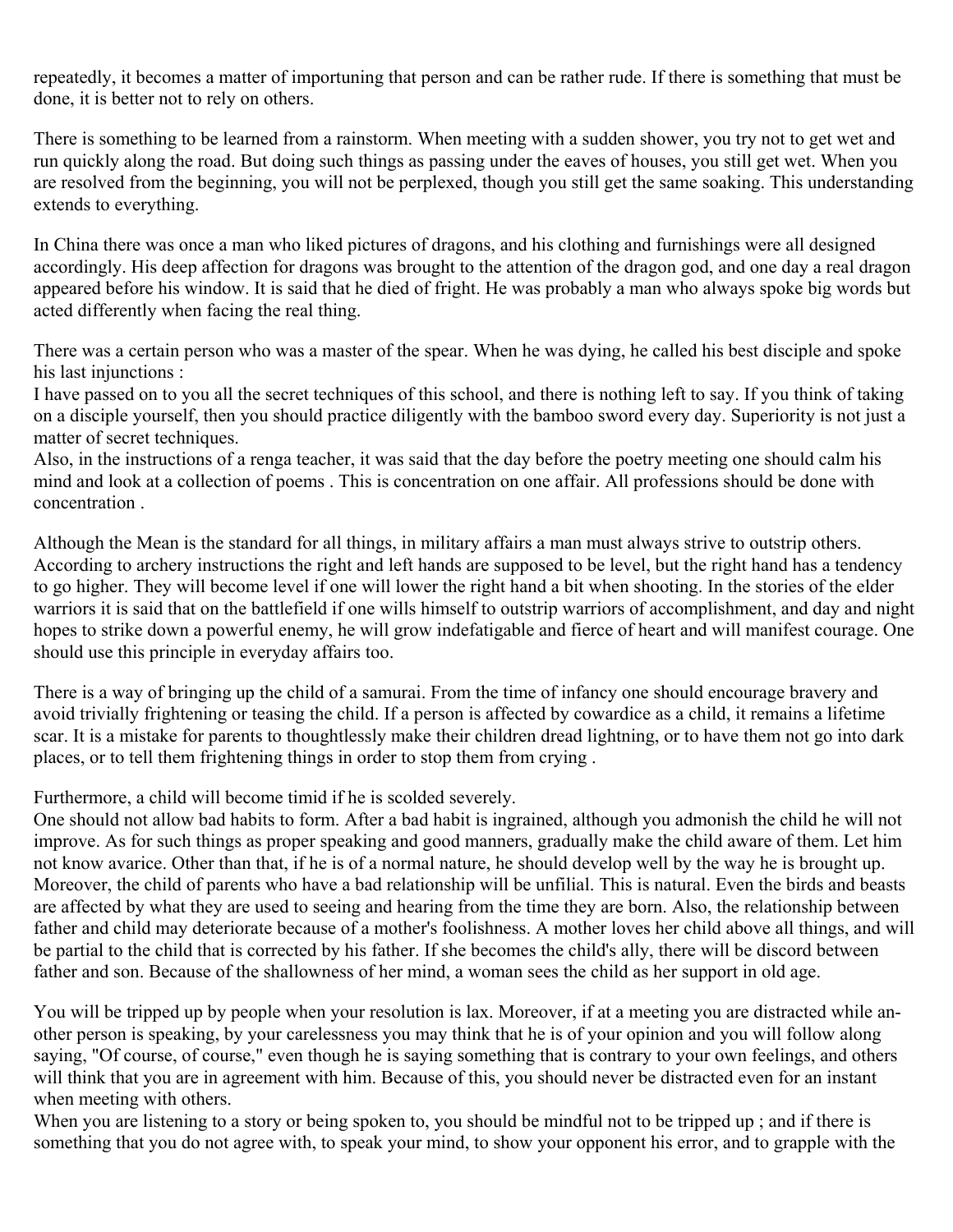repeatedly, it becomes a matter of importuning that person and can be rather rude. If there is something that must be done, it is better not to rely on others.

There is something to be learned from a rainstorm. When meeting with a sudden shower, you try not to get wet and run quickly along the road. But doing such things as passing under the eaves of houses, you still get wet. When you are resolved from the beginning, you will not be perplexed, though you still get the same soaking. This understanding extends to everything.

In China there was once a man who liked pictures of dragons, and his clothing and furnishings were all designed accordingly. His deep affection for dragons was brought to the attention of the dragon god, and one day a real dragon appeared before his window. It is said that he died of fright. He was probably a man who always spoke big words but acted differently when facing the real thing.

There was a certain person who was a master of the spear. When he was dying, he called his best disciple and spoke his last injunctions :

I have passed on to you all the secret techniques of this school, and there is nothing left to say. If you think of taking on a disciple yourself, then you should practice diligently with the bamboo sword every day. Superiority is not just a matter of secret techniques.

Also, in the instructions of a renga teacher, it was said that the day before the poetry meeting one should calm his mind and look at a collection of poems . This is concentration on one affair. All professions should be done with concentration .

Although the Mean is the standard for all things, in military affairs a man must always strive to outstrip others. According to archery instructions the right and left hands are supposed to be level, but the right hand has a tendency to go higher. They will become level if one will lower the right hand a bit when shooting. In the stories of the elder warriors it is said that on the battlefield if one wills himself to outstrip warriors of accomplishment, and day and night hopes to strike down a powerful enemy, he will grow indefatigable and fierce of heart and will manifest courage. One should use this principle in everyday affairs too.

There is a way of bringing up the child of a samurai. From the time of infancy one should encourage bravery and avoid trivially frightening or teasing the child. If a person is affected by cowardice as a child, it remains a lifetime scar. It is a mistake for parents to thoughtlessly make their children dread lightning, or to have them not go into dark places, or to tell them frightening things in order to stop them from crying .

Furthermore, a child will become timid if he is scolded severely.

One should not allow bad habits to form. After a bad habit is ingrained, although you admonish the child he will not improve. As for such things as proper speaking and good manners, gradually make the child aware of them. Let him not know avarice. Other than that, if he is of a normal nature, he should develop well by the way he is brought up. Moreover, the child of parents who have a bad relationship will be unfilial. This is natural. Even the birds and beasts are affected by what they are used to seeing and hearing from the time they are born. Also, the relationship between father and child may deteriorate because of a mother's foolishness. A mother loves her child above all things, and will be partial to the child that is corrected by his father. If she becomes the child's ally, there will be discord between father and son. Because of the shallowness of her mind, a woman sees the child as her support in old age.

You will be tripped up by people when your resolution is lax. Moreover, if at a meeting you are distracted while another person is speaking, by your carelessness you may think that he is of your opinion and you will follow along saying, "Of course, of course," even though he is saying something that is contrary to your own feelings, and others will think that you are in agreement with him. Because of this, you should never be distracted even for an instant when meeting with others.

When you are listening to a story or being spoken to, you should be mindful not to be tripped up ; and if there is something that you do not agree with, to speak your mind, to show your opponent his error, and to grapple with the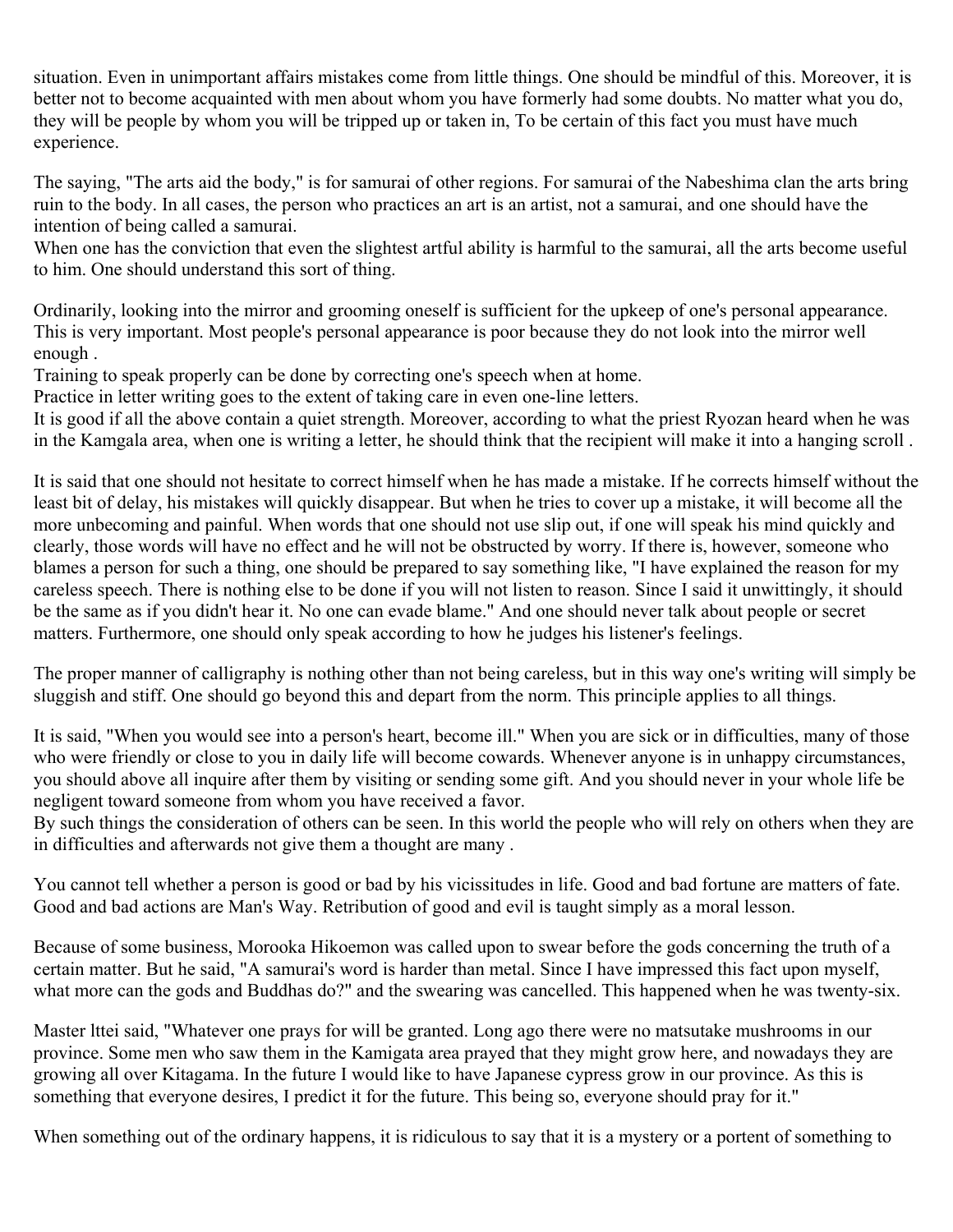situation. Even in unimportant affairs mistakes come from little things. One should be mindful of this. Moreover, it is better not to become acquainted with men about whom you have formerly had some doubts. No matter what you do, they will be people by whom you will be tripped up or taken in, To be certain of this fact you must have much experience.

The saying, "The arts aid the body," is for samurai of other regions. For samurai of the Nabeshima clan the arts bring ruin to the body. In all cases, the person who practices an art is an artist, not a samurai, and one should have the intention of being called a samurai.

When one has the conviction that even the slightest artful ability is harmful to the samurai, all the arts become useful to him. One should understand this sort of thing.

Ordinarily, looking into the mirror and grooming oneself is sufficient for the upkeep of one's personal appearance. This is very important. Most people's personal appearance is poor because they do not look into the mirror well enough .

Training to speak properly can be done by correcting one's speech when at home.

Practice in letter writing goes to the extent of taking care in even one-line letters.

It is good if all the above contain a quiet strength. Moreover, according to what the priest Ryozan heard when he was in the Kamgala area, when one is writing a letter, he should think that the recipient will make it into a hanging scroll .

It is said that one should not hesitate to correct himself when he has made a mistake. If he corrects himself without the least bit of delay, his mistakes will quickly disappear. But when he tries to cover up a mistake, it will become all the more unbecoming and painful. When words that one should not use slip out, if one will speak his mind quickly and clearly, those words will have no effect and he will not be obstructed by worry. If there is, however, someone who blames a person for such a thing, one should be prepared to say something like, "I have explained the reason for my careless speech. There is nothing else to be done if you will not listen to reason. Since I said it unwittingly, it should be the same as if you didn't hear it. No one can evade blame." And one should never talk about people or secret matters. Furthermore, one should only speak according to how he judges his listener's feelings.

The proper manner of calligraphy is nothing other than not being careless, but in this way one's writing will simply be sluggish and stiff. One should go beyond this and depart from the norm. This principle applies to all things.

It is said, "When you would see into a person's heart, become ill." When you are sick or in difficulties, many of those who were friendly or close to you in daily life will become cowards. Whenever anyone is in unhappy circumstances, you should above all inquire after them by visiting or sending some gift. And you should never in your whole life be negligent toward someone from whom you have received a favor.

By such things the consideration of others can be seen. In this world the people who will rely on others when they are in difficulties and afterwards not give them a thought are many .

You cannot tell whether a person is good or bad by his vicissitudes in life. Good and bad fortune are matters of fate. Good and bad actions are Man's Way. Retribution of good and evil is taught simply as a moral lesson.

Because of some business, Morooka Hikoemon was called upon to swear before the gods concerning the truth of a certain matter. But he said, "A samurai's word is harder than metal. Since I have impressed this fact upon myself, what more can the gods and Buddhas do?" and the swearing was cancelled. This happened when he was twenty-six.

Master lttei said, "Whatever one prays for will be granted. Long ago there were no matsutake mushrooms in our province. Some men who saw them in the Kamigata area prayed that they might grow here, and nowadays they are growing all over Kitagama. In the future I would like to have Japanese cypress grow in our province. As this is something that everyone desires, I predict it for the future. This being so, everyone should pray for it."

When something out of the ordinary happens, it is ridiculous to say that it is a mystery or a portent of something to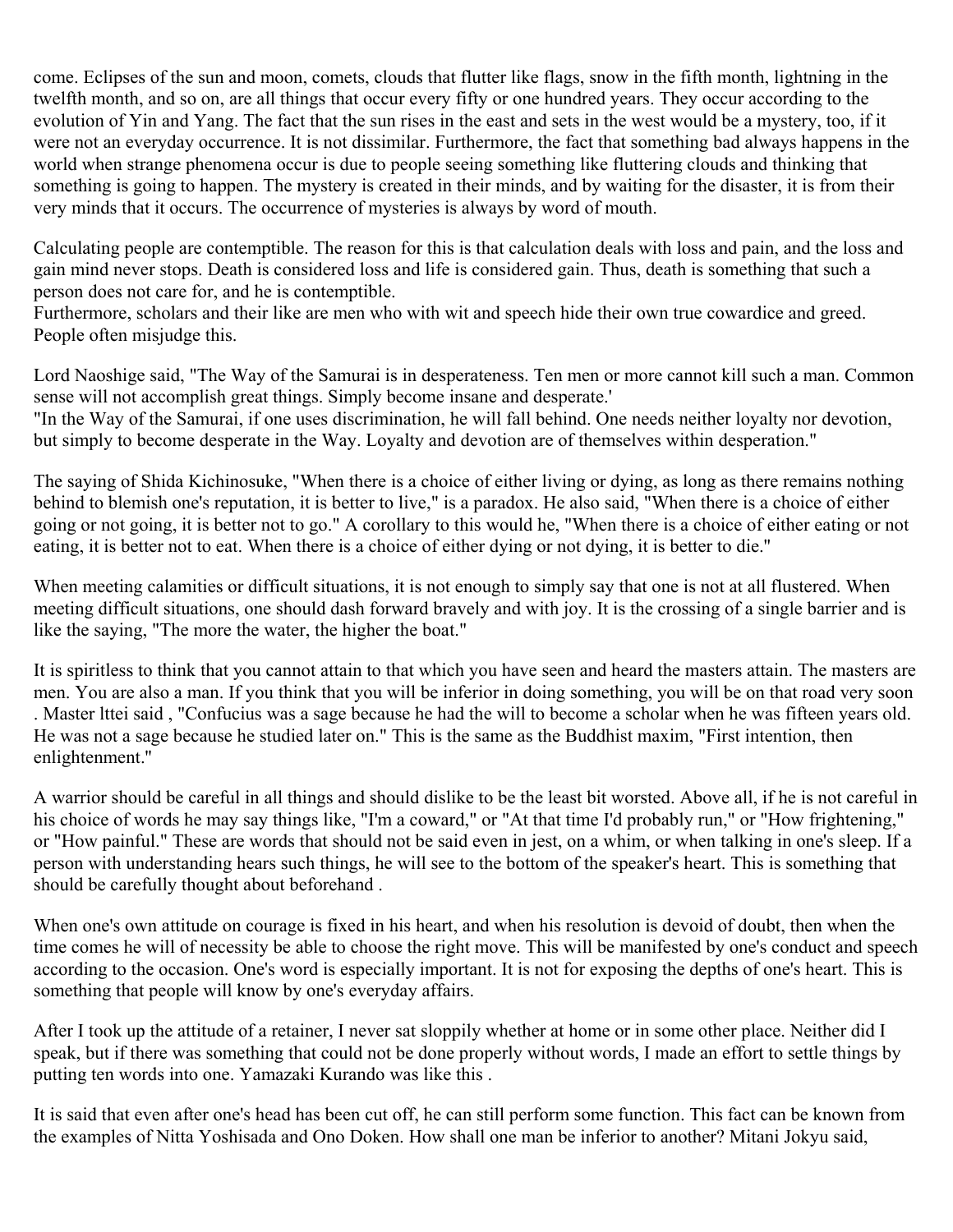come. Eclipses of the sun and moon, comets, clouds that flutter like flags, snow in the fifth month, lightning in the twelfth month, and so on, are all things that occur every fifty or one hundred years. They occur according to the evolution of Yin and Yang. The fact that the sun rises in the east and sets in the west would be a mystery, too, if it were not an everyday occurrence. It is not dissimilar. Furthermore, the fact that something bad always happens in the world when strange phenomena occur is due to people seeing something like fluttering clouds and thinking that something is going to happen. The mystery is created in their minds, and by waiting for the disaster, it is from their very minds that it occurs. The occurrence of mysteries is always by word of mouth.

Calculating people are contemptible. The reason for this is that calculation deals with loss and pain, and the loss and gain mind never stops. Death is considered loss and life is considered gain. Thus, death is something that such a person does not care for, and he is contemptible.

Furthermore, scholars and their like are men who with wit and speech hide their own true cowardice and greed. People often misjudge this.

Lord Naoshige said, "The Way of the Samurai is in desperateness. Ten men or more cannot kill such a man. Common sense will not accomplish great things. Simply become insane and desperate.'

"In the Way of the Samurai, if one uses discrimination, he will fall behind. One needs neither loyalty nor devotion, but simply to become desperate in the Way. Loyalty and devotion are of themselves within desperation."

The saying of Shida Kichinosuke, "When there is a choice of either living or dying, as long as there remains nothing behind to blemish one's reputation, it is better to live," is a paradox. He also said, "When there is a choice of either going or not going, it is better not to go." A corollary to this would he, "When there is a choice of either eating or not eating, it is better not to eat. When there is a choice of either dying or not dying, it is better to die.''

When meeting calamities or difficult situations, it is not enough to simply say that one is not at all flustered. When meeting difficult situations, one should dash forward bravely and with joy. It is the crossing of a single barrier and is like the saying, "The more the water, the higher the boat."

It is spiritless to think that you cannot attain to that which you have seen and heard the masters attain. The masters are men. You are also a man. If you think that you will be inferior in doing something, you will be on that road very soon . Master lttei said , "Confucius was a sage because he had the will to become a scholar when he was fifteen years old. He was not a sage because he studied later on." This is the same as the Buddhist maxim, "First intention, then enlightenment.''

A warrior should be careful in all things and should dislike to be the least bit worsted. Above all, if he is not careful in his choice of words he may say things like, "I'm a coward," or "At that time I'd probably run," or "How frightening," or "How painful." These are words that should not be said even in jest, on a whim, or when talking in one's sleep. If a person with understanding hears such things, he will see to the bottom of the speaker's heart. This is something that should be carefully thought about beforehand .

When one's own attitude on courage is fixed in his heart, and when his resolution is devoid of doubt, then when the time comes he will of necessity be able to choose the right move. This will be manifested by one's conduct and speech according to the occasion. One's word is especially important. It is not for exposing the depths of one's heart. This is something that people will know by one's everyday affairs.

After I took up the attitude of a retainer, I never sat sloppily whether at home or in some other place. Neither did I speak, but if there was something that could not be done properly without words, I made an effort to settle things by putting ten words into one. Yamazaki Kurando was like this .

It is said that even after one's head has been cut off, he can still perform some function. This fact can be known from the examples of Nitta Yoshisada and Ono Doken. How shall one man be inferior to another? Mitani Jokyu said,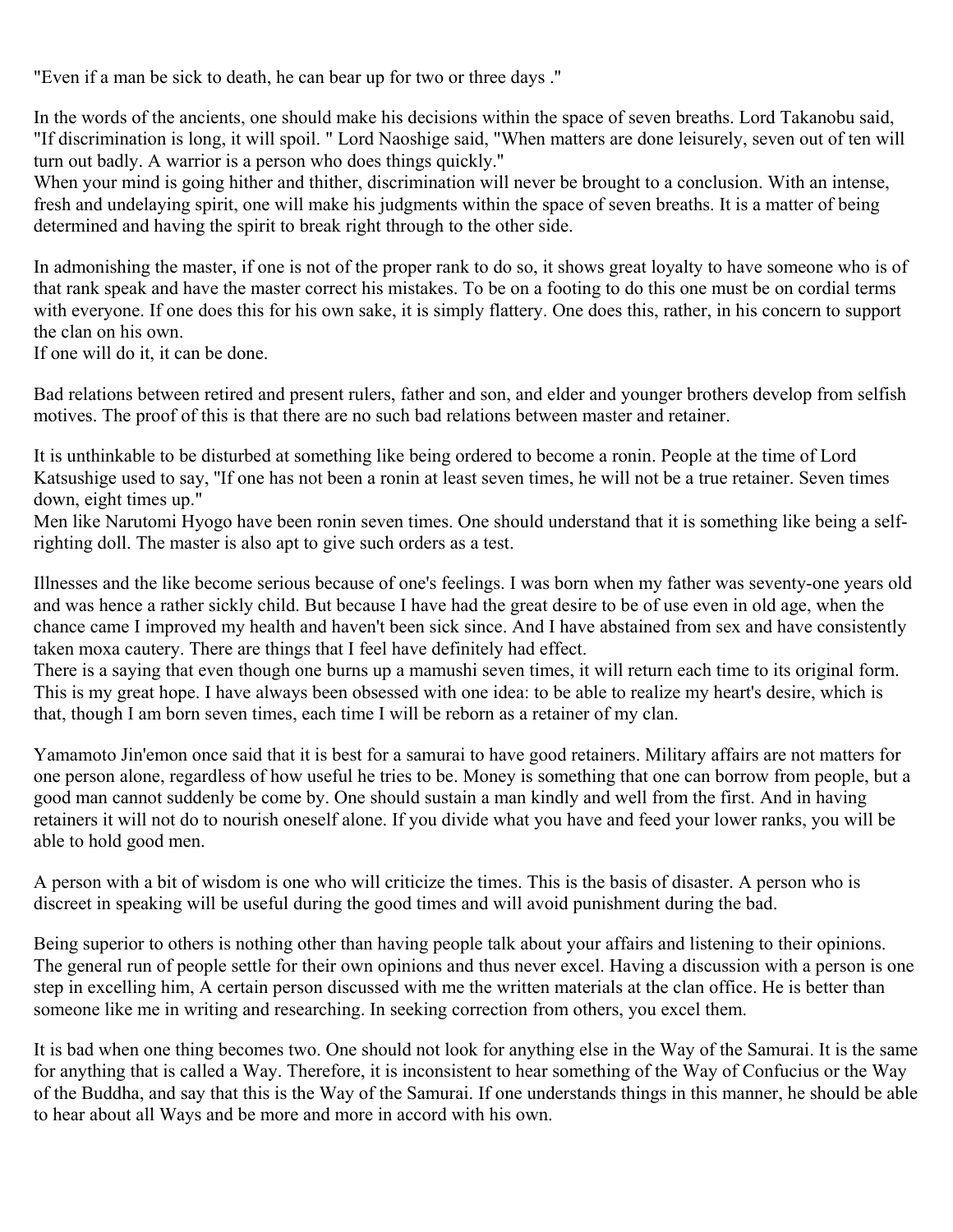"Even if a man be sick to death, he can bear up for two or three days .''

In the words of the ancients, one should make his decisions within the space of seven breaths. Lord Takanobu said, "If discrimination is long, it will spoil. " Lord Naoshige said, "When matters are done leisurely, seven out of ten will turn out badly. A warrior is a person who does things quickly.''

When your mind is going hither and thither, discrimination will never be brought to a conclusion. With an intense, fresh and undelaying spirit, one will make his judgments within the space of seven breaths. It is a matter of being determined and having the spirit to break right through to the other side.

In admonishing the master, if one is not of the proper rank to do so, it shows great loyalty to have someone who is of that rank speak and have the master correct his mistakes. To be on a footing to do this one must be on cordial terms with everyone. If one does this for his own sake, it is simply flattery. One does this, rather, in his concern to support the clan on his own.

If one will do it, it can be done.

Bad relations between retired and present rulers, father and son, and elder and younger brothers develop from selfish motives. The proof of this is that there are no such bad relations between master and retainer.

It is unthinkable to be disturbed at something like being ordered to become a ronin. People at the time of Lord Katsushige used to say, ''If one has not been a ronin at least seven times, he will not be a true retainer. Seven times down, eight times up."

Men like Narutomi Hyogo have been ronin seven times. One should understand that it is something like being a selfrighting doll. The master is also apt to give such orders as a test.

Illnesses and the like become serious because of one's feelings. I was born when my father was seventy-one years old and was hence a rather sickly child. But because I have had the great desire to be of use even in old age, when the chance came I improved my health and haven't been sick since. And I have abstained from sex and have consistently taken moxa cautery. There are things that I feel have definitely had effect.

There is a saying that even though one burns up a mamushi seven times, it will return each time to its original form. This is my great hope. I have always been obsessed with one idea: to be able to realize my heart's desire, which is that, though I am born seven times, each time I will be reborn as a retainer of my clan.

Yamamoto Jin'emon once said that it is best for a samurai to have good retainers. Military affairs are not matters for one person alone, regardless of how useful he tries to be. Money is something that one can borrow from people, but a good man cannot suddenly be come by. One should sustain a man kindly and well from the first. And in having retainers it will not do to nourish oneself alone. If you divide what you have and feed your lower ranks, you will be able to hold good men.

A person with a bit of wisdom is one who will criticize the times. This is the basis of disaster. A person who is discreet in speaking will be useful during the good times and will avoid punishment during the bad.

Being superior to others is nothing other than having people talk about your affairs and listening to their opinions. The general run of people settle for their own opinions and thus never excel. Having a discussion with a person is one step in excelling him, A certain person discussed with me the written materials at the clan office. He is better than someone like me in writing and researching. In seeking correction from others, you excel them.

It is bad when one thing becomes two. One should not look for anything else in the Way of the Samurai. It is the same for anything that is called a Way. Therefore, it is inconsistent to hear something of the Way of Confucius or the Way of the Buddha, and say that this is the Way of the Samurai. If one understands things in this manner, he should be able to hear about all Ways and be more and more in accord with his own.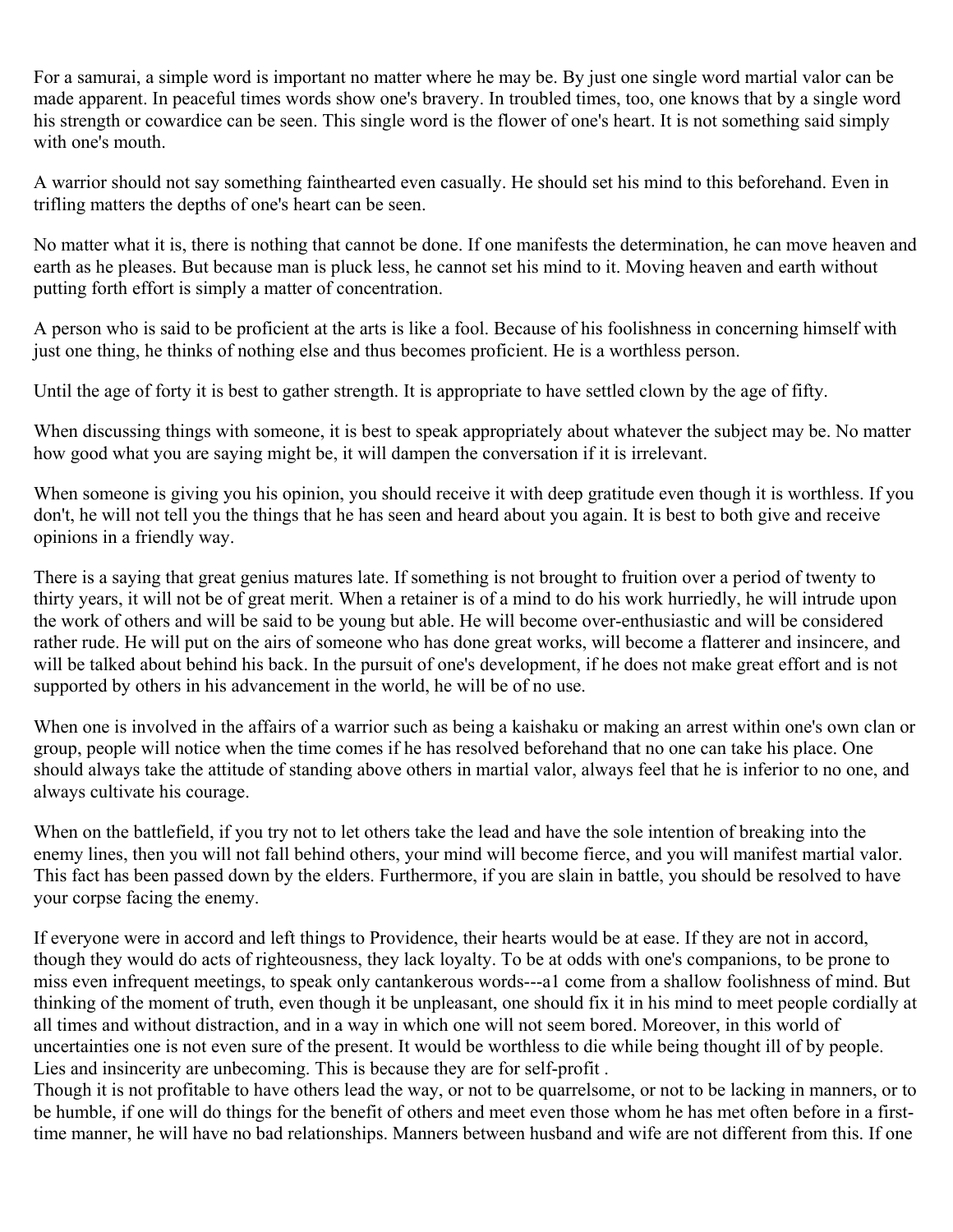For a samurai, a simple word is important no matter where he may be. By just one single word martial valor can be made apparent. In peaceful times words show one's bravery. In troubled times, too, one knows that by a single word his strength or cowardice can be seen. This single word is the flower of one's heart. It is not something said simply with one's mouth.

A warrior should not say something fainthearted even casually. He should set his mind to this beforehand. Even in trifling matters the depths of one's heart can be seen.

No matter what it is, there is nothing that cannot be done. If one manifests the determination, he can move heaven and earth as he pleases. But because man is pluck less, he cannot set his mind to it. Moving heaven and earth without putting forth effort is simply a matter of concentration.

A person who is said to be proficient at the arts is like a fool. Because of his foolishness in concerning himself with just one thing, he thinks of nothing else and thus becomes proficient. He is a worthless person.

Until the age of forty it is best to gather strength. It is appropriate to have settled clown by the age of fifty.

When discussing things with someone, it is best to speak appropriately about whatever the subject may be. No matter how good what you are saying might be, it will dampen the conversation if it is irrelevant.

When someone is giving you his opinion, you should receive it with deep gratitude even though it is worthless. If you don't, he will not tell you the things that he has seen and heard about you again. It is best to both give and receive opinions in a friendly way.

There is a saying that great genius matures late. If something is not brought to fruition over a period of twenty to thirty years, it will not be of great merit. When a retainer is of a mind to do his work hurriedly, he will intrude upon the work of others and will be said to be young but able. He will become over-enthusiastic and will be considered rather rude. He will put on the airs of someone who has done great works, will become a flatterer and insincere, and will be talked about behind his back. In the pursuit of one's development, if he does not make great effort and is not supported by others in his advancement in the world, he will be of no use.

When one is involved in the affairs of a warrior such as being a kaishaku or making an arrest within one's own clan or group, people will notice when the time comes if he has resolved beforehand that no one can take his place. One should always take the attitude of standing above others in martial valor, always feel that he is inferior to no one, and always cultivate his courage.

When on the battlefield, if you try not to let others take the lead and have the sole intention of breaking into the enemy lines, then you will not fall behind others, your mind will become fierce, and you will manifest martial valor. This fact has been passed down by the elders. Furthermore, if you are slain in battle, you should be resolved to have your corpse facing the enemy.

If everyone were in accord and left things to Providence, their hearts would be at ease. If they are not in accord, though they would do acts of righteousness, they lack loyalty. To be at odds with one's companions, to be prone to miss even infrequent meetings, to speak only cantankerous words---a1 come from a shallow foolishness of mind. But thinking of the moment of truth, even though it be unpleasant, one should fix it in his mind to meet people cordially at all times and without distraction, and in a way in which one will not seem bored. Moreover, in this world of uncertainties one is not even sure of the present. It would be worthless to die while being thought ill of by people. Lies and insincerity are unbecoming. This is because they are for self-profit .

Though it is not profitable to have others lead the way, or not to be quarrelsome, or not to be lacking in manners, or to be humble, if one will do things for the benefit of others and meet even those whom he has met often before in a firsttime manner, he will have no bad relationships. Manners between husband and wife are not different from this. If one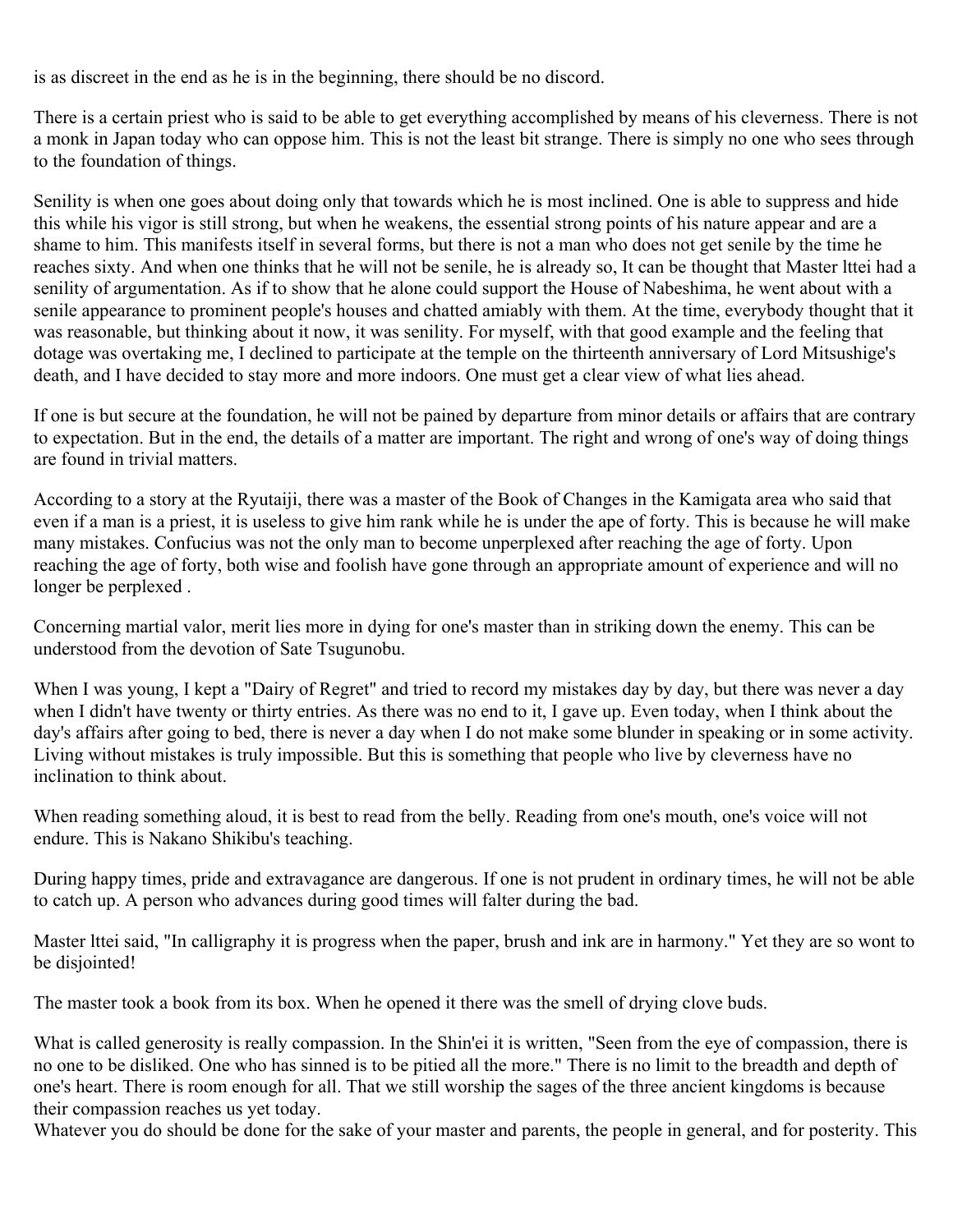is as discreet in the end as he is in the beginning, there should be no discord.

There is a certain priest who is said to be able to get everything accomplished by means of his cleverness. There is not a monk in Japan today who can oppose him. This is not the least bit strange. There is simply no one who sees through to the foundation of things.

Senility is when one goes about doing only that towards which he is most inclined. One is able to suppress and hide this while his vigor is still strong, but when he weakens, the essential strong points of his nature appear and are a shame to him. This manifests itself in several forms, but there is not a man who does not get senile by the time he reaches sixty. And when one thinks that he will not be senile, he is already so, It can be thought that Master lttei had a senility of argumentation. As if to show that he alone could support the House of Nabeshima, he went about with a senile appearance to prominent people's houses and chatted amiably with them. At the time, everybody thought that it was reasonable, but thinking about it now, it was senility. For myself, with that good example and the feeling that dotage was overtaking me, I declined to participate at the temple on the thirteenth anniversary of Lord Mitsushige's death, and I have decided to stay more and more indoors. One must get a clear view of what lies ahead.

If one is but secure at the foundation, he will not be pained by departure from minor details or affairs that are contrary to expectation. But in the end, the details of a matter are important. The right and wrong of one's way of doing things are found in trivial matters.

According to a story at the Ryutaiji, there was a master of the Book of Changes in the Kamigata area who said that even if a man is a priest, it is useless to give him rank while he is under the ape of forty. This is because he will make many mistakes. Confucius was not the only man to become unperplexed after reaching the age of forty. Upon reaching the age of forty, both wise and foolish have gone through an appropriate amount of experience and will no longer be perplexed .

Concerning martial valor, merit lies more in dying for one's master than in striking down the enemy. This can be understood from the devotion of Sate Tsugunobu.

When I was young, I kept a "Dairy of Regret" and tried to record my mistakes day by day, but there was never a day when I didn't have twenty or thirty entries. As there was no end to it, I gave up. Even today, when I think about the day's affairs after going to bed, there is never a day when I do not make some blunder in speaking or in some activity. Living without mistakes is truly impossible. But this is something that people who live by cleverness have no inclination to think about.

When reading something aloud, it is best to read from the belly. Reading from one's mouth, one's voice will not endure. This is Nakano Shikibu's teaching.

During happy times, pride and extravagance are dangerous. If one is not prudent in ordinary times, he will not be able to catch up. A person who advances during good times will falter during the bad.

Master lttei said, "In calligraphy it is progress when the paper, brush and ink are in harmony." Yet they are so wont to be disjointed!

The master took a book from its box. When he opened it there was the smell of drying clove buds.

What is called generosity is really compassion. In the Shin'ei it is written, "Seen from the eye of compassion, there is no one to be disliked. One who has sinned is to be pitied all the more." There is no limit to the breadth and depth of one's heart. There is room enough for all. That we still worship the sages of the three ancient kingdoms is because their compassion reaches us yet today.

Whatever you do should be done for the sake of your master and parents, the people in general, and for posterity. This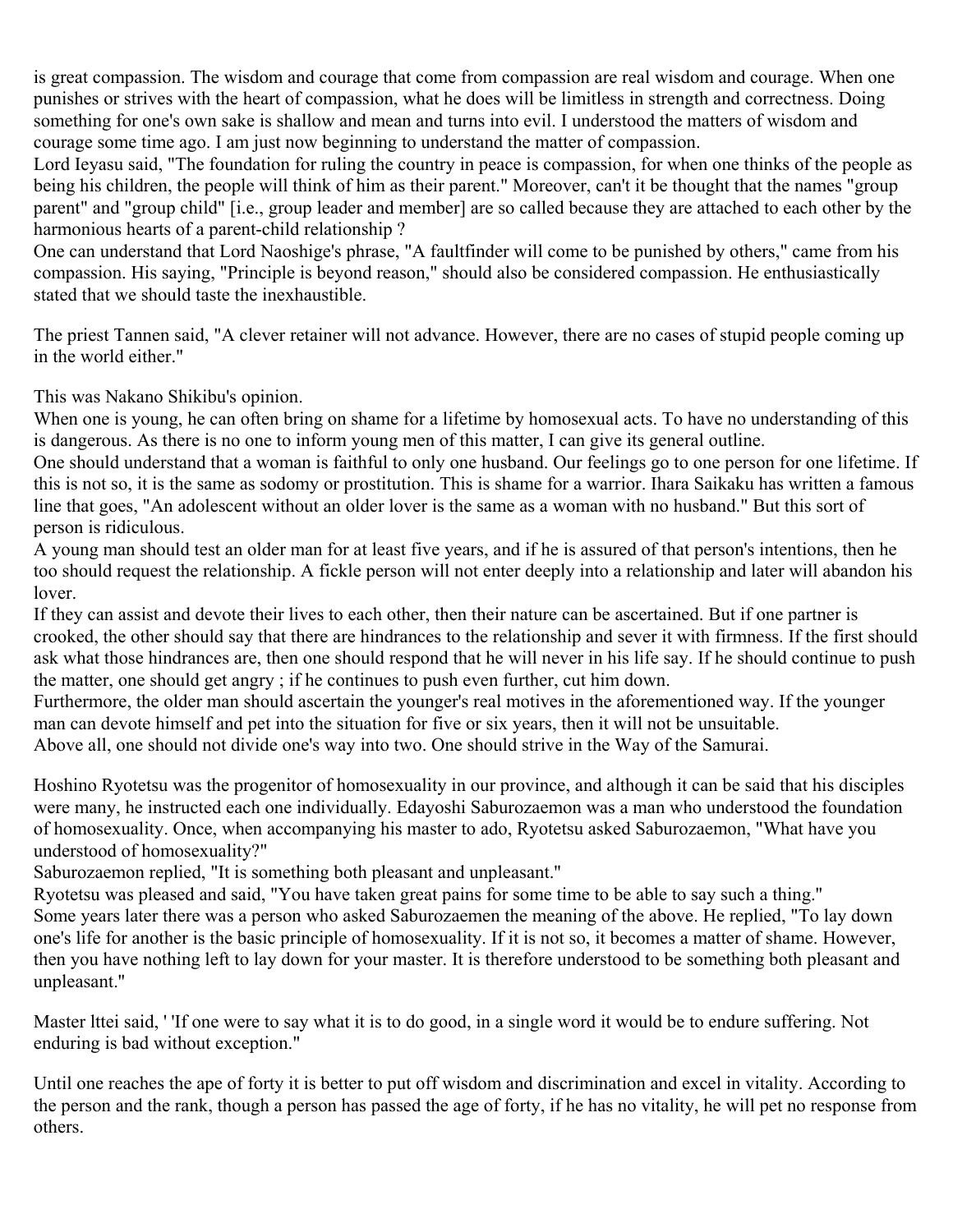is great compassion. The wisdom and courage that come from compassion are real wisdom and courage. When one punishes or strives with the heart of compassion, what he does will be limitless in strength and correctness. Doing something for one's own sake is shallow and mean and turns into evil. I understood the matters of wisdom and courage some time ago. I am just now beginning to understand the matter of compassion.

Lord Ieyasu said, "The foundation for ruling the country in peace is compassion, for when one thinks of the people as being his children, the people will think of him as their parent." Moreover, can't it be thought that the names "group parent" and "group child" [i.e., group leader and member] are so called because they are attached to each other by the harmonious hearts of a parent-child relationship ?

One can understand that Lord Naoshige's phrase, "A faultfinder will come to be punished by others," came from his compassion. His saying, "Principle is beyond reason," should also be considered compassion. He enthusiastically stated that we should taste the inexhaustible.

The priest Tannen said, "A clever retainer will not advance. However, there are no cases of stupid people coming up in the world either."

This was Nakano Shikibu's opinion.

When one is young, he can often bring on shame for a lifetime by homosexual acts. To have no understanding of this is dangerous. As there is no one to inform young men of this matter, I can give its general outline.

One should understand that a woman is faithful to only one husband. Our feelings go to one person for one lifetime. If this is not so, it is the same as sodomy or prostitution. This is shame for a warrior. Ihara Saikaku has written a famous line that goes, "An adolescent without an older lover is the same as a woman with no husband." But this sort of person is ridiculous.

A young man should test an older man for at least five years, and if he is assured of that person's intentions, then he too should request the relationship. A fickle person will not enter deeply into a relationship and later will abandon his lover.

If they can assist and devote their lives to each other, then their nature can be ascertained. But if one partner is crooked, the other should say that there are hindrances to the relationship and sever it with firmness. If the first should ask what those hindrances are, then one should respond that he will never in his life say. If he should continue to push the matter, one should get angry ; if he continues to push even further, cut him down.

Furthermore, the older man should ascertain the younger's real motives in the aforementioned way. If the younger man can devote himself and pet into the situation for five or six years, then it will not be unsuitable. Above all, one should not divide one's way into two. One should strive in the Way of the Samurai.

Hoshino Ryotetsu was the progenitor of homosexuality in our province, and although it can be said that his disciples were many, he instructed each one individually. Edayoshi Saburozaemon was a man who understood the foundation of homosexuality. Once, when accompanying his master to ado, Ryotetsu asked Saburozaemon, "What have you understood of homosexuality?"

Saburozaemon replied, "It is something both pleasant and unpleasant.''

Ryotetsu was pleased and said, "You have taken great pains for some time to be able to say such a thing.'' Some years later there was a person who asked Saburozaemen the meaning of the above. He replied, "To lay down one's life for another is the basic principle of homosexuality. If it is not so, it becomes a matter of shame. However, then you have nothing left to lay down for your master. It is therefore understood to be something both pleasant and unpleasant.''

Master lttei said, ' 'If one were to say what it is to do good, in a single word it would be to endure suffering. Not enduring is bad without exception."

Until one reaches the ape of forty it is better to put off wisdom and discrimination and excel in vitality. According to the person and the rank, though a person has passed the age of forty, if he has no vitality, he will pet no response from others.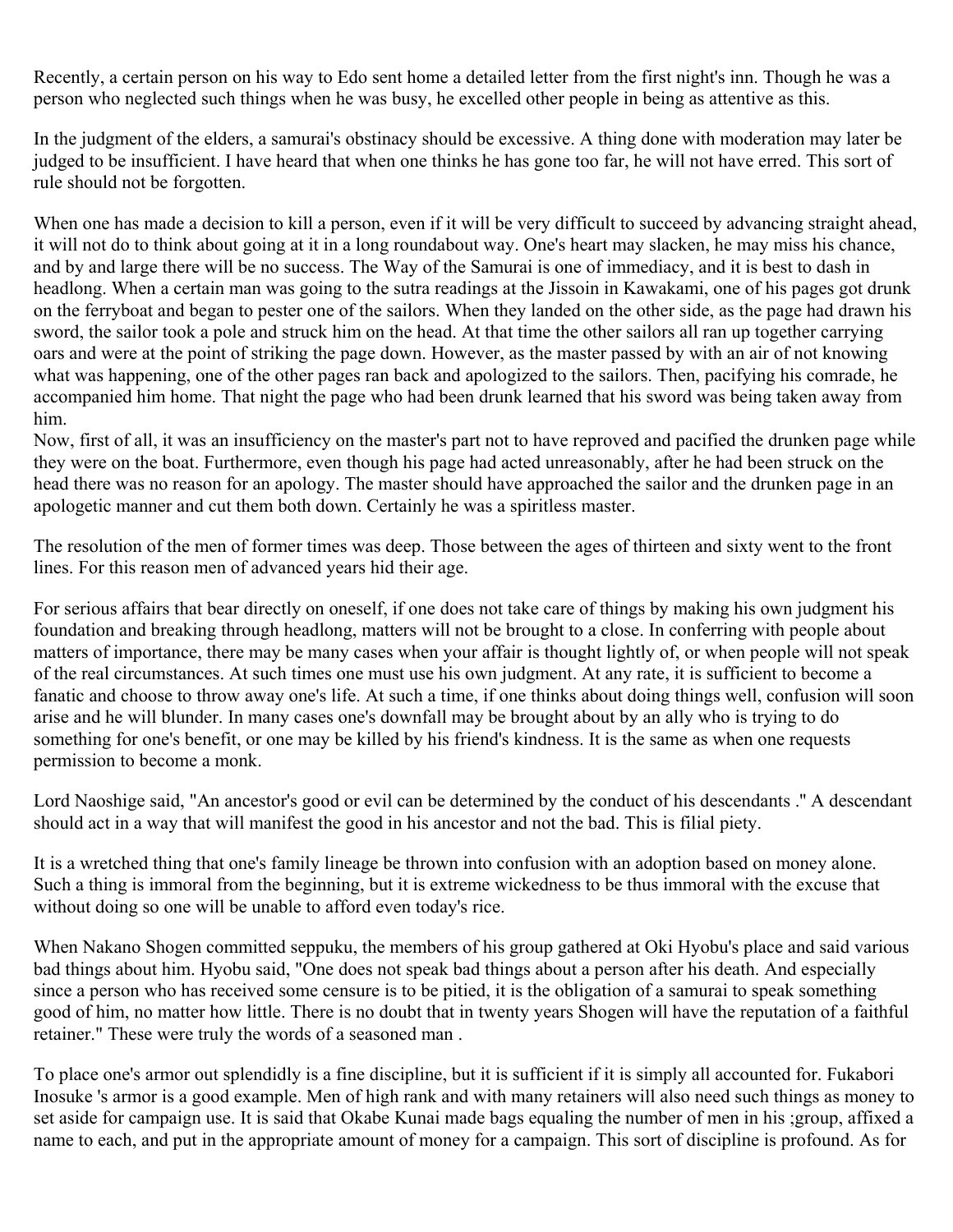Recently, a certain person on his way to Edo sent home a detailed letter from the first night's inn. Though he was a person who neglected such things when he was busy, he excelled other people in being as attentive as this.

In the judgment of the elders, a samurai's obstinacy should be excessive. A thing done with moderation may later be judged to be insufficient. I have heard that when one thinks he has gone too far, he will not have erred. This sort of rule should not be forgotten.

When one has made a decision to kill a person, even if it will be very difficult to succeed by advancing straight ahead, it will not do to think about going at it in a long roundabout way. One's heart may slacken, he may miss his chance, and by and large there will be no success. The Way of the Samurai is one of immediacy, and it is best to dash in headlong. When a certain man was going to the sutra readings at the Jissoin in Kawakami, one of his pages got drunk on the ferryboat and began to pester one of the sailors. When they landed on the other side, as the page had drawn his sword, the sailor took a pole and struck him on the head. At that time the other sailors all ran up together carrying oars and were at the point of striking the page down. However, as the master passed by with an air of not knowing what was happening, one of the other pages ran back and apologized to the sailors. Then, pacifying his comrade, he accompanied him home. That night the page who had been drunk learned that his sword was being taken away from him.

Now, first of all, it was an insufficiency on the master's part not to have reproved and pacified the drunken page while they were on the boat. Furthermore, even though his page had acted unreasonably, after he had been struck on the head there was no reason for an apology. The master should have approached the sailor and the drunken page in an apologetic manner and cut them both down. Certainly he was a spiritless master.

The resolution of the men of former times was deep. Those between the ages of thirteen and sixty went to the front lines. For this reason men of advanced years hid their age.

For serious affairs that bear directly on oneself, if one does not take care of things by making his own judgment his foundation and breaking through headlong, matters will not be brought to a close. In conferring with people about matters of importance, there may be many cases when your affair is thought lightly of, or when people will not speak of the real circumstances. At such times one must use his own judgment. At any rate, it is sufficient to become a fanatic and choose to throw away one's life. At such a time, if one thinks about doing things well, confusion will soon arise and he will blunder. In many cases one's downfall may be brought about by an ally who is trying to do something for one's benefit, or one may be killed by his friend's kindness. It is the same as when one requests permission to become a monk.

Lord Naoshige said, "An ancestor's good or evil can be determined by the conduct of his descendants .'' A descendant should act in a way that will manifest the good in his ancestor and not the bad. This is filial piety.

It is a wretched thing that one's family lineage be thrown into confusion with an adoption based on money alone. Such a thing is immoral from the beginning, but it is extreme wickedness to be thus immoral with the excuse that without doing so one will be unable to afford even today's rice.

When Nakano Shogen committed seppuku, the members of his group gathered at Oki Hyobu's place and said various bad things about him. Hyobu said, "One does not speak bad things about a person after his death. And especially since a person who has received some censure is to be pitied, it is the obligation of a samurai to speak something good of him, no matter how little. There is no doubt that in twenty years Shogen will have the reputation of a faithful retainer." These were truly the words of a seasoned man .

To place one's armor out splendidly is a fine discipline, but it is sufficient if it is simply all accounted for. Fukabori Inosuke 's armor is a good example. Men of high rank and with many retainers will also need such things as money to set aside for campaign use. It is said that Okabe Kunai made bags equaling the number of men in his ;group, affixed a name to each, and put in the appropriate amount of money for a campaign. This sort of discipline is profound. As for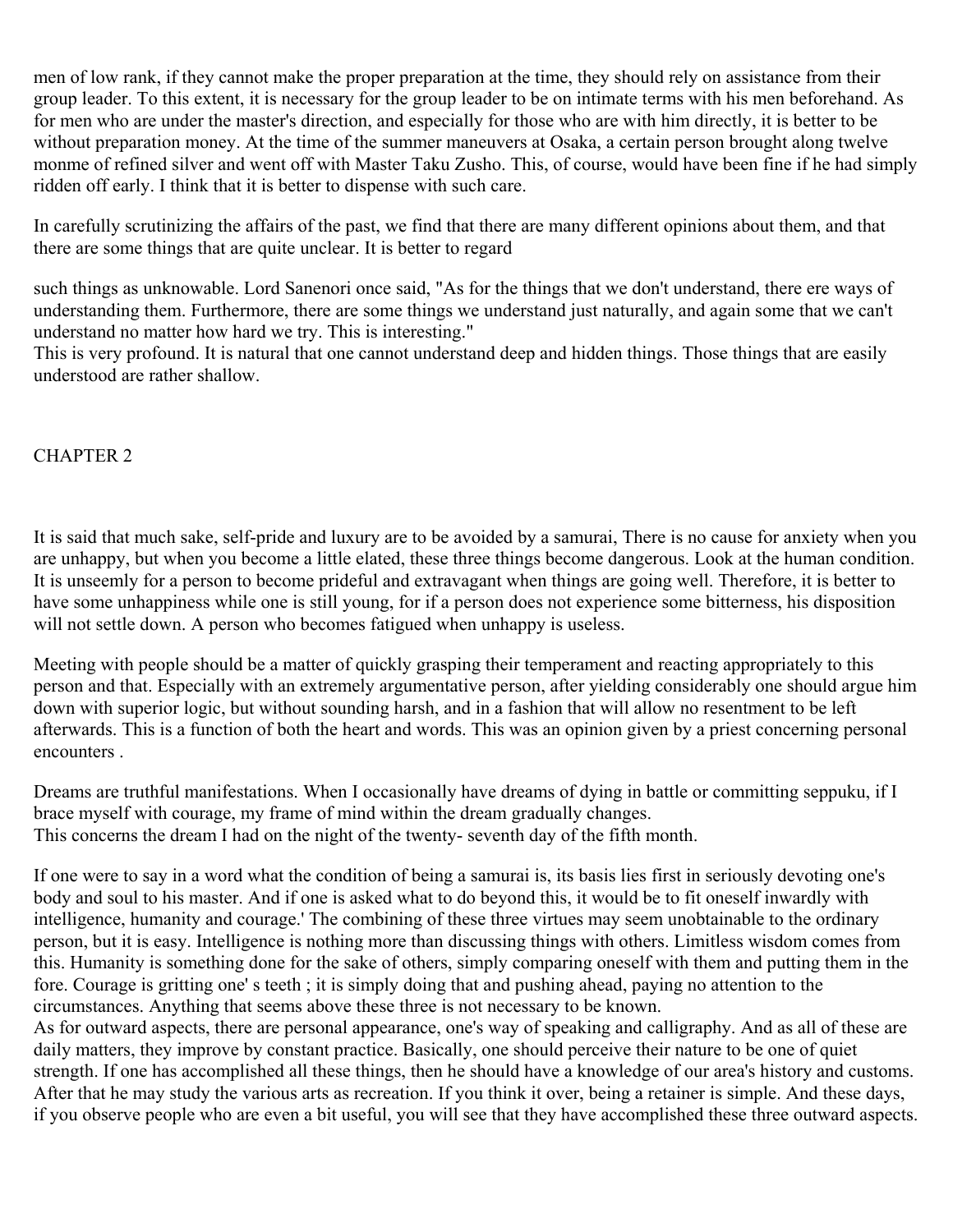men of low rank, if they cannot make the proper preparation at the time, they should rely on assistance from their group leader. To this extent, it is necessary for the group leader to be on intimate terms with his men beforehand. As for men who are under the master's direction, and especially for those who are with him directly, it is better to be without preparation money. At the time of the summer maneuvers at Osaka, a certain person brought along twelve monme of refined silver and went off with Master Taku Zusho. This, of course, would have been fine if he had simply ridden off early. I think that it is better to dispense with such care.

In carefully scrutinizing the affairs of the past, we find that there are many different opinions about them, and that there are some things that are quite unclear. It is better to regard

such things as unknowable. Lord Sanenori once said, "As for the things that we don't understand, there ere ways of understanding them. Furthermore, there are some things we understand just naturally, and again some that we can't understand no matter how hard we try. This is interesting."

This is very profound. It is natural that one cannot understand deep and hidden things. Those things that are easily understood are rather shallow.

## CHAPTER 2

It is said that much sake, self-pride and luxury are to be avoided by a samurai, There is no cause for anxiety when you are unhappy, but when you become a little elated, these three things become dangerous. Look at the human condition. It is unseemly for a person to become prideful and extravagant when things are going well. Therefore, it is better to have some unhappiness while one is still young, for if a person does not experience some bitterness, his disposition will not settle down. A person who becomes fatigued when unhappy is useless.

Meeting with people should be a matter of quickly grasping their temperament and reacting appropriately to this person and that. Especially with an extremely argumentative person, after yielding considerably one should argue him down with superior logic, but without sounding harsh, and in a fashion that will allow no resentment to be left afterwards. This is a function of both the heart and words. This was an opinion given by a priest concerning personal encounters .

Dreams are truthful manifestations. When I occasionally have dreams of dying in battle or committing seppuku, if I brace myself with courage, my frame of mind within the dream gradually changes. This concerns the dream I had on the night of the twenty- seventh day of the fifth month.

If one were to say in a word what the condition of being a samurai is, its basis lies first in seriously devoting one's body and soul to his master. And if one is asked what to do beyond this, it would be to fit oneself inwardly with intelligence, humanity and courage.' The combining of these three virtues may seem unobtainable to the ordinary person, but it is easy. Intelligence is nothing more than discussing things with others. Limitless wisdom comes from this. Humanity is something done for the sake of others, simply comparing oneself with them and putting them in the fore. Courage is gritting one' s teeth ; it is simply doing that and pushing ahead, paying no attention to the circumstances. Anything that seems above these three is not necessary to be known.

As for outward aspects, there are personal appearance, one's way of speaking and calligraphy. And as all of these are daily matters, they improve by constant practice. Basically, one should perceive their nature to be one of quiet strength. If one has accomplished all these things, then he should have a knowledge of our area's history and customs. After that he may study the various arts as recreation. If you think it over, being a retainer is simple. And these days, if you observe people who are even a bit useful, you will see that they have accomplished these three outward aspects.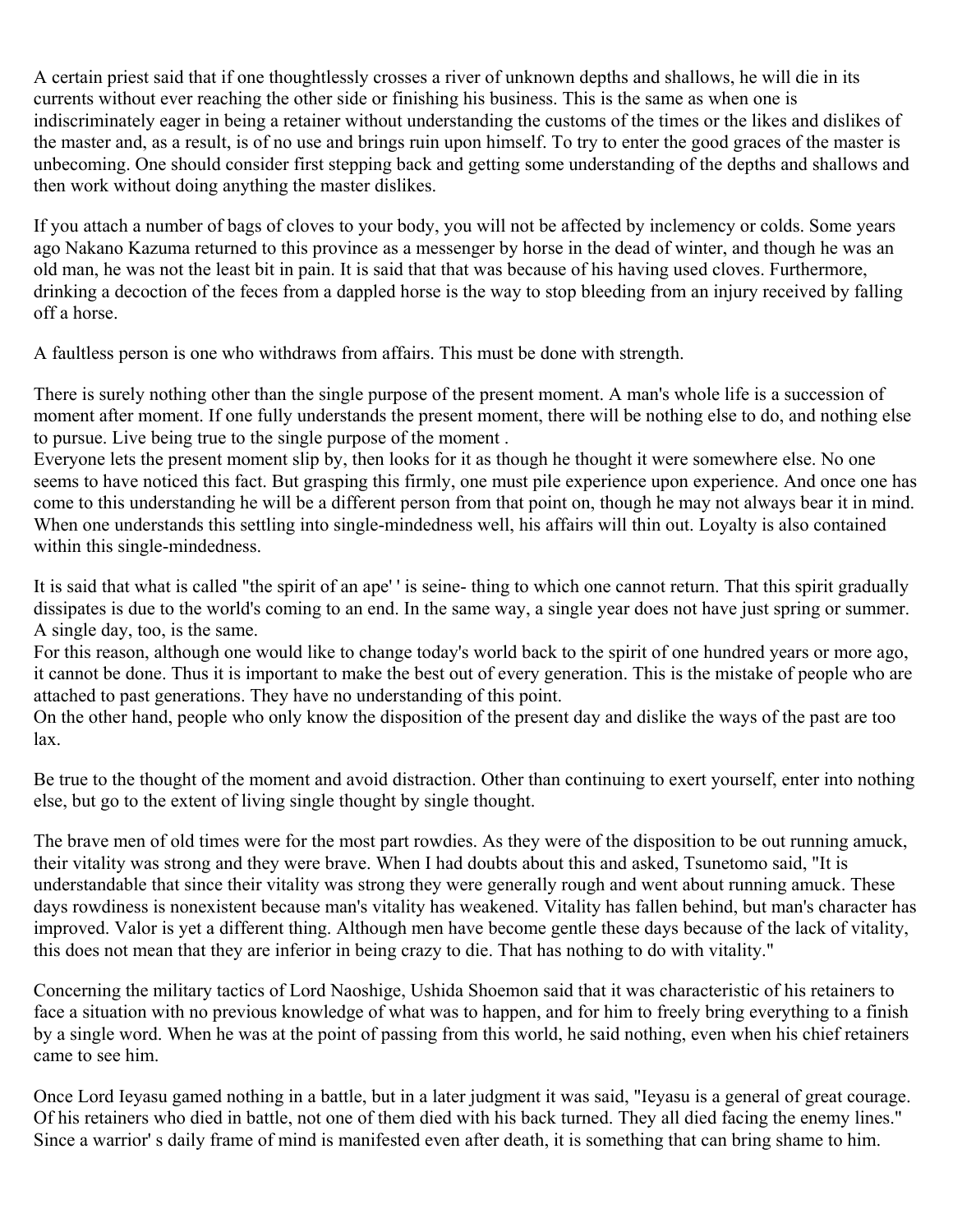A certain priest said that if one thoughtlessly crosses a river of unknown depths and shallows, he will die in its currents without ever reaching the other side or finishing his business. This is the same as when one is indiscriminately eager in being a retainer without understanding the customs of the times or the likes and dislikes of the master and, as a result, is of no use and brings ruin upon himself. To try to enter the good graces of the master is unbecoming. One should consider first stepping back and getting some understanding of the depths and shallows and then work without doing anything the master dislikes.

If you attach a number of bags of cloves to your body, you will not be affected by inclemency or colds. Some years ago Nakano Kazuma returned to this province as a messenger by horse in the dead of winter, and though he was an old man, he was not the least bit in pain. It is said that that was because of his having used cloves. Furthermore, drinking a decoction of the feces from a dappled horse is the way to stop bleeding from an injury received by falling off a horse.

A faultless person is one who withdraws from affairs. This must be done with strength.

There is surely nothing other than the single purpose of the present moment. A man's whole life is a succession of moment after moment. If one fully understands the present moment, there will be nothing else to do, and nothing else to pursue. Live being true to the single purpose of the moment .

Everyone lets the present moment slip by, then looks for it as though he thought it were somewhere else. No one seems to have noticed this fact. But grasping this firmly, one must pile experience upon experience. And once one has come to this understanding he will be a different person from that point on, though he may not always bear it in mind. When one understands this settling into single-mindedness well, his affairs will thin out. Loyalty is also contained within this single-mindedness.

It is said that what is called "the spirit of an ape' ' is seine- thing to which one cannot return. That this spirit gradually dissipates is due to the world's coming to an end. In the same way, a single year does not have just spring or summer. A single day, too, is the same.

For this reason, although one would like to change today's world back to the spirit of one hundred years or more ago, it cannot be done. Thus it is important to make the best out of every generation. This is the mistake of people who are attached to past generations. They have no understanding of this point.

On the other hand, people who only know the disposition of the present day and dislike the ways of the past are too lax.

Be true to the thought of the moment and avoid distraction. Other than continuing to exert yourself, enter into nothing else, but go to the extent of living single thought by single thought.

The brave men of old times were for the most part rowdies. As they were of the disposition to be out running amuck, their vitality was strong and they were brave. When I had doubts about this and asked, Tsunetomo said, "It is understandable that since their vitality was strong they were generally rough and went about running amuck. These days rowdiness is nonexistent because man's vitality has weakened. Vitality has fallen behind, but man's character has improved. Valor is yet a different thing. Although men have become gentle these days because of the lack of vitality, this does not mean that they are inferior in being crazy to die. That has nothing to do with vitality."

Concerning the military tactics of Lord Naoshige, Ushida Shoemon said that it was characteristic of his retainers to face a situation with no previous knowledge of what was to happen, and for him to freely bring everything to a finish by a single word. When he was at the point of passing from this world, he said nothing, even when his chief retainers came to see him.

Once Lord Ieyasu gamed nothing in a battle, but in a later judgment it was said, "Ieyasu is a general of great courage. Of his retainers who died in battle, not one of them died with his back turned. They all died facing the enemy lines." Since a warrior' s daily frame of mind is manifested even after death, it is something that can bring shame to him.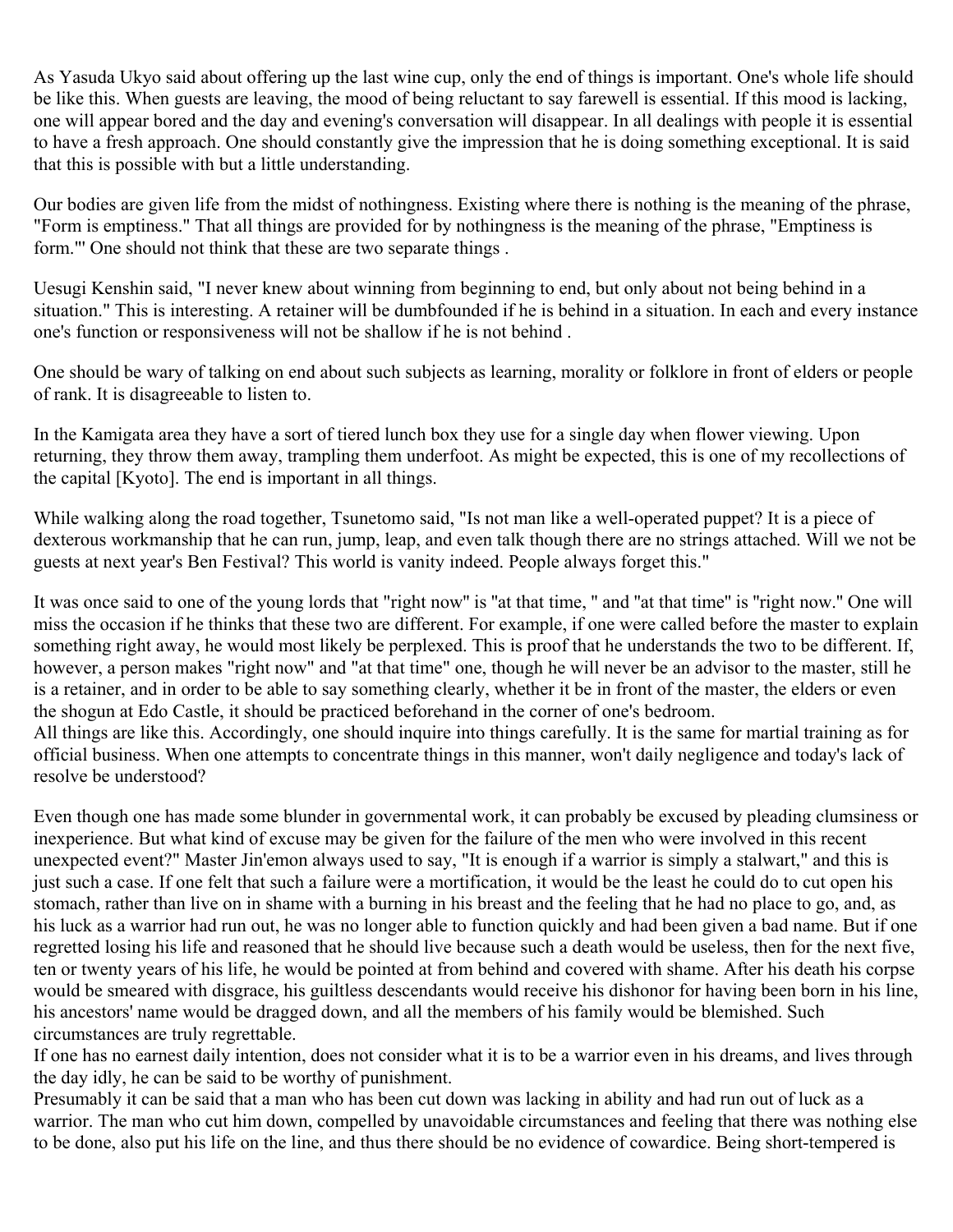As Yasuda Ukyo said about offering up the last wine cup, only the end of things is important. One's whole life should be like this. When guests are leaving, the mood of being reluctant to say farewell is essential. If this mood is lacking, one will appear bored and the day and evening's conversation will disappear. In all dealings with people it is essential to have a fresh approach. One should constantly give the impression that he is doing something exceptional. It is said that this is possible with but a little understanding.

Our bodies are given life from the midst of nothingness. Existing where there is nothing is the meaning of the phrase, "Form is emptiness." That all things are provided for by nothingness is the meaning of the phrase, "Emptiness is form."' One should not think that these are two separate things .

Uesugi Kenshin said, "I never knew about winning from beginning to end, but only about not being behind in a situation." This is interesting. A retainer will be dumbfounded if he is behind in a situation. In each and every instance one's function or responsiveness will not be shallow if he is not behind .

One should be wary of talking on end about such subjects as learning, morality or folklore in front of elders or people of rank. It is disagreeable to listen to.

In the Kamigata area they have a sort of tiered lunch box they use for a single day when flower viewing. Upon returning, they throw them away, trampling them underfoot. As might be expected, this is one of my recollections of the capital [Kyoto]. The end is important in all things.

While walking along the road together, Tsunetomo said, "Is not man like a well-operated puppet? It is a piece of dexterous workmanship that he can run, jump, leap, and even talk though there are no strings attached. Will we not be guests at next year's Ben Festival? This world is vanity indeed. People always forget this."

It was once said to one of the young lords that "right now" is "at that time, " and "at that time" is "right now." One will miss the occasion if he thinks that these two are different. For example, if one were called before the master to explain something right away, he would most likely be perplexed. This is proof that he understands the two to be different. If, however, a person makes "right now" and "at that time" one, though he will never be an advisor to the master, still he is a retainer, and in order to be able to say something clearly, whether it be in front of the master, the elders or even the shogun at Edo Castle, it should be practiced beforehand in the corner of one's bedroom.

All things are like this. Accordingly, one should inquire into things carefully. It is the same for martial training as for official business. When one attempts to concentrate things in this manner, won't daily negligence and today's lack of resolve be understood?

Even though one has made some blunder in governmental work, it can probably be excused by pleading clumsiness or inexperience. But what kind of excuse may be given for the failure of the men who were involved in this recent unexpected event?" Master Jin'emon always used to say, "It is enough if a warrior is simply a stalwart," and this is just such a case. If one felt that such a failure were a mortification, it would be the least he could do to cut open his stomach, rather than live on in shame with a burning in his breast and the feeling that he had no place to go, and, as his luck as a warrior had run out, he was no longer able to function quickly and had been given a bad name. But if one regretted losing his life and reasoned that he should live because such a death would be useless, then for the next five, ten or twenty years of his life, he would be pointed at from behind and covered with shame. After his death his corpse would be smeared with disgrace, his guiltless descendants would receive his dishonor for having been born in his line, his ancestors' name would be dragged down, and all the members of his family would be blemished. Such circumstances are truly regrettable.

If one has no earnest daily intention, does not consider what it is to be a warrior even in his dreams, and lives through the day idly, he can be said to be worthy of punishment.

Presumably it can be said that a man who has been cut down was lacking in ability and had run out of luck as a warrior. The man who cut him down, compelled by unavoidable circumstances and feeling that there was nothing else to be done, also put his life on the line, and thus there should be no evidence of cowardice. Being short-tempered is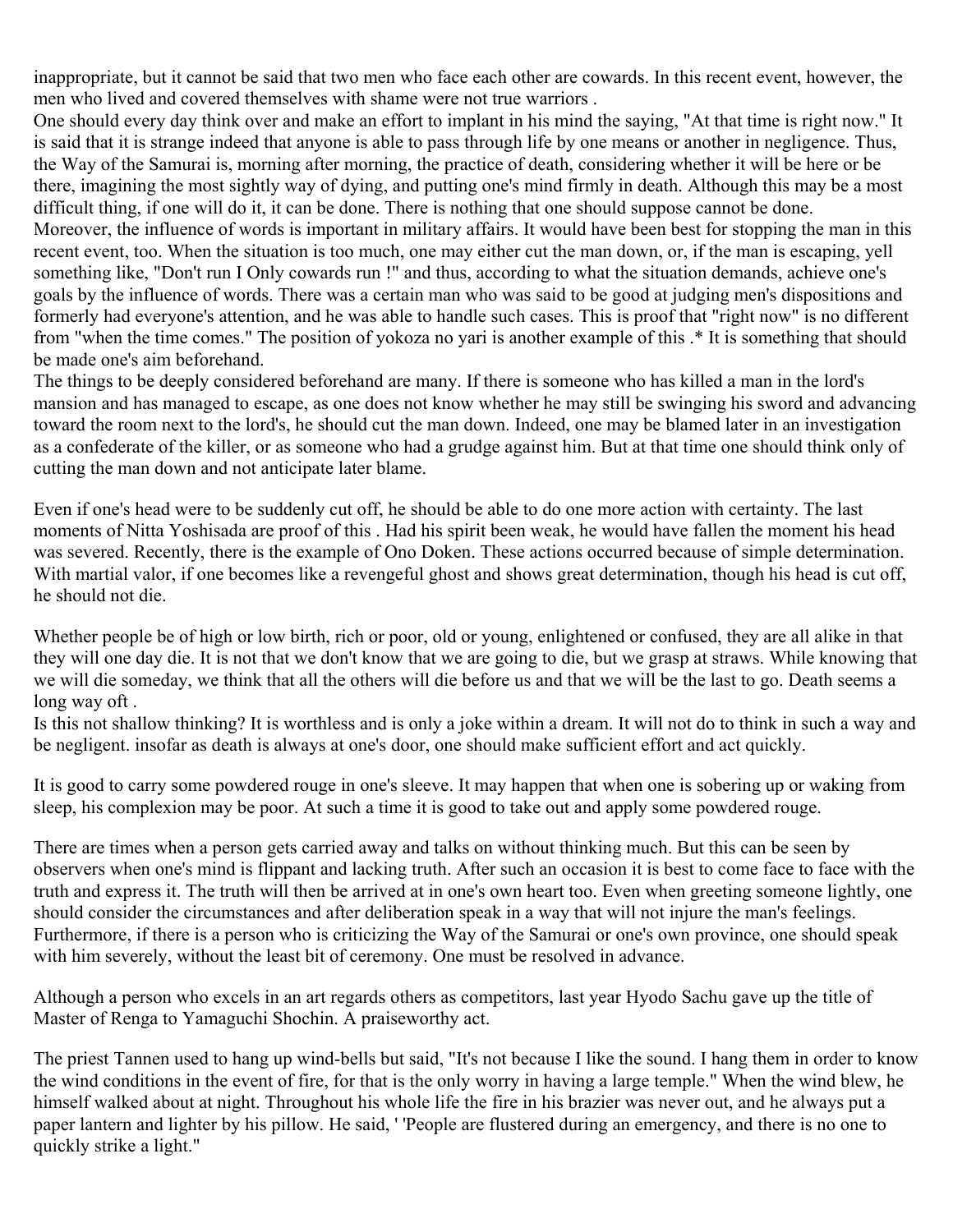inappropriate, but it cannot be said that two men who face each other are cowards. In this recent event, however, the men who lived and covered themselves with shame were not true warriors .

One should every day think over and make an effort to implant in his mind the saying, "At that time is right now." It is said that it is strange indeed that anyone is able to pass through life by one means or another in negligence. Thus, the Way of the Samurai is, morning after morning, the practice of death, considering whether it will be here or be there, imagining the most sightly way of dying, and putting one's mind firmly in death. Although this may be a most difficult thing, if one will do it, it can be done. There is nothing that one should suppose cannot be done.

Moreover, the influence of words is important in military affairs. It would have been best for stopping the man in this recent event, too. When the situation is too much, one may either cut the man down, or, if the man is escaping, yell something like, "Don't run I Only cowards run !" and thus, according to what the situation demands, achieve one's goals by the influence of words. There was a certain man who was said to be good at judging men's dispositions and formerly had everyone's attention, and he was able to handle such cases. This is proof that "right now" is no different from "when the time comes." The position of yokoza no yari is another example of this .\* It is something that should be made one's aim beforehand.

The things to be deeply considered beforehand are many. If there is someone who has killed a man in the lord's mansion and has managed to escape, as one does not know whether he may still be swinging his sword and advancing toward the room next to the lord's, he should cut the man down. Indeed, one may be blamed later in an investigation as a confederate of the killer, or as someone who had a grudge against him. But at that time one should think only of cutting the man down and not anticipate later blame.

Even if one's head were to be suddenly cut off, he should be able to do one more action with certainty. The last moments of Nitta Yoshisada are proof of this . Had his spirit been weak, he would have fallen the moment his head was severed. Recently, there is the example of Ono Doken. These actions occurred because of simple determination. With martial valor, if one becomes like a revengeful ghost and shows great determination, though his head is cut off, he should not die.

Whether people be of high or low birth, rich or poor, old or young, enlightened or confused, they are all alike in that they will one day die. It is not that we don't know that we are going to die, but we grasp at straws. While knowing that we will die someday, we think that all the others will die before us and that we will be the last to go. Death seems a long way oft .

Is this not shallow thinking? It is worthless and is only a joke within a dream. It will not do to think in such a way and be negligent. insofar as death is always at one's door, one should make sufficient effort and act quickly.

It is good to carry some powdered rouge in one's sleeve. It may happen that when one is sobering up or waking from sleep, his complexion may be poor. At such a time it is good to take out and apply some powdered rouge.

There are times when a person gets carried away and talks on without thinking much. But this can be seen by observers when one's mind is flippant and lacking truth. After such an occasion it is best to come face to face with the truth and express it. The truth will then be arrived at in one's own heart too. Even when greeting someone lightly, one should consider the circumstances and after deliberation speak in a way that will not injure the man's feelings. Furthermore, if there is a person who is criticizing the Way of the Samurai or one's own province, one should speak with him severely, without the least bit of ceremony. One must be resolved in advance.

Although a person who excels in an art regards others as competitors, last year Hyodo Sachu gave up the title of Master of Renga to Yamaguchi Shochin. A praiseworthy act.

The priest Tannen used to hang up wind-bells but said, "It's not because I like the sound. I hang them in order to know the wind conditions in the event of fire, for that is the only worry in having a large temple." When the wind blew, he himself walked about at night. Throughout his whole life the fire in his brazier was never out, and he always put a paper lantern and lighter by his pillow. He said, ' 'People are flustered during an emergency, and there is no one to quickly strike a light."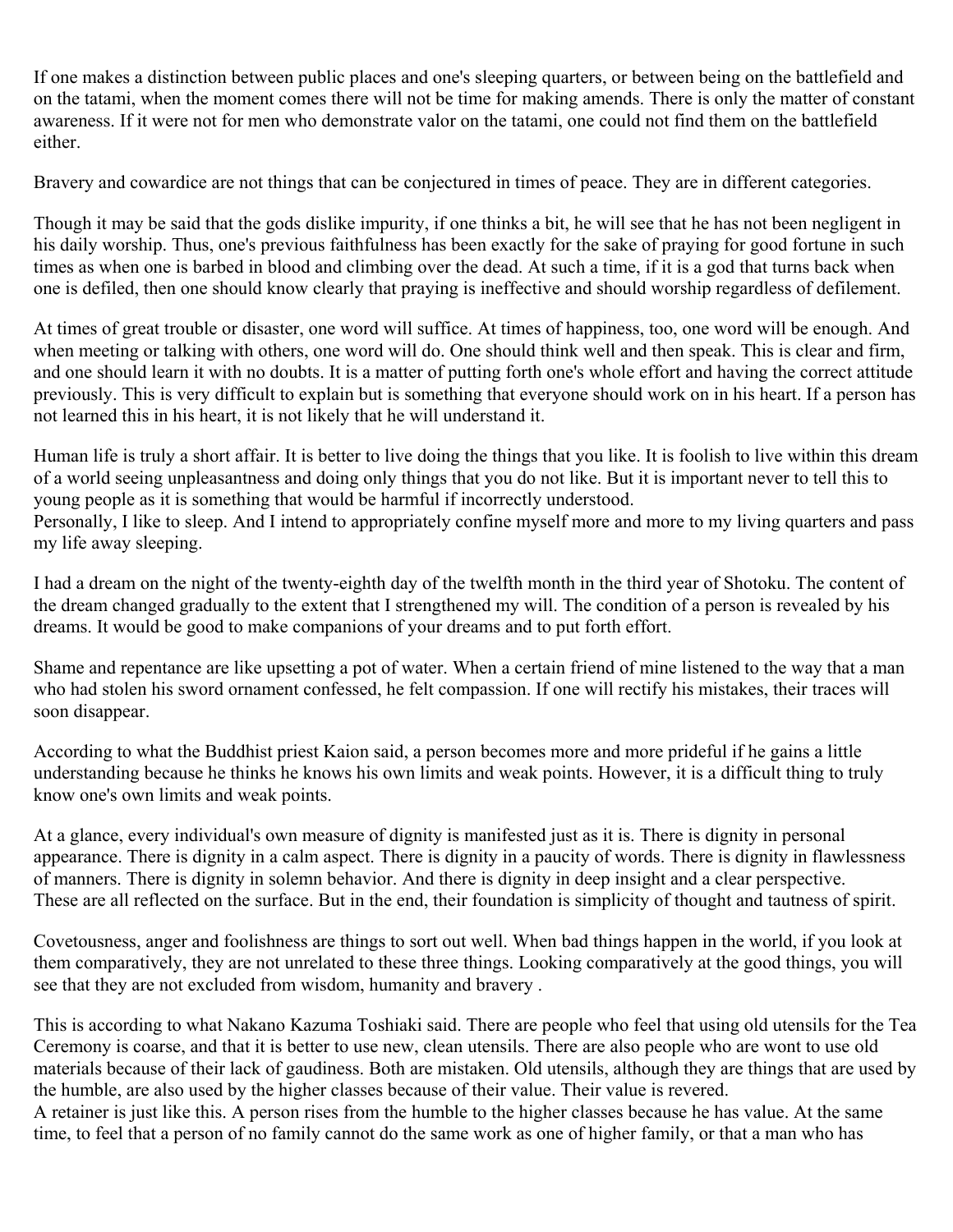If one makes a distinction between public places and one's sleeping quarters, or between being on the battlefield and on the tatami, when the moment comes there will not be time for making amends. There is only the matter of constant awareness. If it were not for men who demonstrate valor on the tatami, one could not find them on the battlefield either.

Bravery and cowardice are not things that can be conjectured in times of peace. They are in different categories.

Though it may be said that the gods dislike impurity, if one thinks a bit, he will see that he has not been negligent in his daily worship. Thus, one's previous faithfulness has been exactly for the sake of praying for good fortune in such times as when one is barbed in blood and climbing over the dead. At such a time, if it is a god that turns back when one is defiled, then one should know clearly that praying is ineffective and should worship regardless of defilement.

At times of great trouble or disaster, one word will suffice. At times of happiness, too, one word will be enough. And when meeting or talking with others, one word will do. One should think well and then speak. This is clear and firm, and one should learn it with no doubts. It is a matter of putting forth one's whole effort and having the correct attitude previously. This is very difficult to explain but is something that everyone should work on in his heart. If a person has not learned this in his heart, it is not likely that he will understand it.

Human life is truly a short affair. It is better to live doing the things that you like. It is foolish to live within this dream of a world seeing unpleasantness and doing only things that you do not like. But it is important never to tell this to young people as it is something that would be harmful if incorrectly understood.

Personally, I like to sleep. And I intend to appropriately confine myself more and more to my living quarters and pass my life away sleeping.

I had a dream on the night of the twenty-eighth day of the twelfth month in the third year of Shotoku. The content of the dream changed gradually to the extent that I strengthened my will. The condition of a person is revealed by his dreams. It would be good to make companions of your dreams and to put forth effort.

Shame and repentance are like upsetting a pot of water. When a certain friend of mine listened to the way that a man who had stolen his sword ornament confessed, he felt compassion. If one will rectify his mistakes, their traces will soon disappear.

According to what the Buddhist priest Kaion said, a person becomes more and more prideful if he gains a little understanding because he thinks he knows his own limits and weak points. However, it is a difficult thing to truly know one's own limits and weak points.

At a glance, every individual's own measure of dignity is manifested just as it is. There is dignity in personal appearance. There is dignity in a calm aspect. There is dignity in a paucity of words. There is dignity in flawlessness of manners. There is dignity in solemn behavior. And there is dignity in deep insight and a clear perspective. These are all reflected on the surface. But in the end, their foundation is simplicity of thought and tautness of spirit.

Covetousness, anger and foolishness are things to sort out well. When bad things happen in the world, if you look at them comparatively, they are not unrelated to these three things. Looking comparatively at the good things, you will see that they are not excluded from wisdom, humanity and bravery .

This is according to what Nakano Kazuma Toshiaki said. There are people who feel that using old utensils for the Tea Ceremony is coarse, and that it is better to use new, clean utensils. There are also people who are wont to use old materials because of their lack of gaudiness. Both are mistaken. Old utensils, although they are things that are used by the humble, are also used by the higher classes because of their value. Their value is revered. A retainer is just like this. A person rises from the humble to the higher classes because he has value. At the same time, to feel that a person of no family cannot do the same work as one of higher family, or that a man who has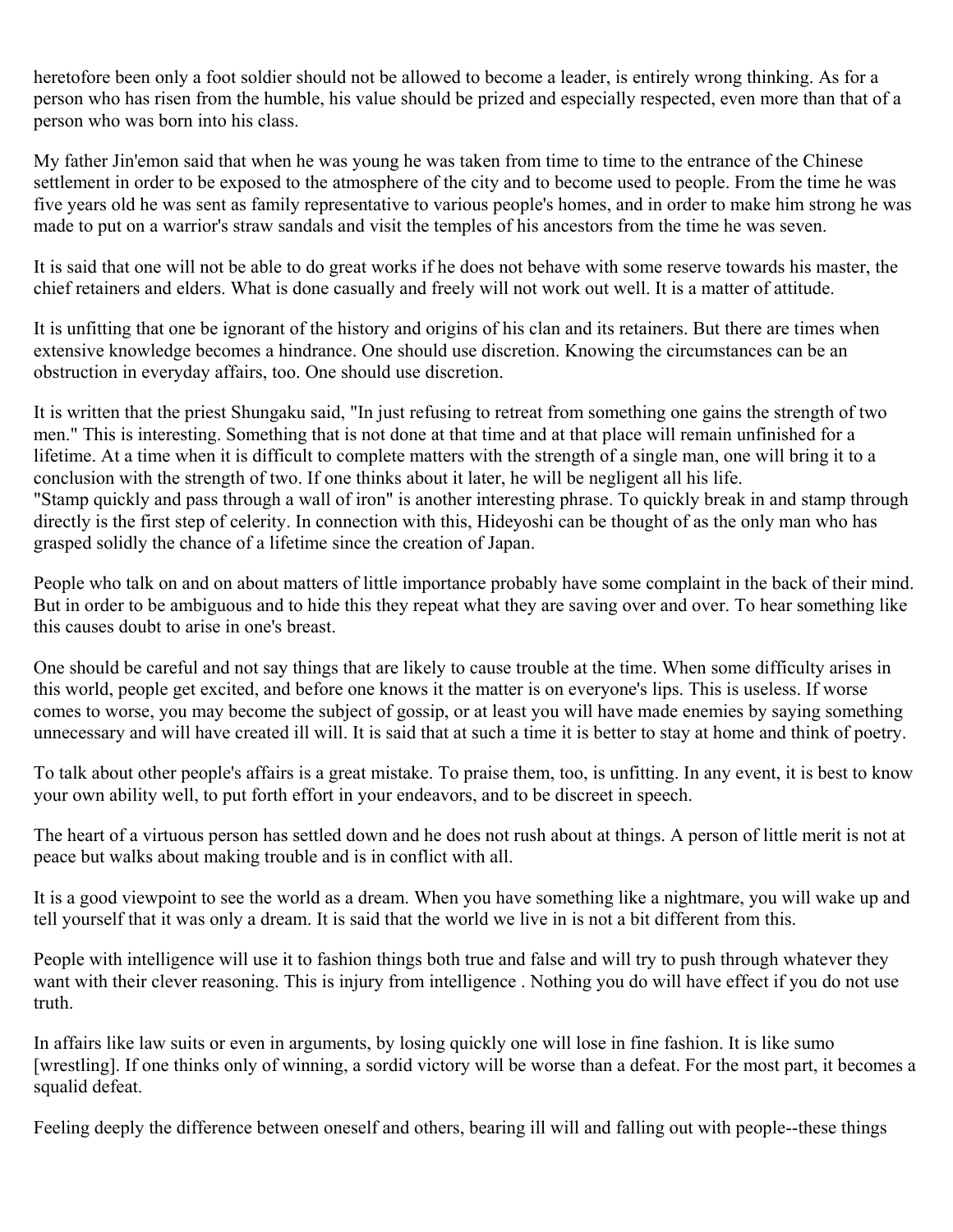heretofore been only a foot soldier should not be allowed to become a leader, is entirely wrong thinking. As for a person who has risen from the humble, his value should be prized and especially respected, even more than that of a person who was born into his class.

My father Jin'emon said that when he was young he was taken from time to time to the entrance of the Chinese settlement in order to be exposed to the atmosphere of the city and to become used to people. From the time he was five years old he was sent as family representative to various people's homes, and in order to make him strong he was made to put on a warrior's straw sandals and visit the temples of his ancestors from the time he was seven.

It is said that one will not be able to do great works if he does not behave with some reserve towards his master, the chief retainers and elders. What is done casually and freely will not work out well. It is a matter of attitude.

It is unfitting that one be ignorant of the history and origins of his clan and its retainers. But there are times when extensive knowledge becomes a hindrance. One should use discretion. Knowing the circumstances can be an obstruction in everyday affairs, too. One should use discretion.

It is written that the priest Shungaku said, "In just refusing to retreat from something one gains the strength of two men." This is interesting. Something that is not done at that time and at that place will remain unfinished for a lifetime. At a time when it is difficult to complete matters with the strength of a single man, one will bring it to a conclusion with the strength of two. If one thinks about it later, he will be negligent all his life. "Stamp quickly and pass through a wall of iron" is another interesting phrase. To quickly break in and stamp through directly is the first step of celerity. In connection with this, Hideyoshi can be thought of as the only man who has grasped solidly the chance of a lifetime since the creation of Japan.

People who talk on and on about matters of little importance probably have some complaint in the back of their mind. But in order to be ambiguous and to hide this they repeat what they are saving over and over. To hear something like this causes doubt to arise in one's breast.

One should be careful and not say things that are likely to cause trouble at the time. When some difficulty arises in this world, people get excited, and before one knows it the matter is on everyone's lips. This is useless. If worse comes to worse, you may become the subject of gossip, or at least you will have made enemies by saying something unnecessary and will have created ill will. It is said that at such a time it is better to stay at home and think of poetry.

To talk about other people's affairs is a great mistake. To praise them, too, is unfitting. In any event, it is best to know your own ability well, to put forth effort in your endeavors, and to be discreet in speech.

The heart of a virtuous person has settled down and he does not rush about at things. A person of little merit is not at peace but walks about making trouble and is in conflict with all.

It is a good viewpoint to see the world as a dream. When you have something like a nightmare, you will wake up and tell yourself that it was only a dream. It is said that the world we live in is not a bit different from this.

People with intelligence will use it to fashion things both true and false and will try to push through whatever they want with their clever reasoning. This is injury from intelligence . Nothing you do will have effect if you do not use truth.

In affairs like law suits or even in arguments, by losing quickly one will lose in fine fashion. It is like sumo [wrestling]. If one thinks only of winning, a sordid victory will be worse than a defeat. For the most part, it becomes a squalid defeat.

Feeling deeply the difference between oneself and others, bearing ill will and falling out with people--these things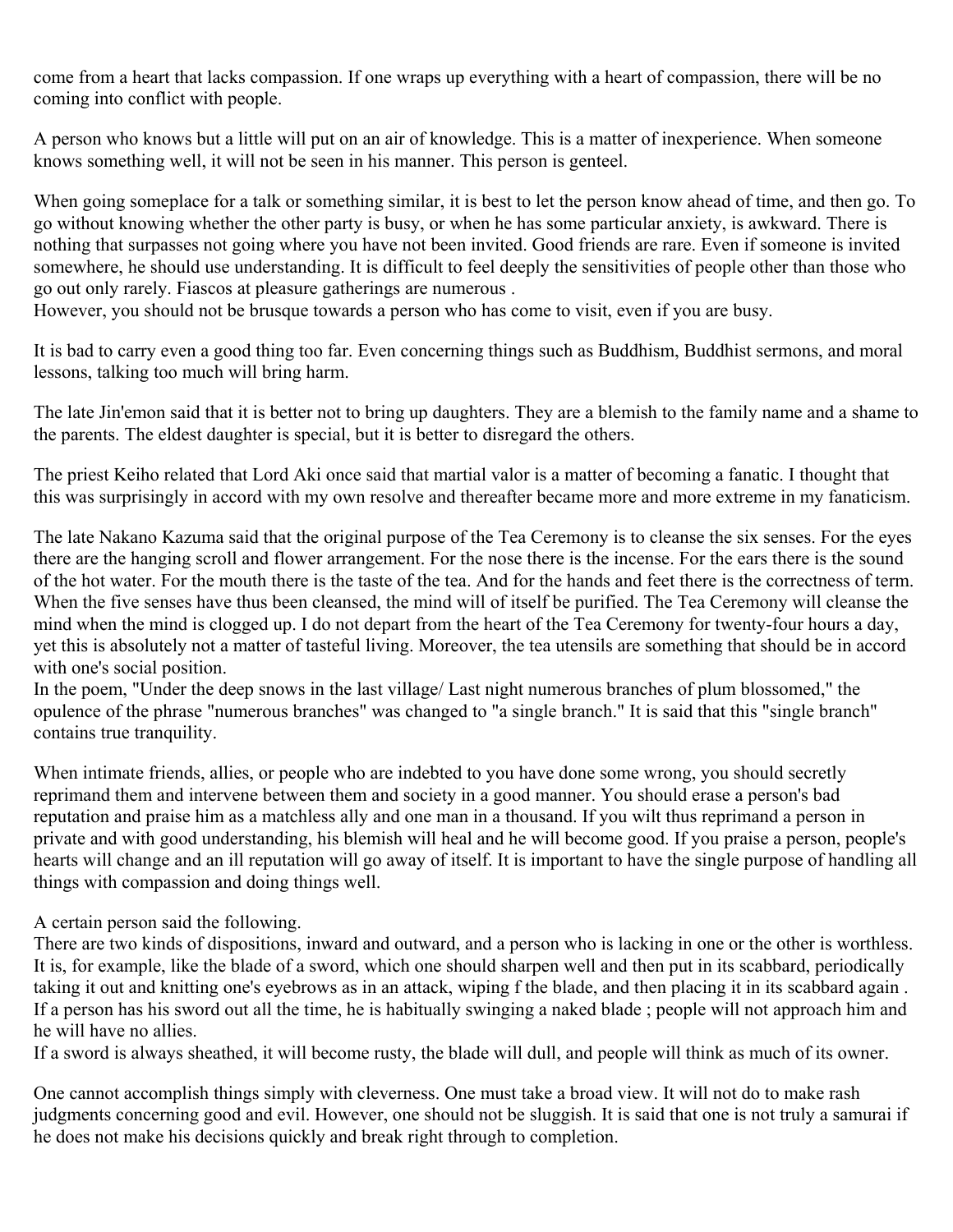come from a heart that lacks compassion. If one wraps up everything with a heart of compassion, there will be no coming into conflict with people.

A person who knows but a little will put on an air of knowledge. This is a matter of inexperience. When someone knows something well, it will not be seen in his manner. This person is genteel.

When going someplace for a talk or something similar, it is best to let the person know ahead of time, and then go. To go without knowing whether the other party is busy, or when he has some particular anxiety, is awkward. There is nothing that surpasses not going where you have not been invited. Good friends are rare. Even if someone is invited somewhere, he should use understanding. It is difficult to feel deeply the sensitivities of people other than those who go out only rarely. Fiascos at pleasure gatherings are numerous .

However, you should not be brusque towards a person who has come to visit, even if you are busy.

It is bad to carry even a good thing too far. Even concerning things such as Buddhism, Buddhist sermons, and moral lessons, talking too much will bring harm.

The late Jin'emon said that it is better not to bring up daughters. They are a blemish to the family name and a shame to the parents. The eldest daughter is special, but it is better to disregard the others.

The priest Keiho related that Lord Aki once said that martial valor is a matter of becoming a fanatic. I thought that this was surprisingly in accord with my own resolve and thereafter became more and more extreme in my fanaticism.

The late Nakano Kazuma said that the original purpose of the Tea Ceremony is to cleanse the six senses. For the eyes there are the hanging scroll and flower arrangement. For the nose there is the incense. For the ears there is the sound of the hot water. For the mouth there is the taste of the tea. And for the hands and feet there is the correctness of term. When the five senses have thus been cleansed, the mind will of itself be purified. The Tea Ceremony will cleanse the mind when the mind is clogged up. I do not depart from the heart of the Tea Ceremony for twenty-four hours a day, yet this is absolutely not a matter of tasteful living. Moreover, the tea utensils are something that should be in accord with one's social position.

In the poem, "Under the deep snows in the last village/ Last night numerous branches of plum blossomed," the opulence of the phrase "numerous branches" was changed to "a single branch." It is said that this "single branch" contains true tranquility.

When intimate friends, allies, or people who are indebted to you have done some wrong, you should secretly reprimand them and intervene between them and society in a good manner. You should erase a person's bad reputation and praise him as a matchless ally and one man in a thousand. If you wilt thus reprimand a person in private and with good understanding, his blemish will heal and he will become good. If you praise a person, people's hearts will change and an ill reputation will go away of itself. It is important to have the single purpose of handling all things with compassion and doing things well.

A certain person said the following.

There are two kinds of dispositions, inward and outward, and a person who is lacking in one or the other is worthless. It is, for example, like the blade of a sword, which one should sharpen well and then put in its scabbard, periodically taking it out and knitting one's eyebrows as in an attack, wiping f the blade, and then placing it in its scabbard again . If a person has his sword out all the time, he is habitually swinging a naked blade ; people will not approach him and he will have no allies.

If a sword is always sheathed, it will become rusty, the blade will dull, and people will think as much of its owner.

One cannot accomplish things simply with cleverness. One must take a broad view. It will not do to make rash judgments concerning good and evil. However, one should not be sluggish. It is said that one is not truly a samurai if he does not make his decisions quickly and break right through to completion.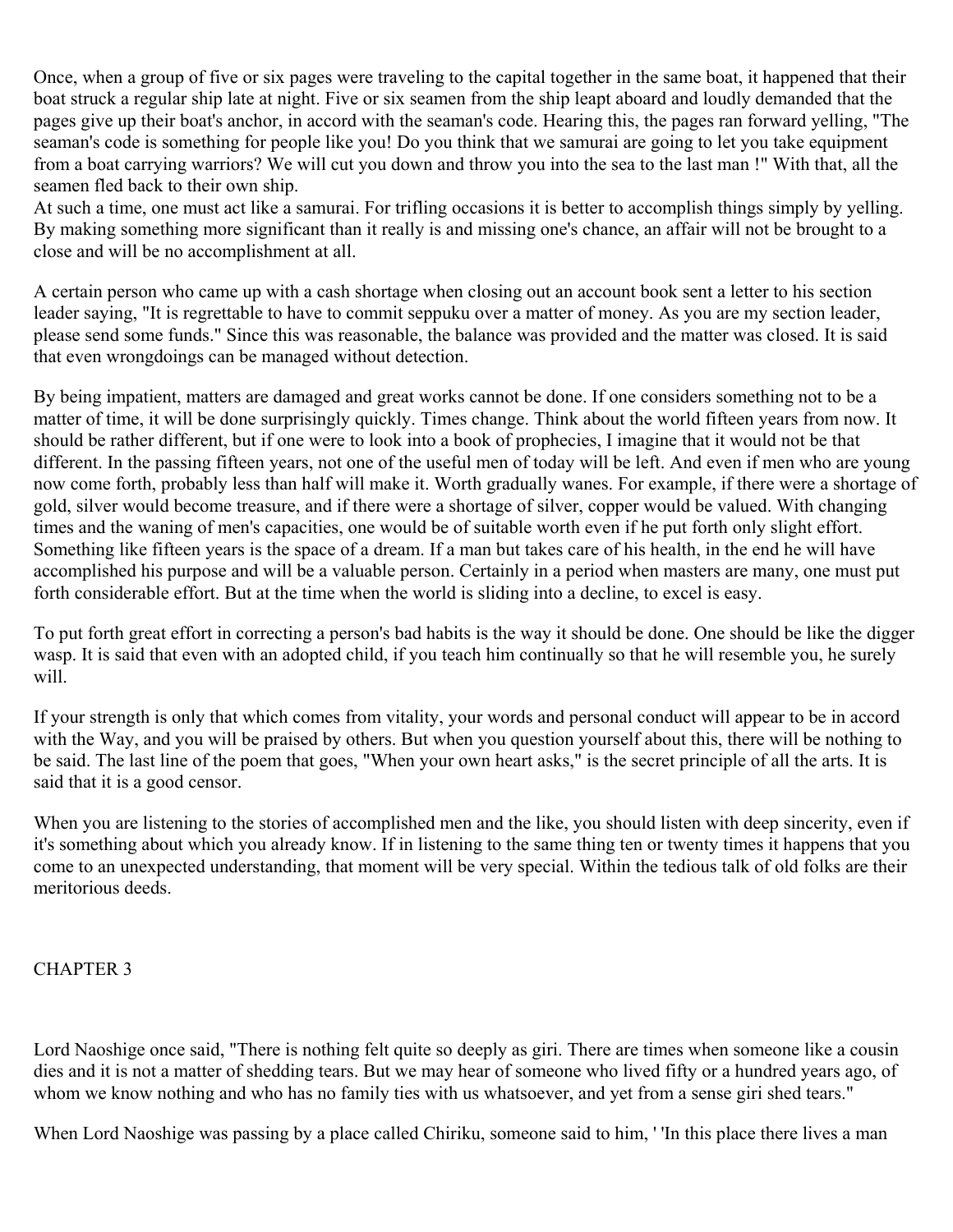Once, when a group of five or six pages were traveling to the capital together in the same boat, it happened that their boat struck a regular ship late at night. Five or six seamen from the ship leapt aboard and loudly demanded that the pages give up their boat's anchor, in accord with the seaman's code. Hearing this, the pages ran forward yelling, "The seaman's code is something for people like you! Do you think that we samurai are going to let you take equipment from a boat carrying warriors? We will cut you down and throw you into the sea to the last man !" With that, all the seamen fled back to their own ship.

At such a time, one must act like a samurai. For trifling occasions it is better to accomplish things simply by yelling. By making something more significant than it really is and missing one's chance, an affair will not be brought to a close and will be no accomplishment at all.

A certain person who came up with a cash shortage when closing out an account book sent a letter to his section leader saying, "It is regrettable to have to commit seppuku over a matter of money. As you are my section leader, please send some funds." Since this was reasonable, the balance was provided and the matter was closed. It is said that even wrongdoings can be managed without detection.

By being impatient, matters are damaged and great works cannot be done. If one considers something not to be a matter of time, it will be done surprisingly quickly. Times change. Think about the world fifteen years from now. It should be rather different, but if one were to look into a book of prophecies, I imagine that it would not be that different. In the passing fifteen years, not one of the useful men of today will be left. And even if men who are young now come forth, probably less than half will make it. Worth gradually wanes. For example, if there were a shortage of gold, silver would become treasure, and if there were a shortage of silver, copper would be valued. With changing times and the waning of men's capacities, one would be of suitable worth even if he put forth only slight effort. Something like fifteen years is the space of a dream. If a man but takes care of his health, in the end he will have accomplished his purpose and will be a valuable person. Certainly in a period when masters are many, one must put forth considerable effort. But at the time when the world is sliding into a decline, to excel is easy.

To put forth great effort in correcting a person's bad habits is the way it should be done. One should be like the digger wasp. It is said that even with an adopted child, if you teach him continually so that he will resemble you, he surely will.

If your strength is only that which comes from vitality, your words and personal conduct will appear to be in accord with the Way, and you will be praised by others. But when you question yourself about this, there will be nothing to be said. The last line of the poem that goes, "When your own heart asks," is the secret principle of all the arts. It is said that it is a good censor.

When you are listening to the stories of accomplished men and the like, you should listen with deep sincerity, even if it's something about which you already know. If in listening to the same thing ten or twenty times it happens that you come to an unexpected understanding, that moment will be very special. Within the tedious talk of old folks are their meritorious deeds.

#### CHAPTER 3

Lord Naoshige once said, "There is nothing felt quite so deeply as giri. There are times when someone like a cousin dies and it is not a matter of shedding tears. But we may hear of someone who lived fifty or a hundred years ago, of whom we know nothing and who has no family ties with us whatsoever, and yet from a sense giri shed tears."

When Lord Naoshige was passing by a place called Chiriku, someone said to him, ' In this place there lives a man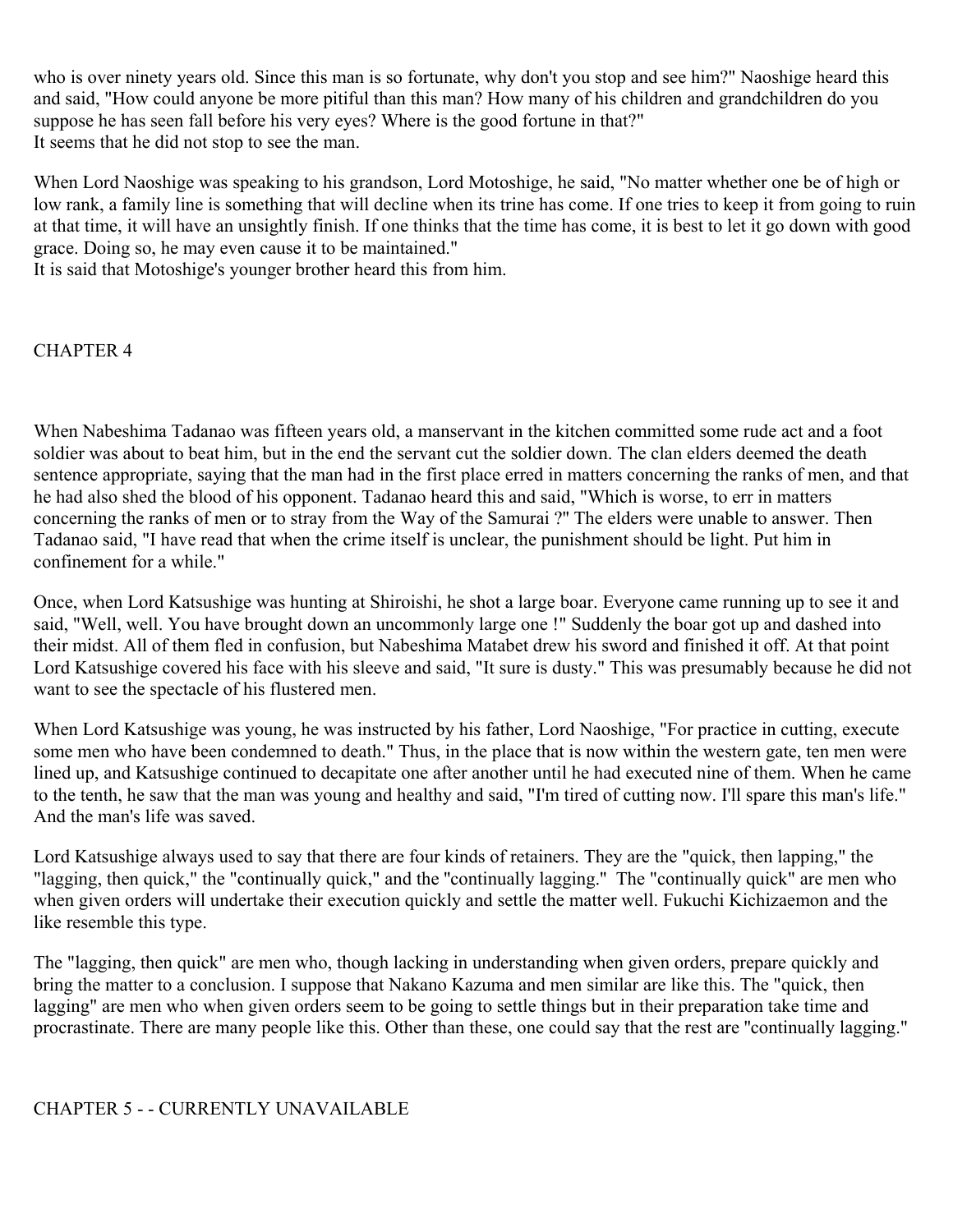who is over ninety years old. Since this man is so fortunate, why don't you stop and see him?" Naoshige heard this and said, "How could anyone be more pitiful than this man? How many of his children and grandchildren do you suppose he has seen fall before his very eyes? Where is the good fortune in that?" It seems that he did not stop to see the man.

When Lord Naoshige was speaking to his grandson, Lord Motoshige, he said, "No matter whether one be of high or low rank, a family line is something that will decline when its trine has come. If one tries to keep it from going to ruin at that time, it will have an unsightly finish. If one thinks that the time has come, it is best to let it go down with good grace. Doing so, he may even cause it to be maintained."

It is said that Motoshige's younger brother heard this from him.

#### CHAPTER 4

When Nabeshima Tadanao was fifteen years old, a manservant in the kitchen committed some rude act and a foot soldier was about to beat him, but in the end the servant cut the soldier down. The clan elders deemed the death sentence appropriate, saying that the man had in the first place erred in matters concerning the ranks of men, and that he had also shed the blood of his opponent. Tadanao heard this and said, "Which is worse, to err in matters concerning the ranks of men or to stray from the Way of the Samurai ?'' The elders were unable to answer. Then Tadanao said, "I have read that when the crime itself is unclear, the punishment should be light. Put him in confinement for a while."

Once, when Lord Katsushige was hunting at Shiroishi, he shot a large boar. Everyone came running up to see it and said, "Well, well. You have brought down an uncommonly large one !" Suddenly the boar got up and dashed into their midst. All of them fled in confusion, but Nabeshima Matabet drew his sword and finished it off. At that point Lord Katsushige covered his face with his sleeve and said, "It sure is dusty." This was presumably because he did not want to see the spectacle of his flustered men.

When Lord Katsushige was young, he was instructed by his father, Lord Naoshige, "For practice in cutting, execute some men who have been condemned to death." Thus, in the place that is now within the western gate, ten men were lined up, and Katsushige continued to decapitate one after another until he had executed nine of them. When he came to the tenth, he saw that the man was young and healthy and said, "I'm tired of cutting now. I'll spare this man's life." And the man's life was saved.

Lord Katsushige always used to say that there are four kinds of retainers. They are the "quick, then lapping," the "lagging, then quick," the "continually quick," and the ''continually lagging.'' The "continually quick" are men who when given orders will undertake their execution quickly and settle the matter well. Fukuchi Kichizaemon and the like resemble this type.

The "lagging, then quick" are men who, though lacking in understanding when given orders, prepare quickly and bring the matter to a conclusion. I suppose that Nakano Kazuma and men similar are like this. The "quick, then lagging" are men who when given orders seem to be going to settle things but in their preparation take time and procrastinate. There are many people like this. Other than these, one could say that the rest are ''continually lagging."

#### CHAPTER 5 - - CURRENTLY UNAVAILABLE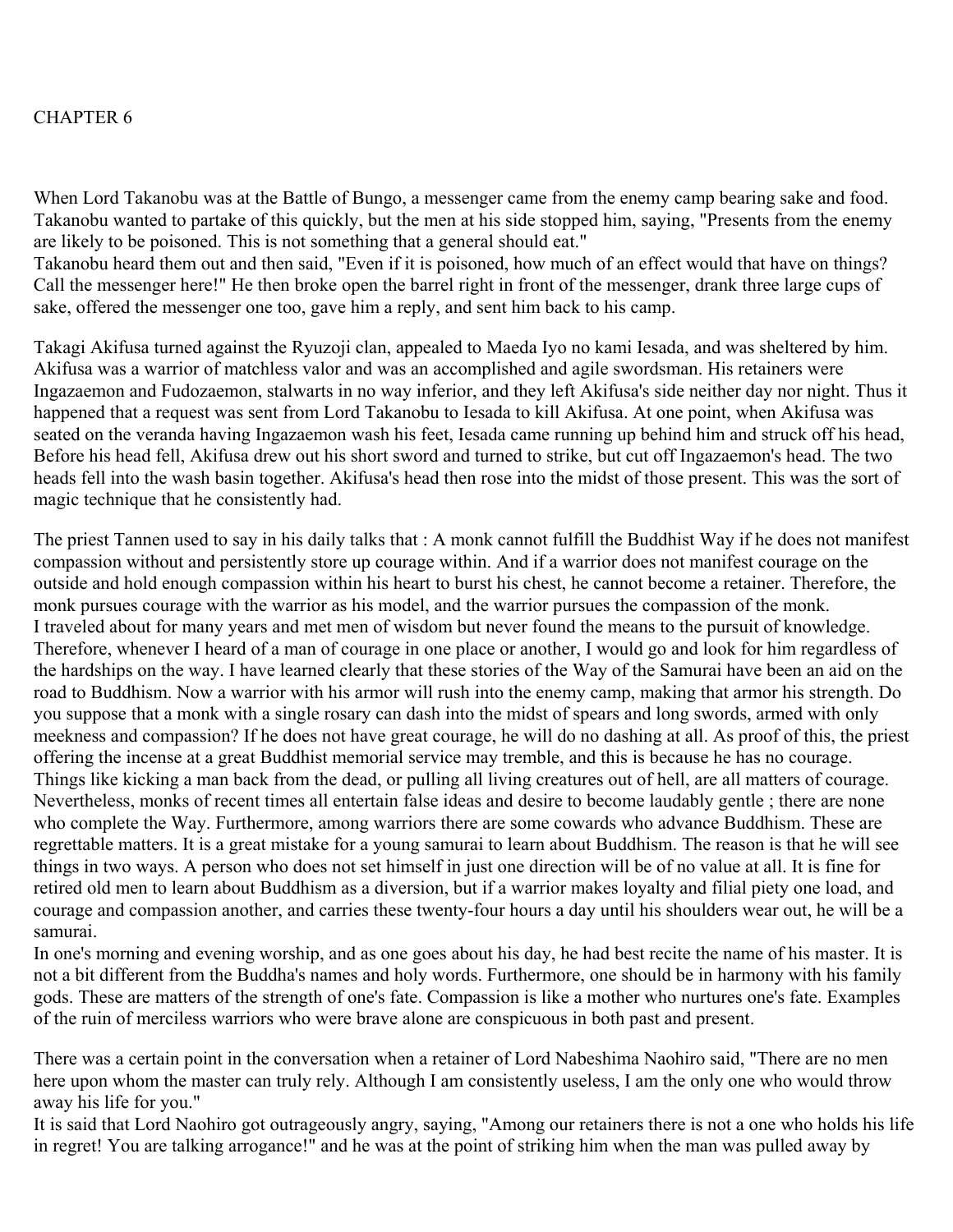#### CHAPTER 6

When Lord Takanobu was at the Battle of Bungo, a messenger came from the enemy camp bearing sake and food. Takanobu wanted to partake of this quickly, but the men at his side stopped him, saying, "Presents from the enemy are likely to be poisoned. This is not something that a general should eat."

Takanobu heard them out and then said, "Even if it is poisoned, how much of an effect would that have on things? Call the messenger here!" He then broke open the barrel right in front of the messenger, drank three large cups of sake, offered the messenger one too, gave him a reply, and sent him back to his camp.

Takagi Akifusa turned against the Ryuzoji clan, appealed to Maeda Iyo no kami Iesada, and was sheltered by him. Akifusa was a warrior of matchless valor and was an accomplished and agile swordsman. His retainers were Ingazaemon and Fudozaemon, stalwarts in no way inferior, and they left Akifusa's side neither day nor night. Thus it happened that a request was sent from Lord Takanobu to Iesada to kill Akifusa. At one point, when Akifusa was seated on the veranda having Ingazaemon wash his feet, Iesada came running up behind him and struck off his head, Before his head fell, Akifusa drew out his short sword and turned to strike, but cut off Ingazaemon's head. The two heads fell into the wash basin together. Akifusa's head then rose into the midst of those present. This was the sort of magic technique that he consistently had.

The priest Tannen used to say in his daily talks that : A monk cannot fulfill the Buddhist Way if he does not manifest compassion without and persistently store up courage within. And if a warrior does not manifest courage on the outside and hold enough compassion within his heart to burst his chest, he cannot become a retainer. Therefore, the monk pursues courage with the warrior as his model, and the warrior pursues the compassion of the monk. I traveled about for many years and met men of wisdom but never found the means to the pursuit of knowledge. Therefore, whenever I heard of a man of courage in one place or another, I would go and look for him regardless of the hardships on the way. I have learned clearly that these stories of the Way of the Samurai have been an aid on the road to Buddhism. Now a warrior with his armor will rush into the enemy camp, making that armor his strength. Do you suppose that a monk with a single rosary can dash into the midst of spears and long swords, armed with only meekness and compassion? If he does not have great courage, he will do no dashing at all. As proof of this, the priest offering the incense at a great Buddhist memorial service may tremble, and this is because he has no courage. Things like kicking a man back from the dead, or pulling all living creatures out of hell, are all matters of courage. Nevertheless, monks of recent times all entertain false ideas and desire to become laudably gentle ; there are none who complete the Way. Furthermore, among warriors there are some cowards who advance Buddhism. These are regrettable matters. It is a great mistake for a young samurai to learn about Buddhism. The reason is that he will see things in two ways. A person who does not set himself in just one direction will be of no value at all. It is fine for retired old men to learn about Buddhism as a diversion, but if a warrior makes loyalty and filial piety one load, and courage and compassion another, and carries these twenty-four hours a day until his shoulders wear out, he will be a samurai.

In one's morning and evening worship, and as one goes about his day, he had best recite the name of his master. It is not a bit different from the Buddha's names and holy words. Furthermore, one should be in harmony with his family gods. These are matters of the strength of one's fate. Compassion is like a mother who nurtures one's fate. Examples of the ruin of merciless warriors who were brave alone are conspicuous in both past and present.

There was a certain point in the conversation when a retainer of Lord Nabeshima Naohiro said, "There are no men here upon whom the master can truly rely. Although I am consistently useless, I am the only one who would throw away his life for you."

It is said that Lord Naohiro got outrageously angry, saying, "Among our retainers there is not a one who holds his life in regret! You are talking arrogance!" and he was at the point of striking him when the man was pulled away by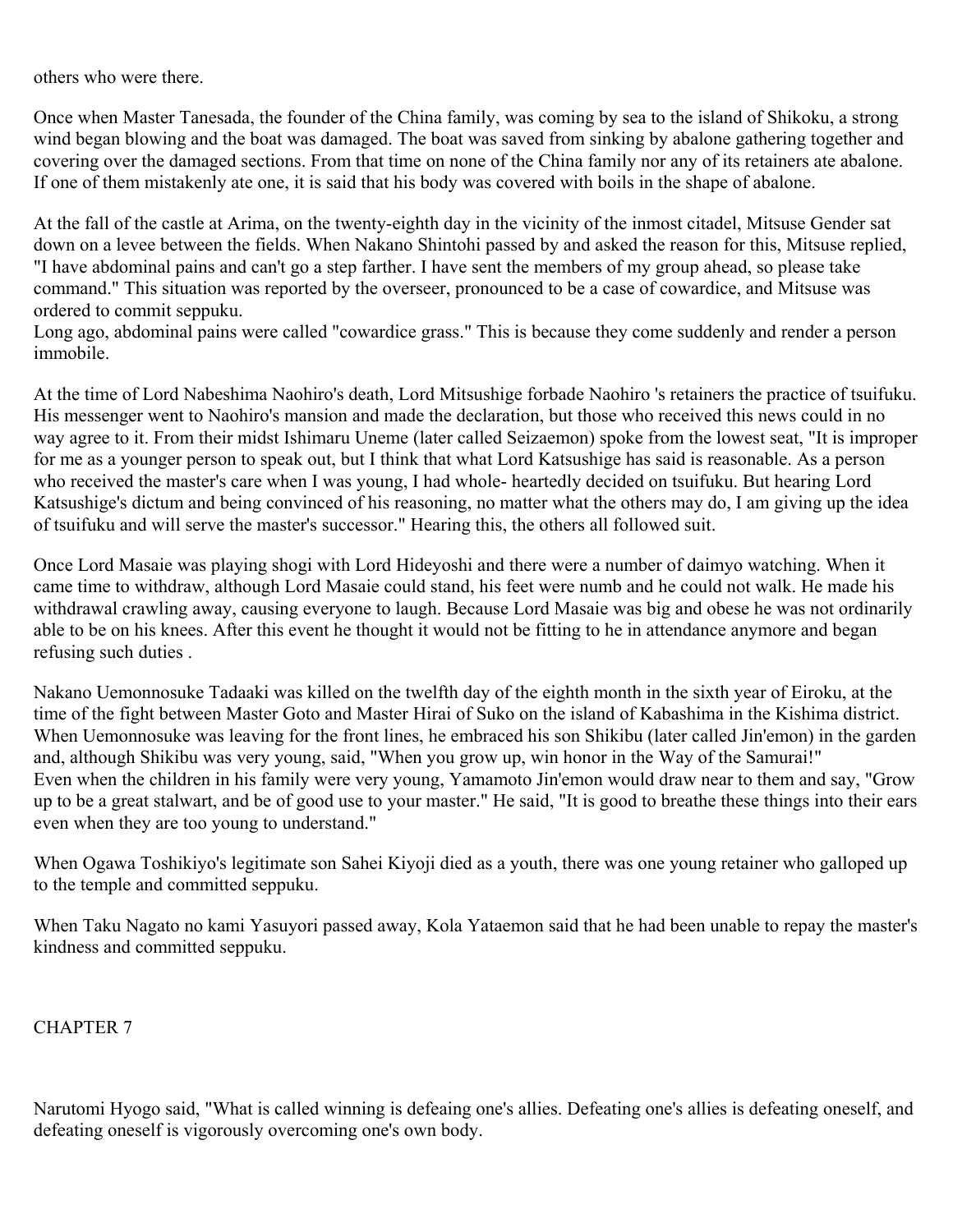others who were there.

Once when Master Tanesada, the founder of the China family, was coming by sea to the island of Shikoku, a strong wind began blowing and the boat was damaged. The boat was saved from sinking by abalone gathering together and covering over the damaged sections. From that time on none of the China family nor any of its retainers ate abalone. If one of them mistakenly ate one, it is said that his body was covered with boils in the shape of abalone.

At the fall of the castle at Arima, on the twenty-eighth day in the vicinity of the inmost citadel, Mitsuse Gender sat down on a levee between the fields. When Nakano Shintohi passed by and asked the reason for this, Mitsuse replied, "I have abdominal pains and can't go a step farther. I have sent the members of my group ahead, so please take command." This situation was reported by the overseer, pronounced to be a case of cowardice, and Mitsuse was ordered to commit seppuku.

Long ago, abdominal pains were called "cowardice grass." This is because they come suddenly and render a person immobile.

At the time of Lord Nabeshima Naohiro's death, Lord Mitsushige forbade Naohiro 's retainers the practice of tsuifuku. His messenger went to Naohiro's mansion and made the declaration, but those who received this news could in no way agree to it. From their midst Ishimaru Uneme (later called Seizaemon) spoke from the lowest seat, "It is improper for me as a younger person to speak out, but I think that what Lord Katsushige has said is reasonable. As a person who received the master's care when I was young, I had whole- heartedly decided on tsuifuku. But hearing Lord Katsushige's dictum and being convinced of his reasoning, no matter what the others may do, I am giving up the idea of tsuifuku and will serve the master's successor." Hearing this, the others all followed suit.

Once Lord Masaie was playing shogi with Lord Hideyoshi and there were a number of daimyo watching. When it came time to withdraw, although Lord Masaie could stand, his feet were numb and he could not walk. He made his withdrawal crawling away, causing everyone to laugh. Because Lord Masaie was big and obese he was not ordinarily able to be on his knees. After this event he thought it would not be fitting to he in attendance anymore and began refusing such duties .

Nakano Uemonnosuke Tadaaki was killed on the twelfth day of the eighth month in the sixth year of Eiroku, at the time of the fight between Master Goto and Master Hirai of Suko on the island of Kabashima in the Kishima district. When Uemonnosuke was leaving for the front lines, he embraced his son Shikibu (later called Jin'emon) in the garden and, although Shikibu was very young, said, "When you grow up, win honor in the Way of the Samurai!" Even when the children in his family were very young, Yamamoto Jin'emon would draw near to them and say, "Grow up to be a great stalwart, and be of good use to your master." He said, "It is good to breathe these things into their ears even when they are too young to understand."

When Ogawa Toshikiyo's legitimate son Sahei Kiyoji died as a youth, there was one young retainer who galloped up to the temple and committed seppuku.

When Taku Nagato no kami Yasuyori passed away, Kola Yataemon said that he had been unable to repay the master's kindness and committed seppuku.

CHAPTER 7

Narutomi Hyogo said, "What is called winning is defeaing one's allies. Defeating one's allies is defeating oneself, and defeating oneself is vigorously overcoming one's own body.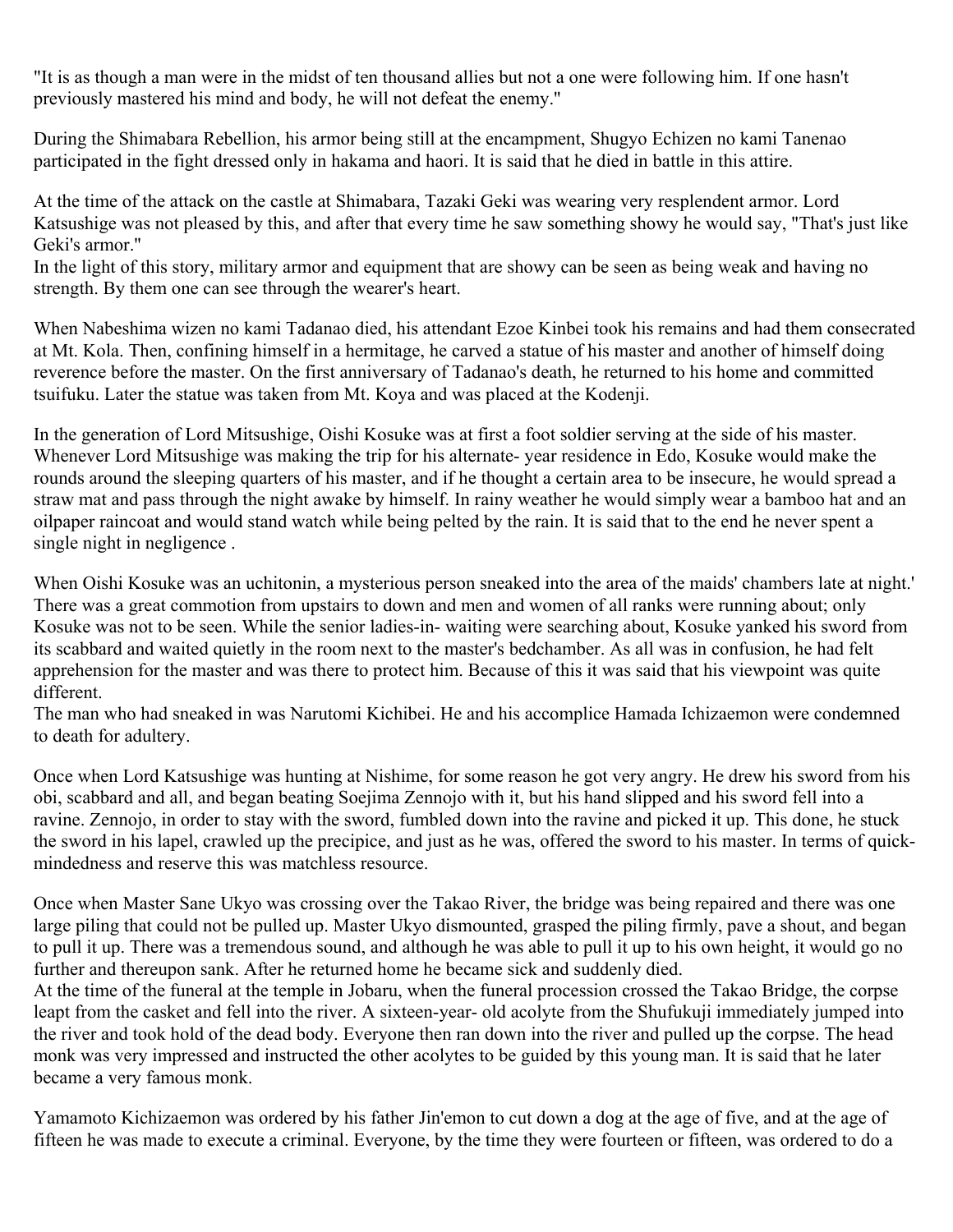"It is as though a man were in the midst of ten thousand allies but not a one were following him. If one hasn't previously mastered his mind and body, he will not defeat the enemy.''

During the Shimabara Rebellion, his armor being still at the encampment, Shugyo Echizen no kami Tanenao participated in the fight dressed only in hakama and haori. It is said that he died in battle in this attire.

At the time of the attack on the castle at Shimabara, Tazaki Geki was wearing very resplendent armor. Lord Katsushige was not pleased by this, and after that every time he saw something showy he would say, "That's just like Geki's armor.''

In the light of this story, military armor and equipment that are showy can be seen as being weak and having no strength. By them one can see through the wearer's heart.

When Nabeshima wizen no kami Tadanao died, his attendant Ezoe Kinbei took his remains and had them consecrated at Mt. Kola. Then, confining himself in a hermitage, he carved a statue of his master and another of himself doing reverence before the master. On the first anniversary of Tadanao's death, he returned to his home and committed tsuifuku. Later the statue was taken from Mt. Koya and was placed at the Kodenji.

In the generation of Lord Mitsushige, Oishi Kosuke was at first a foot soldier serving at the side of his master. Whenever Lord Mitsushige was making the trip for his alternate- year residence in Edo, Kosuke would make the rounds around the sleeping quarters of his master, and if he thought a certain area to be insecure, he would spread a straw mat and pass through the night awake by himself. In rainy weather he would simply wear a bamboo hat and an oilpaper raincoat and would stand watch while being pelted by the rain. It is said that to the end he never spent a single night in negligence .

When Oishi Kosuke was an uchitonin, a mysterious person sneaked into the area of the maids' chambers late at night.' There was a great commotion from upstairs to down and men and women of all ranks were running about; only Kosuke was not to be seen. While the senior ladies-in- waiting were searching about, Kosuke yanked his sword from its scabbard and waited quietly in the room next to the master's bedchamber. As all was in confusion, he had felt apprehension for the master and was there to protect him. Because of this it was said that his viewpoint was quite different.

The man who had sneaked in was Narutomi Kichibei. He and his accomplice Hamada Ichizaemon were condemned to death for adultery.

Once when Lord Katsushige was hunting at Nishime, for some reason he got very angry. He drew his sword from his obi, scabbard and all, and began beating Soejima Zennojo with it, but his hand slipped and his sword fell into a ravine. Zennojo, in order to stay with the sword, fumbled down into the ravine and picked it up. This done, he stuck the sword in his lapel, crawled up the precipice, and just as he was, offered the sword to his master. In terms of quickmindedness and reserve this was matchless resource.

Once when Master Sane Ukyo was crossing over the Takao River, the bridge was being repaired and there was one large piling that could not be pulled up. Master Ukyo dismounted, grasped the piling firmly, pave a shout, and began to pull it up. There was a tremendous sound, and although he was able to pull it up to his own height, it would go no further and thereupon sank. After he returned home he became sick and suddenly died.

At the time of the funeral at the temple in Jobaru, when the funeral procession crossed the Takao Bridge, the corpse leapt from the casket and fell into the river. A sixteen-year- old acolyte from the Shufukuji immediately jumped into the river and took hold of the dead body. Everyone then ran down into the river and pulled up the corpse. The head monk was very impressed and instructed the other acolytes to be guided by this young man. It is said that he later became a very famous monk.

Yamamoto Kichizaemon was ordered by his father Jin'emon to cut down a dog at the age of five, and at the age of fifteen he was made to execute a criminal. Everyone, by the time they were fourteen or fifteen, was ordered to do a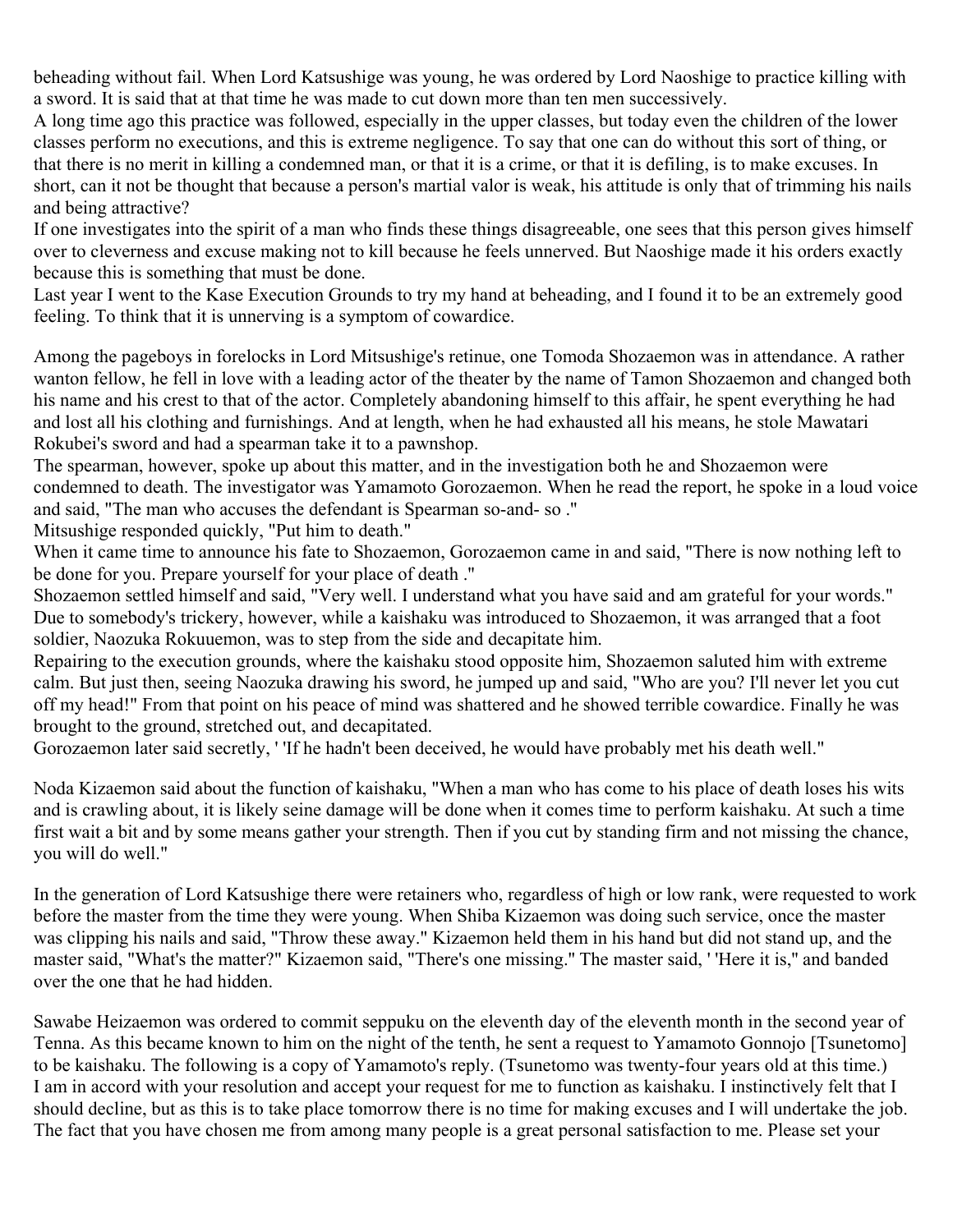beheading without fail. When Lord Katsushige was young, he was ordered by Lord Naoshige to practice killing with a sword. It is said that at that time he was made to cut down more than ten men successively.

A long time ago this practice was followed, especially in the upper classes, but today even the children of the lower classes perform no executions, and this is extreme negligence. To say that one can do without this sort of thing, or that there is no merit in killing a condemned man, or that it is a crime, or that it is defiling, is to make excuses. In short, can it not be thought that because a person's martial valor is weak, his attitude is only that of trimming his nails and being attractive?

If one investigates into the spirit of a man who finds these things disagreeable, one sees that this person gives himself over to cleverness and excuse making not to kill because he feels unnerved. But Naoshige made it his orders exactly because this is something that must be done.

Last year I went to the Kase Execution Grounds to try my hand at beheading, and I found it to be an extremely good feeling. To think that it is unnerving is a symptom of cowardice.

Among the pageboys in forelocks in Lord Mitsushige's retinue, one Tomoda Shozaemon was in attendance. A rather wanton fellow, he fell in love with a leading actor of the theater by the name of Tamon Shozaemon and changed both his name and his crest to that of the actor. Completely abandoning himself to this affair, he spent everything he had and lost all his clothing and furnishings. And at length, when he had exhausted all his means, he stole Mawatari Rokubei's sword and had a spearman take it to a pawnshop.

The spearman, however, spoke up about this matter, and in the investigation both he and Shozaemon were condemned to death. The investigator was Yamamoto Gorozaemon. When he read the report, he spoke in a loud voice and said, "The man who accuses the defendant is Spearman so-and- so .''

Mitsushige responded quickly, "Put him to death."

When it came time to announce his fate to Shozaemon, Gorozaemon came in and said, "There is now nothing left to be done for you. Prepare yourself for your place of death .''

Shozaemon settled himself and said, "Very well. I understand what you have said and am grateful for your words." Due to somebody's trickery, however, while a kaishaku was introduced to Shozaemon, it was arranged that a foot soldier, Naozuka Rokuuemon, was to step from the side and decapitate him.

Repairing to the execution grounds, where the kaishaku stood opposite him, Shozaemon saluted him with extreme calm. But just then, seeing Naozuka drawing his sword, he jumped up and said, "Who are you? I'll never let you cut off my head!" From that point on his peace of mind was shattered and he showed terrible cowardice. Finally he was brought to the ground, stretched out, and decapitated.

Gorozaemon later said secretly, ' 'If he hadn't been deceived, he would have probably met his death well."

Noda Kizaemon said about the function of kaishaku, "When a man who has come to his place of death loses his wits and is crawling about, it is likely seine damage will be done when it comes time to perform kaishaku. At such a time first wait a bit and by some means gather your strength. Then if you cut by standing firm and not missing the chance, you will do well."

In the generation of Lord Katsushige there were retainers who, regardless of high or low rank, were requested to work before the master from the time they were young. When Shiba Kizaemon was doing such service, once the master was clipping his nails and said, "Throw these away." Kizaemon held them in his hand but did not stand up, and the master said, "What's the matter?" Kizaemon said, "There's one missing.'' The master said, ' 'Here it is,'' and banded over the one that he had hidden.

Sawabe Heizaemon was ordered to commit seppuku on the eleventh day of the eleventh month in the second year of Tenna. As this became known to him on the night of the tenth, he sent a request to Yamamoto Gonnojo [Tsunetomo] to be kaishaku. The following is a copy of Yamamoto's reply. (Tsunetomo was twenty-four years old at this time.) I am in accord with your resolution and accept your request for me to function as kaishaku. I instinctively felt that I should decline, but as this is to take place tomorrow there is no time for making excuses and I will undertake the job. The fact that you have chosen me from among many people is a great personal satisfaction to me. Please set your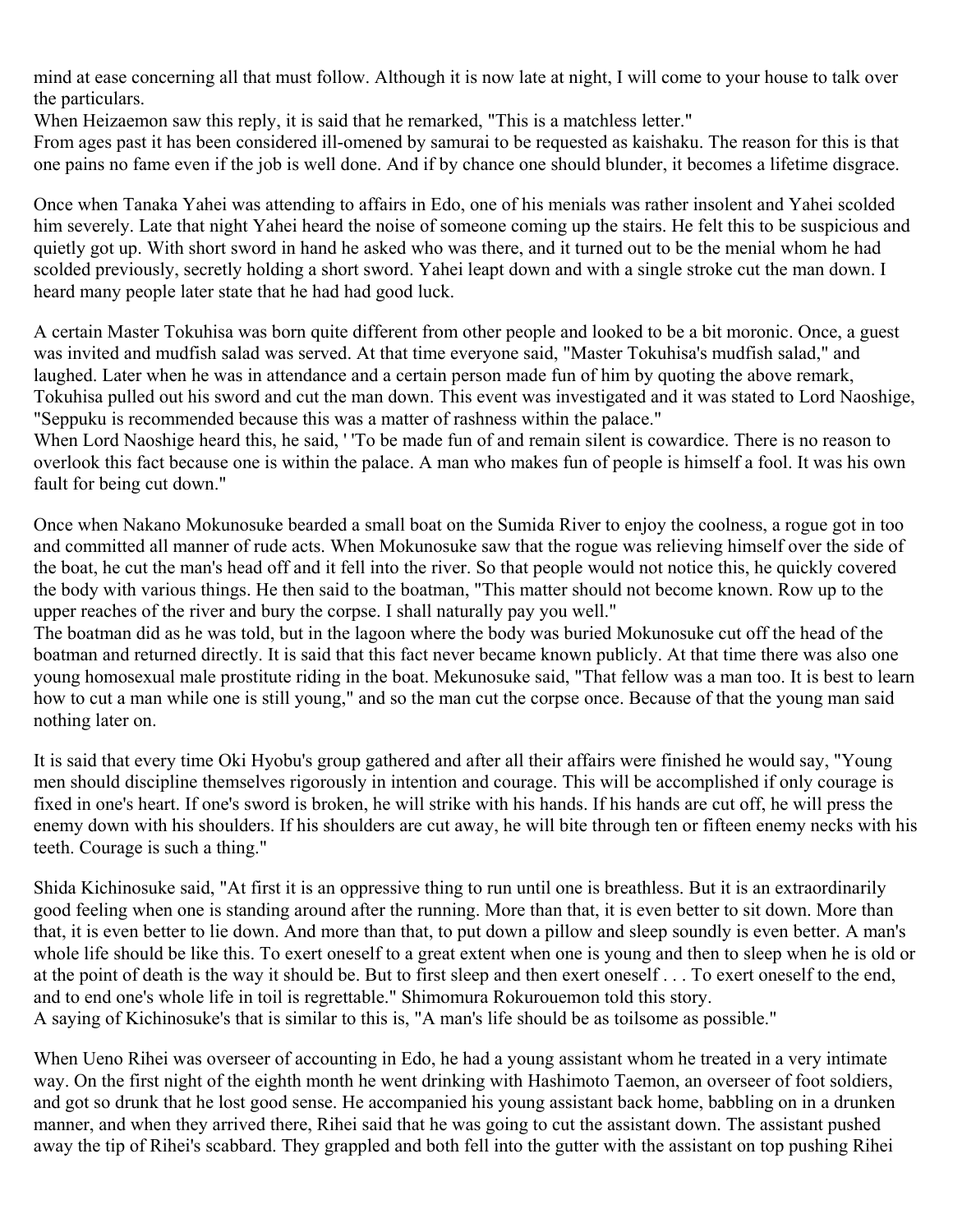mind at ease concerning all that must follow. Although it is now late at night, I will come to your house to talk over the particulars.

When Heizaemon saw this reply, it is said that he remarked, "This is a matchless letter."

From ages past it has been considered ill-omened by samurai to be requested as kaishaku. The reason for this is that one pains no fame even if the job is well done. And if by chance one should blunder, it becomes a lifetime disgrace.

Once when Tanaka Yahei was attending to affairs in Edo, one of his menials was rather insolent and Yahei scolded him severely. Late that night Yahei heard the noise of someone coming up the stairs. He felt this to be suspicious and quietly got up. With short sword in hand he asked who was there, and it turned out to be the menial whom he had scolded previously, secretly holding a short sword. Yahei leapt down and with a single stroke cut the man down. I heard many people later state that he had had good luck.

A certain Master Tokuhisa was born quite different from other people and looked to be a bit moronic. Once, a guest was invited and mudfish salad was served. At that time everyone said, "Master Tokuhisa's mudfish salad," and laughed. Later when he was in attendance and a certain person made fun of him by quoting the above remark, Tokuhisa pulled out his sword and cut the man down. This event was investigated and it was stated to Lord Naoshige, "Seppuku is recommended because this was a matter of rashness within the palace."

When Lord Naoshige heard this, he said, ' 'To be made fun of and remain silent is cowardice. There is no reason to overlook this fact because one is within the palace. A man who makes fun of people is himself a fool. It was his own fault for being cut down."

Once when Nakano Mokunosuke bearded a small boat on the Sumida River to enjoy the coolness, a rogue got in too and committed all manner of rude acts. When Mokunosuke saw that the rogue was relieving himself over the side of the boat, he cut the man's head off and it fell into the river. So that people would not notice this, he quickly covered the body with various things. He then said to the boatman, "This matter should not become known. Row up to the upper reaches of the river and bury the corpse. I shall naturally pay you well."

The boatman did as he was told, but in the lagoon where the body was buried Mokunosuke cut off the head of the boatman and returned directly. It is said that this fact never became known publicly. At that time there was also one young homosexual male prostitute riding in the boat. Mekunosuke said, "That fellow was a man too. It is best to learn how to cut a man while one is still young," and so the man cut the corpse once. Because of that the young man said nothing later on.

It is said that every time Oki Hyobu's group gathered and after all their affairs were finished he would say, "Young men should discipline themselves rigorously in intention and courage. This will be accomplished if only courage is fixed in one's heart. If one's sword is broken, he will strike with his hands. If his hands are cut off, he will press the enemy down with his shoulders. If his shoulders are cut away, he will bite through ten or fifteen enemy necks with his teeth. Courage is such a thing."

Shida Kichinosuke said, "At first it is an oppressive thing to run until one is breathless. But it is an extraordinarily good feeling when one is standing around after the running. More than that, it is even better to sit down. More than that, it is even better to lie down. And more than that, to put down a pillow and sleep soundly is even better. A man's whole life should be like this. To exert oneself to a great extent when one is young and then to sleep when he is old or at the point of death is the way it should be. But to first sleep and then exert oneself . . . To exert oneself to the end, and to end one's whole life in toil is regrettable." Shimomura Rokurouemon told this story. A saying of Kichinosuke's that is similar to this is, "A man's life should be as toilsome as possible."

When Ueno Rihei was overseer of accounting in Edo, he had a young assistant whom he treated in a very intimate way. On the first night of the eighth month he went drinking with Hashimoto Taemon, an overseer of foot soldiers, and got so drunk that he lost good sense. He accompanied his young assistant back home, babbling on in a drunken manner, and when they arrived there, Rihei said that he was going to cut the assistant down. The assistant pushed away the tip of Rihei's scabbard. They grappled and both fell into the gutter with the assistant on top pushing Rihei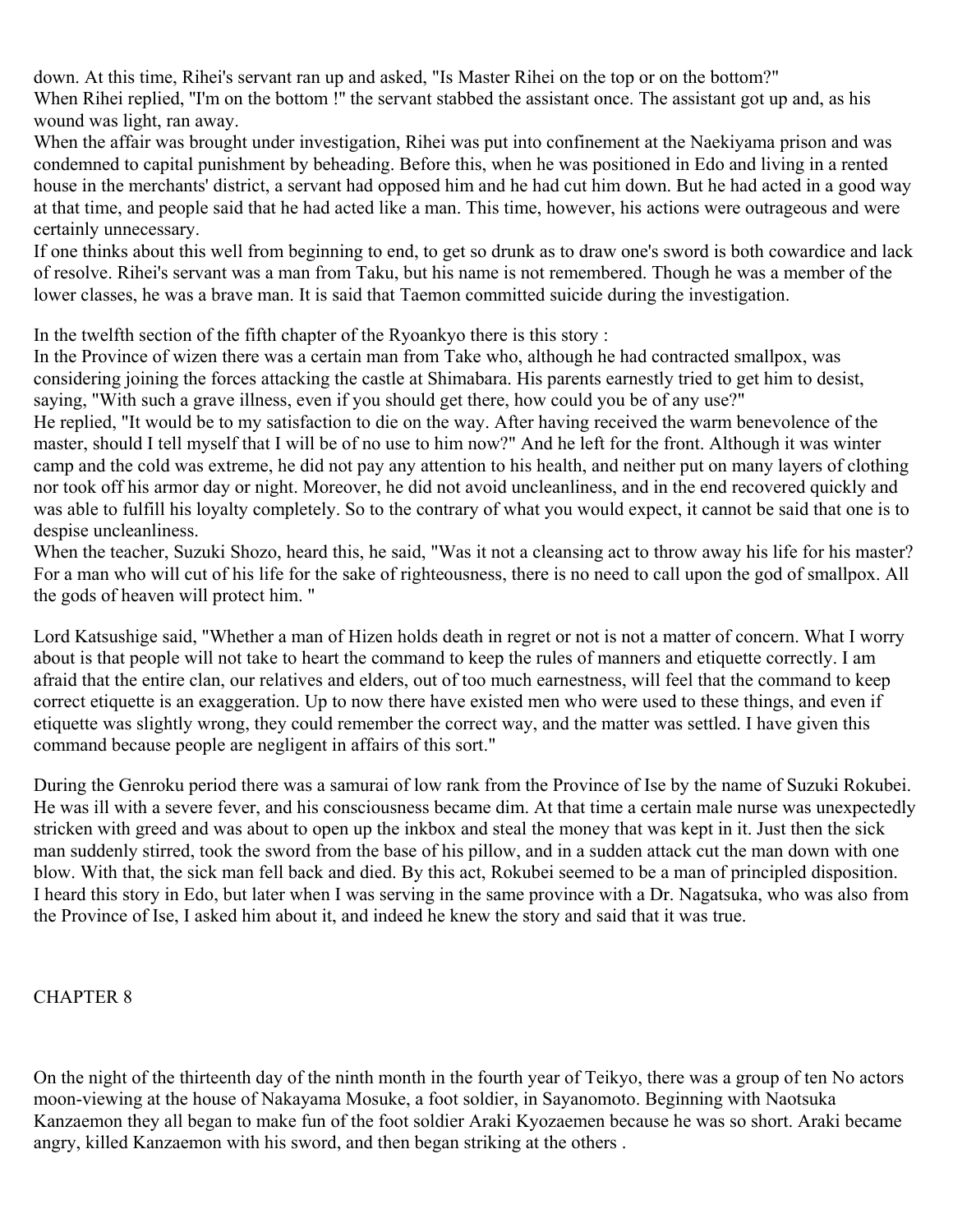down. At this time, Rihei's servant ran up and asked, "Is Master Rihei on the top or on the bottom?" When Rihei replied, "I'm on the bottom !" the servant stabbed the assistant once. The assistant got up and, as his wound was light, ran away.

When the affair was brought under investigation, Rihei was put into confinement at the Naekiyama prison and was condemned to capital punishment by beheading. Before this, when he was positioned in Edo and living in a rented house in the merchants' district, a servant had opposed him and he had cut him down. But he had acted in a good way at that time, and people said that he had acted like a man. This time, however, his actions were outrageous and were certainly unnecessary.

If one thinks about this well from beginning to end, to get so drunk as to draw one's sword is both cowardice and lack of resolve. Rihei's servant was a man from Taku, but his name is not remembered. Though he was a member of the lower classes, he was a brave man. It is said that Taemon committed suicide during the investigation.

In the twelfth section of the fifth chapter of the Ryoankyo there is this story :

In the Province of wizen there was a certain man from Take who, although he had contracted smallpox, was considering joining the forces attacking the castle at Shimabara. His parents earnestly tried to get him to desist, saying, "With such a grave illness, even if you should get there, how could you be of any use?"

He replied, "It would be to my satisfaction to die on the way. After having received the warm benevolence of the master, should I tell myself that I will be of no use to him now?" And he left for the front. Although it was winter camp and the cold was extreme, he did not pay any attention to his health, and neither put on many layers of clothing nor took off his armor day or night. Moreover, he did not avoid uncleanliness, and in the end recovered quickly and was able to fulfill his loyalty completely. So to the contrary of what you would expect, it cannot be said that one is to despise uncleanliness.

When the teacher, Suzuki Shozo, heard this, he said, "Was it not a cleansing act to throw away his life for his master? For a man who will cut of his life for the sake of righteousness, there is no need to call upon the god of smallpox. All the gods of heaven will protect him. "

Lord Katsushige said, "Whether a man of Hizen holds death in regret or not is not a matter of concern. What I worry about is that people will not take to heart the command to keep the rules of manners and etiquette correctly. I am afraid that the entire clan, our relatives and elders, out of too much earnestness, will feel that the command to keep correct etiquette is an exaggeration. Up to now there have existed men who were used to these things, and even if etiquette was slightly wrong, they could remember the correct way, and the matter was settled. I have given this command because people are negligent in affairs of this sort."

During the Genroku period there was a samurai of low rank from the Province of Ise by the name of Suzuki Rokubei. He was ill with a severe fever, and his consciousness became dim. At that time a certain male nurse was unexpectedly stricken with greed and was about to open up the inkbox and steal the money that was kept in it. Just then the sick man suddenly stirred, took the sword from the base of his pillow, and in a sudden attack cut the man down with one blow. With that, the sick man fell back and died. By this act, Rokubei seemed to be a man of principled disposition. I heard this story in Edo, but later when I was serving in the same province with a Dr. Nagatsuka, who was also from the Province of Ise, I asked him about it, and indeed he knew the story and said that it was true.

## CHAPTER 8

On the night of the thirteenth day of the ninth month in the fourth year of Teikyo, there was a group of ten No actors moon-viewing at the house of Nakayama Mosuke, a foot soldier, in Sayanomoto. Beginning with Naotsuka Kanzaemon they all began to make fun of the foot soldier Araki Kyozaemen because he was so short. Araki became angry, killed Kanzaemon with his sword, and then began striking at the others .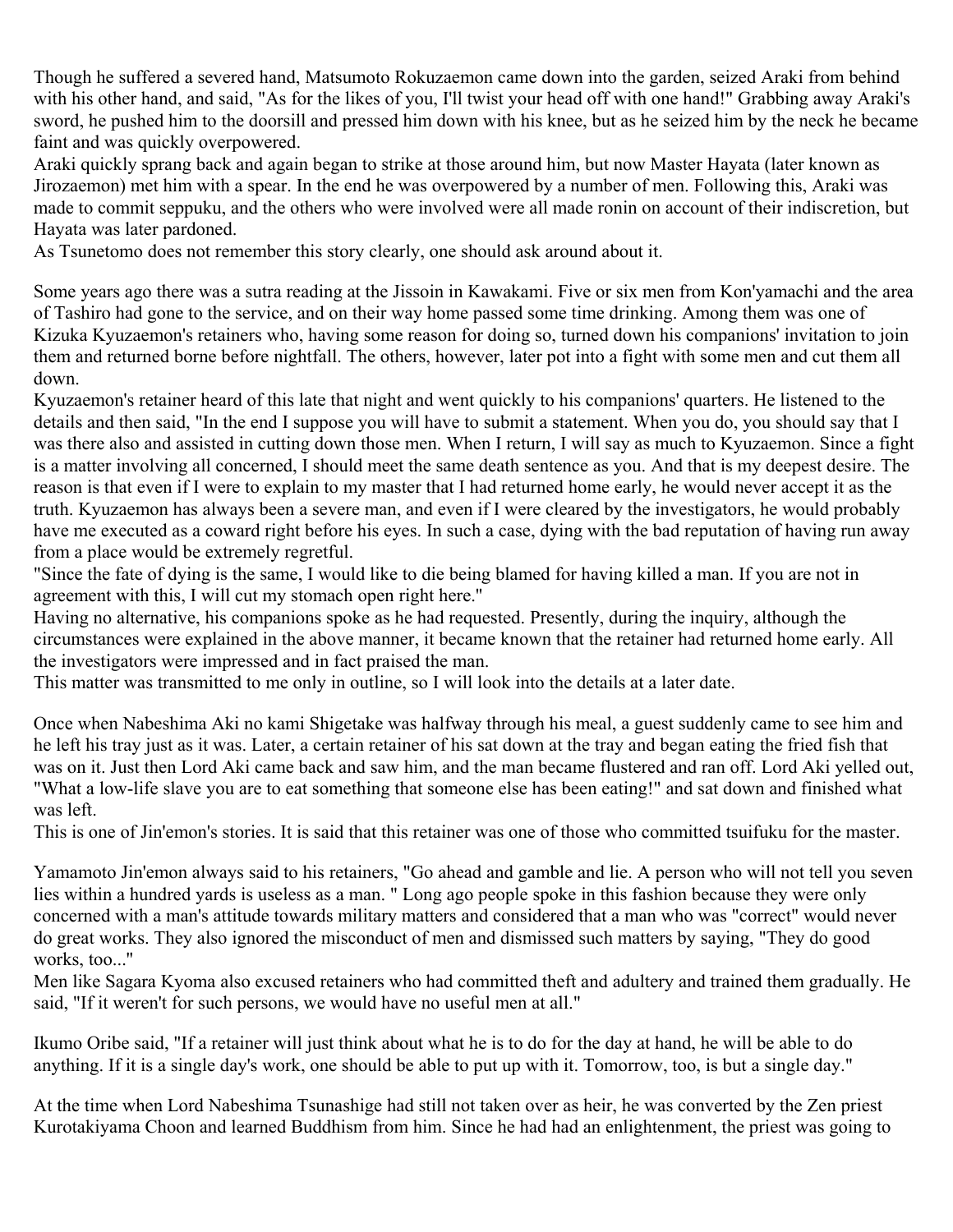Though he suffered a severed hand, Matsumoto Rokuzaemon came down into the garden, seized Araki from behind with his other hand, and said, "As for the likes of you, I'll twist your head off with one hand!" Grabbing away Araki's sword, he pushed him to the doorsill and pressed him down with his knee, but as he seized him by the neck he became faint and was quickly overpowered.

Araki quickly sprang back and again began to strike at those around him, but now Master Hayata (later known as Jirozaemon) met him with a spear. In the end he was overpowered by a number of men. Following this, Araki was made to commit seppuku, and the others who were involved were all made ronin on account of their indiscretion, but Hayata was later pardoned.

As Tsunetomo does not remember this story clearly, one should ask around about it.

Some years ago there was a sutra reading at the Jissoin in Kawakami. Five or six men from Kon'yamachi and the area of Tashiro had gone to the service, and on their way home passed some time drinking. Among them was one of Kizuka Kyuzaemon's retainers who, having some reason for doing so, turned down his companions' invitation to join them and returned borne before nightfall. The others, however, later pot into a fight with some men and cut them all down.

Kyuzaemon's retainer heard of this late that night and went quickly to his companions' quarters. He listened to the details and then said, "In the end I suppose you will have to submit a statement. When you do, you should say that I was there also and assisted in cutting down those men. When I return, I will say as much to Kyuzaemon. Since a fight is a matter involving all concerned, I should meet the same death sentence as you. And that is my deepest desire. The reason is that even if I were to explain to my master that I had returned home early, he would never accept it as the truth. Kyuzaemon has always been a severe man, and even if I were cleared by the investigators, he would probably have me executed as a coward right before his eyes. In such a case, dying with the bad reputation of having run away from a place would be extremely regretful.

"Since the fate of dying is the same, I would like to die being blamed for having killed a man. If you are not in agreement with this, I will cut my stomach open right here.''

Having no alternative, his companions spoke as he had requested. Presently, during the inquiry, although the circumstances were explained in the above manner, it became known that the retainer had returned home early. All the investigators were impressed and in fact praised the man.

This matter was transmitted to me only in outline, so I will look into the details at a later date.

Once when Nabeshima Aki no kami Shigetake was halfway through his meal, a guest suddenly came to see him and he left his tray just as it was. Later, a certain retainer of his sat down at the tray and began eating the fried fish that was on it. Just then Lord Aki came back and saw him, and the man became flustered and ran off. Lord Aki yelled out, "What a low-life slave you are to eat something that someone else has been eating!" and sat down and finished what was left.

This is one of Jin'emon's stories. It is said that this retainer was one of those who committed tsuifuku for the master.

Yamamoto Jin'emon always said to his retainers, "Go ahead and gamble and lie. A person who will not tell you seven lies within a hundred yards is useless as a man. " Long ago people spoke in this fashion because they were only concerned with a man's attitude towards military matters and considered that a man who was "correct" would never do great works. They also ignored the misconduct of men and dismissed such matters by saying, "They do good works, too...''

Men like Sagara Kyoma also excused retainers who had committed theft and adultery and trained them gradually. He said, "If it weren't for such persons, we would have no useful men at all."

Ikumo Oribe said, "If a retainer will just think about what he is to do for the day at hand, he will be able to do anything. If it is a single day's work, one should be able to put up with it. Tomorrow, too, is but a single day."

At the time when Lord Nabeshima Tsunashige had still not taken over as heir, he was converted by the Zen priest Kurotakiyama Choon and learned Buddhism from him. Since he had had an enlightenment, the priest was going to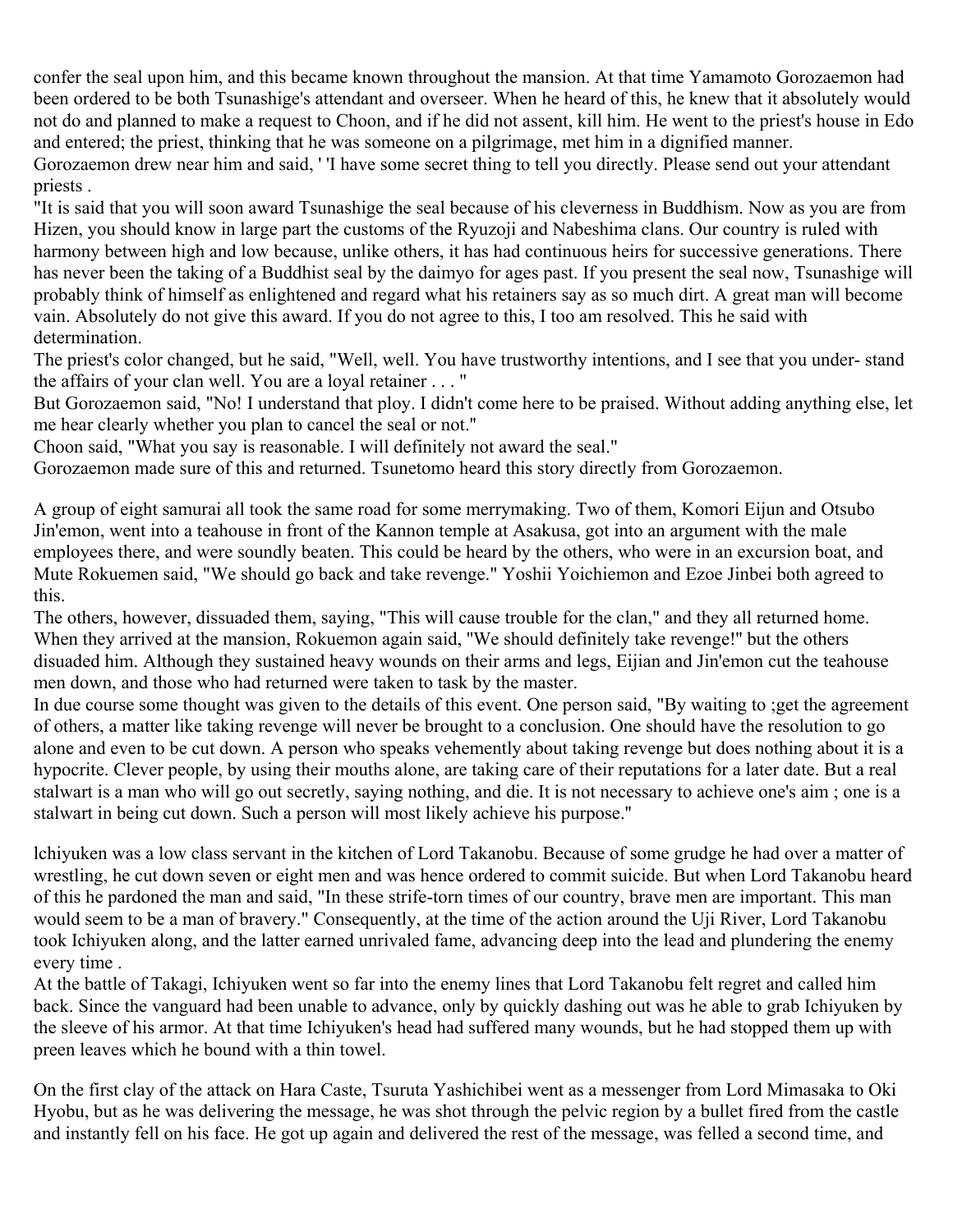confer the seal upon him, and this became known throughout the mansion. At that time Yamamoto Gorozaemon had been ordered to be both Tsunashige's attendant and overseer. When he heard of this, he knew that it absolutely would not do and planned to make a request to Choon, and if he did not assent, kill him. He went to the priest's house in Edo and entered; the priest, thinking that he was someone on a pilgrimage, met him in a dignified manner. Gorozaemon drew near him and said, ' 'I have some secret thing to tell you directly. Please send out your attendant priests .

"It is said that you will soon award Tsunashige the seal because of his cleverness in Buddhism. Now as you are from Hizen, you should know in large part the customs of the Ryuzoji and Nabeshima clans. Our country is ruled with harmony between high and low because, unlike others, it has had continuous heirs for successive generations. There has never been the taking of a Buddhist seal by the daimyo for ages past. If you present the seal now, Tsunashige will probably think of himself as enlightened and regard what his retainers say as so much dirt. A great man will become vain. Absolutely do not give this award. If you do not agree to this, I too am resolved. This he said with determination.

The priest's color changed, but he said, "Well, well. You have trustworthy intentions, and I see that you under- stand the affairs of your clan well. You are a loyal retainer . . . "

But Gorozaemon said, "No! I understand that ploy. I didn't come here to be praised. Without adding anything else, let me hear clearly whether you plan to cancel the seal or not.''

Choon said, "What you say is reasonable. I will definitely not award the seal."

Gorozaemon made sure of this and returned. Tsunetomo heard this story directly from Gorozaemon.

A group of eight samurai all took the same road for some merrymaking. Two of them, Komori Eijun and Otsubo Jin'emon, went into a teahouse in front of the Kannon temple at Asakusa, got into an argument with the male employees there, and were soundly beaten. This could be heard by the others, who were in an excursion boat, and Mute Rokuemen said, "We should go back and take revenge." Yoshii Yoichiemon and Ezoe Jinbei both agreed to this.

The others, however, dissuaded them, saying, "This will cause trouble for the clan," and they all returned home. When they arrived at the mansion, Rokuemon again said, ''We should definitely take revenge!'' but the others disuaded him. Although they sustained heavy wounds on their arms and legs, Eijian and Jin'emon cut the teahouse men down, and those who had returned were taken to task by the master.

In due course some thought was given to the details of this event. One person said, "By waiting to ;get the agreement of others, a matter like taking revenge will never be brought to a conclusion. One should have the resolution to go alone and even to be cut down. A person who speaks vehemently about taking revenge but does nothing about it is a hypocrite. Clever people, by using their mouths alone, are taking care of their reputations for a later date. But a real stalwart is a man who will go out secretly, saying nothing, and die. It is not necessary to achieve one's aim ; one is a stalwart in being cut down. Such a person will most likely achieve his purpose.''

lchiyuken was a low class servant in the kitchen of Lord Takanobu. Because of some grudge he had over a matter of wrestling, he cut down seven or eight men and was hence ordered to commit suicide. But when Lord Takanobu heard of this he pardoned the man and said, "In these strife-torn times of our country, brave men are important. This man would seem to be a man of bravery." Consequently, at the time of the action around the Uji River, Lord Takanobu took Ichiyuken along, and the latter earned unrivaled fame, advancing deep into the lead and plundering the enemy every time .

At the battle of Takagi, Ichiyuken went so far into the enemy lines that Lord Takanobu felt regret and called him back. Since the vanguard had been unable to advance, only by quickly dashing out was he able to grab Ichiyuken by the sleeve of his armor. At that time Ichiyuken's head had suffered many wounds, but he had stopped them up with preen leaves which he bound with a thin towel.

On the first clay of the attack on Hara Caste, Tsuruta Yashichibei went as a messenger from Lord Mimasaka to Oki Hyobu, but as he was delivering the message, he was shot through the pelvic region by a bullet fired from the castle and instantly fell on his face. He got up again and delivered the rest of the message, was felled a second time, and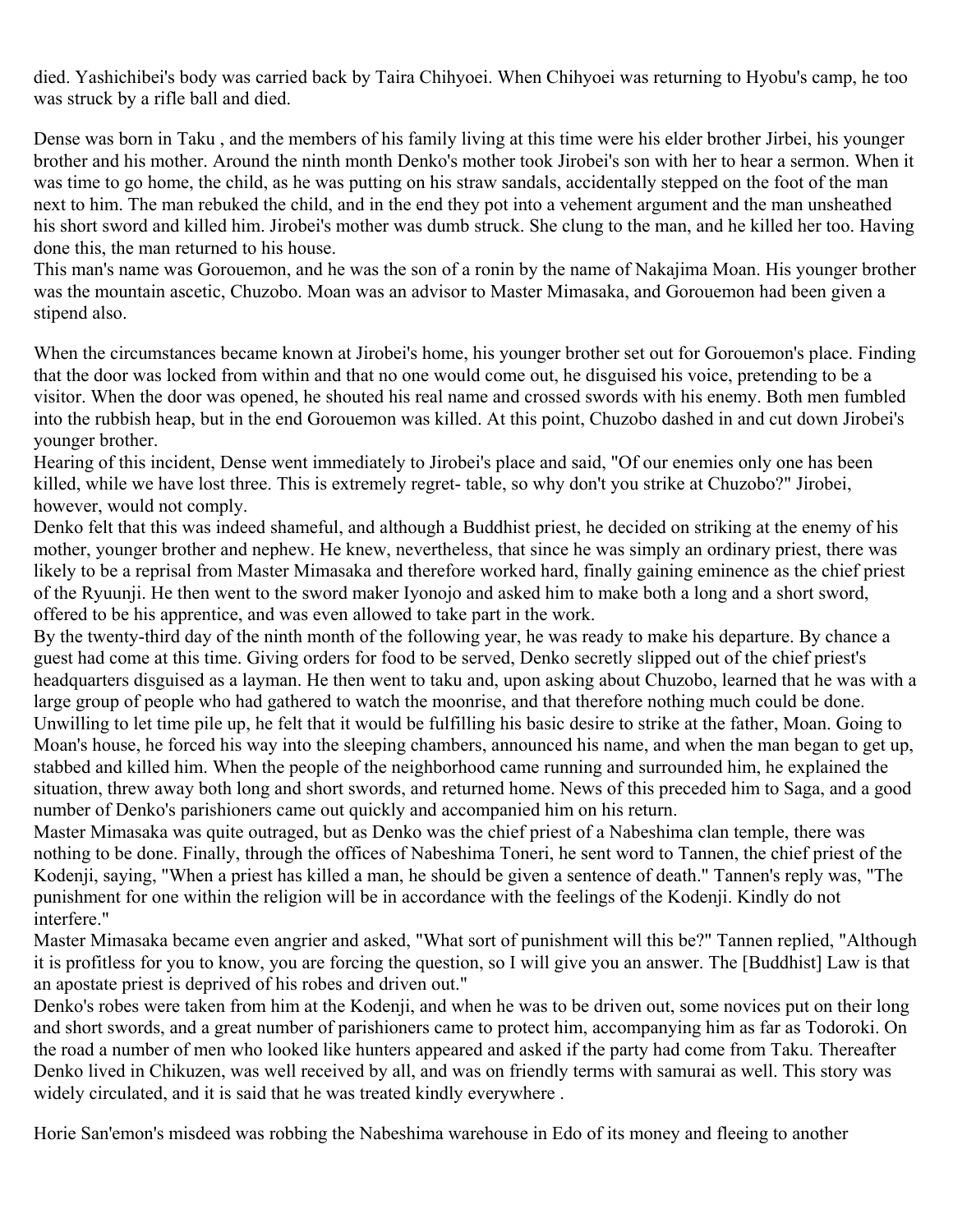died. Yashichibei's body was carried back by Taira Chihyoei. When Chihyoei was returning to Hyobu's camp, he too was struck by a rifle ball and died.

Dense was born in Taku , and the members of his family living at this time were his elder brother Jirbei, his younger brother and his mother. Around the ninth month Denko's mother took Jirobei's son with her to hear a sermon. When it was time to go home, the child, as he was putting on his straw sandals, accidentally stepped on the foot of the man next to him. The man rebuked the child, and in the end they pot into a vehement argument and the man unsheathed his short sword and killed him. Jirobei's mother was dumb struck. She clung to the man, and he killed her too. Having done this, the man returned to his house.

This man's name was Gorouemon, and he was the son of a ronin by the name of Nakajima Moan. His younger brother was the mountain ascetic, Chuzobo. Moan was an advisor to Master Mimasaka, and Gorouemon had been given a stipend also.

When the circumstances became known at Jirobei's home, his younger brother set out for Gorouemon's place. Finding that the door was locked from within and that no one would come out, he disguised his voice, pretending to be a visitor. When the door was opened, he shouted his real name and crossed swords with his enemy. Both men fumbled into the rubbish heap, but in the end Gorouemon was killed. At this point, Chuzobo dashed in and cut down Jirobei's younger brother.

Hearing of this incident, Dense went immediately to Jirobei's place and said, "Of our enemies only one has been killed, while we have lost three. This is extremely regret- table, so why don't you strike at Chuzobo?" Jirobei, however, would not comply.

Denko felt that this was indeed shameful, and although a Buddhist priest, he decided on striking at the enemy of his mother, younger brother and nephew. He knew, nevertheless, that since he was simply an ordinary priest, there was likely to be a reprisal from Master Mimasaka and therefore worked hard, finally gaining eminence as the chief priest of the Ryuunji. He then went to the sword maker Iyonojo and asked him to make both a long and a short sword, offered to be his apprentice, and was even allowed to take part in the work.

By the twenty-third day of the ninth month of the following year, he was ready to make his departure. By chance a guest had come at this time. Giving orders for food to be served, Denko secretly slipped out of the chief priest's headquarters disguised as a layman. He then went to taku and, upon asking about Chuzobo, learned that he was with a large group of people who had gathered to watch the moonrise, and that therefore nothing much could be done. Unwilling to let time pile up, he felt that it would be fulfilling his basic desire to strike at the father, Moan. Going to Moan's house, he forced his way into the sleeping chambers, announced his name, and when the man began to get up, stabbed and killed him. When the people of the neighborhood came running and surrounded him, he explained the situation, threw away both long and short swords, and returned home. News of this preceded him to Saga, and a good number of Denko's parishioners came out quickly and accompanied him on his return.

Master Mimasaka was quite outraged, but as Denko was the chief priest of a Nabeshima clan temple, there was nothing to be done. Finally, through the offices of Nabeshima Toneri, he sent word to Tannen, the chief priest of the Kodenji, saying, "When a priest has killed a man, he should be given a sentence of death." Tannen's reply was, "The punishment for one within the religion will be in accordance with the feelings of the Kodenji. Kindly do not interfere."

Master Mimasaka became even angrier and asked, "What sort of punishment will this be?" Tannen replied, "Although it is profitless for you to know, you are forcing the question, so I will give you an answer. The [Buddhist] Law is that an apostate priest is deprived of his robes and driven out."

Denko's robes were taken from him at the Kodenji, and when he was to be driven out, some novices put on their long and short swords, and a great number of parishioners came to protect him, accompanying him as far as Todoroki. On the road a number of men who looked like hunters appeared and asked if the party had come from Taku. Thereafter Denko lived in Chikuzen, was well received by all, and was on friendly terms with samurai as well. This story was widely circulated, and it is said that he was treated kindly everywhere .

Horie San'emon's misdeed was robbing the Nabeshima warehouse in Edo of its money and fleeing to another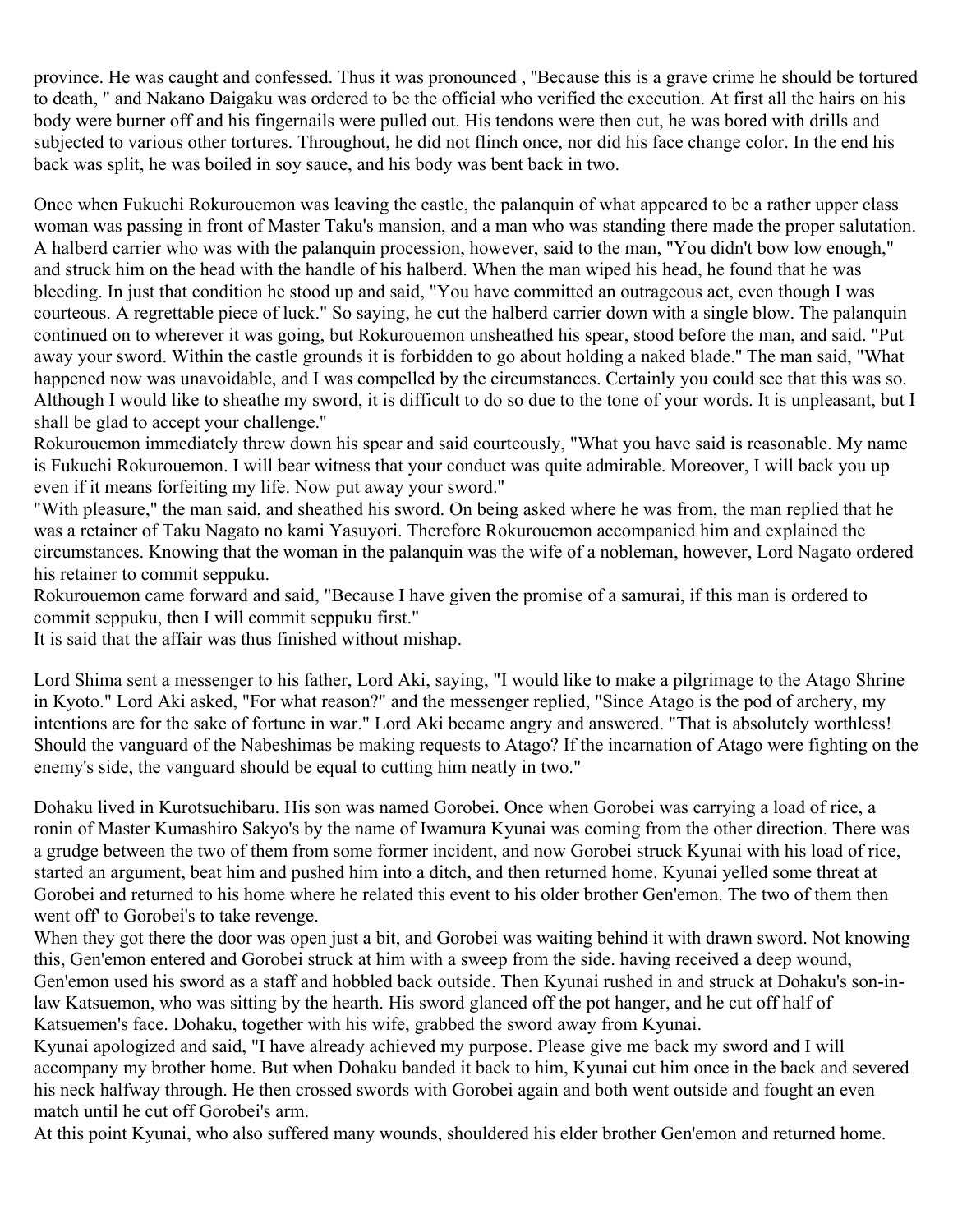province. He was caught and confessed. Thus it was pronounced , ''Because this is a grave crime he should be tortured to death, " and Nakano Daigaku was ordered to be the official who verified the execution. At first all the hairs on his body were burner off and his fingernails were pulled out. His tendons were then cut, he was bored with drills and subjected to various other tortures. Throughout, he did not flinch once, nor did his face change color. In the end his back was split, he was boiled in soy sauce, and his body was bent back in two.

Once when Fukuchi Rokurouemon was leaving the castle, the palanquin of what appeared to be a rather upper class woman was passing in front of Master Taku's mansion, and a man who was standing there made the proper salutation. A halberd carrier who was with the palanquin procession, however, said to the man, "You didn't bow low enough," and struck him on the head with the handle of his halberd. When the man wiped his head, he found that he was bleeding. In just that condition he stood up and said, "You have committed an outrageous act, even though I was courteous. A regrettable piece of luck." So saying, he cut the halberd carrier down with a single blow. The palanquin continued on to wherever it was going, but Rokurouemon unsheathed his spear, stood before the man, and said. "Put away your sword. Within the castle grounds it is forbidden to go about holding a naked blade.'' The man said, "What happened now was unavoidable, and I was compelled by the circumstances. Certainly you could see that this was so. Although I would like to sheathe my sword, it is difficult to do so due to the tone of your words. It is unpleasant, but I shall be glad to accept your challenge.''

Rokurouemon immediately threw down his spear and said courteously, "What you have said is reasonable. My name is Fukuchi Rokurouemon. I will bear witness that your conduct was quite admirable. Moreover, I will back you up even if it means forfeiting my life. Now put away your sword.''

"With pleasure," the man said, and sheathed his sword. On being asked where he was from, the man replied that he was a retainer of Taku Nagato no kami Yasuyori. Therefore Rokurouemon accompanied him and explained the circumstances. Knowing that the woman in the palanquin was the wife of a nobleman, however, Lord Nagato ordered his retainer to commit seppuku.

Rokurouemon came forward and said, "Because I have given the promise of a samurai, if this man is ordered to commit seppuku, then I will commit seppuku first."

It is said that the affair was thus finished without mishap.

Lord Shima sent a messenger to his father, Lord Aki, saying, "I would like to make a pilgrimage to the Atago Shrine in Kyoto." Lord Aki asked, "For what reason?" and the messenger replied, "Since Atago is the pod of archery, my intentions are for the sake of fortune in war." Lord Aki became angry and answered. "That is absolutely worthless! Should the vanguard of the Nabeshimas be making requests to Atago? If the incarnation of Atago were fighting on the enemy's side, the vanguard should be equal to cutting him neatly in two."

Dohaku lived in Kurotsuchibaru. His son was named Gorobei. Once when Gorobei was carrying a load of rice, a ronin of Master Kumashiro Sakyo's by the name of Iwamura Kyunai was coming from the other direction. There was a grudge between the two of them from some former incident, and now Gorobei struck Kyunai with his load of rice, started an argument, beat him and pushed him into a ditch, and then returned home. Kyunai yelled some threat at Gorobei and returned to his home where he related this event to his older brother Gen'emon. The two of them then went off' to Gorobei's to take revenge.

When they got there the door was open just a bit, and Gorobei was waiting behind it with drawn sword. Not knowing this, Gen'emon entered and Gorobei struck at him with a sweep from the side. having received a deep wound, Gen'emon used his sword as a staff and hobbled back outside. Then Kyunai rushed in and struck at Dohaku's son-inlaw Katsuemon, who was sitting by the hearth. His sword glanced off the pot hanger, and he cut off half of Katsuemen's face. Dohaku, together with his wife, grabbed the sword away from Kyunai.

Kyunai apologized and said, "I have already achieved my purpose. Please give me back my sword and I will accompany my brother home. But when Dohaku banded it back to him, Kyunai cut him once in the back and severed his neck halfway through. He then crossed swords with Gorobei again and both went outside and fought an even match until he cut off Gorobei's arm.

At this point Kyunai, who also suffered many wounds, shouldered his elder brother Gen'emon and returned home.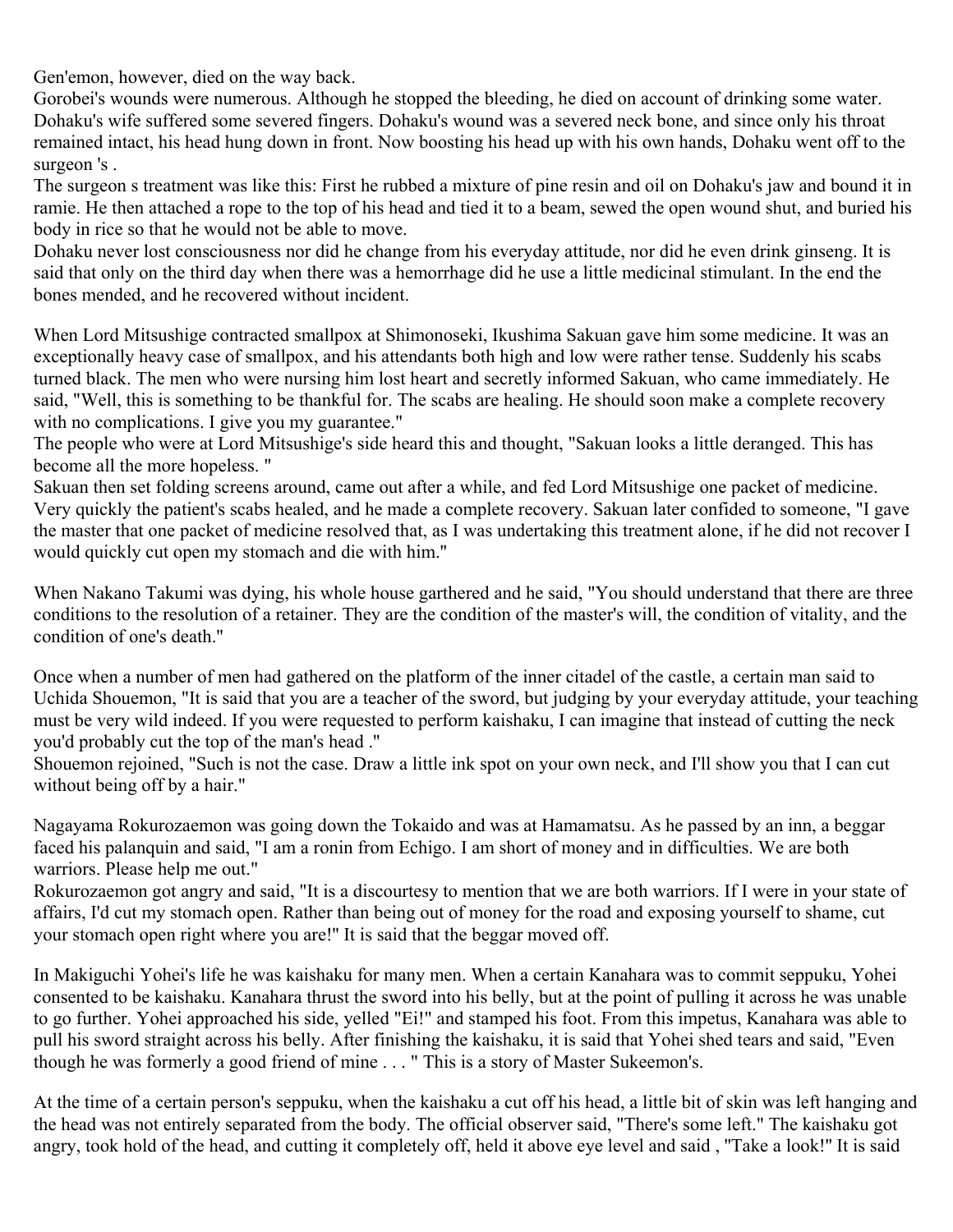Gen'emon, however, died on the way back.

Gorobei's wounds were numerous. Although he stopped the bleeding, he died on account of drinking some water. Dohaku's wife suffered some severed fingers. Dohaku's wound was a severed neck bone, and since only his throat remained intact, his head hung down in front. Now boosting his head up with his own hands, Dohaku went off to the surgeon 's .

The surgeon s treatment was like this: First he rubbed a mixture of pine resin and oil on Dohaku's jaw and bound it in ramie. He then attached a rope to the top of his head and tied it to a beam, sewed the open wound shut, and buried his body in rice so that he would not be able to move.

Dohaku never lost consciousness nor did he change from his everyday attitude, nor did he even drink ginseng. It is said that only on the third day when there was a hemorrhage did he use a little medicinal stimulant. In the end the bones mended, and he recovered without incident.

When Lord Mitsushige contracted smallpox at Shimonoseki, Ikushima Sakuan gave him some medicine. It was an exceptionally heavy case of smallpox, and his attendants both high and low were rather tense. Suddenly his scabs turned black. The men who were nursing him lost heart and secretly informed Sakuan, who came immediately. He said, "Well, this is something to be thankful for. The scabs are healing. He should soon make a complete recovery with no complications. I give you my guarantee."

The people who were at Lord Mitsushige's side heard this and thought, "Sakuan looks a little deranged. This has become all the more hopeless. "

Sakuan then set folding screens around, came out after a while, and fed Lord Mitsushige one packet of medicine. Very quickly the patient's scabs healed, and he made a complete recovery. Sakuan later confided to someone, "I gave the master that one packet of medicine resolved that, as I was undertaking this treatment alone, if he did not recover I would quickly cut open my stomach and die with him.''

When Nakano Takumi was dying, his whole house garthered and he said, "You should understand that there are three conditions to the resolution of a retainer. They are the condition of the master's will, the condition of vitality, and the condition of one's death.''

Once when a number of men had gathered on the platform of the inner citadel of the castle, a certain man said to Uchida Shouemon, "It is said that you are a teacher of the sword, but judging by your everyday attitude, your teaching must be very wild indeed. If you were requested to perform kaishaku, I can imagine that instead of cutting the neck you'd probably cut the top of the man's head .''

Shouemon rejoined, "Such is not the case. Draw a little ink spot on your own neck, and I'll show you that I can cut without being off by a hair."

Nagayama Rokurozaemon was going down the Tokaido and was at Hamamatsu. As he passed by an inn, a beggar faced his palanquin and said, "I am a ronin from Echigo. I am short of money and in difficulties. We are both warriors. Please help me out."

Rokurozaemon got angry and said, "It is a discourtesy to mention that we are both warriors. If I were in your state of affairs, I'd cut my stomach open. Rather than being out of money for the road and exposing yourself to shame, cut your stomach open right where you are!'' It is said that the beggar moved off.

In Makiguchi Yohei's life he was kaishaku for many men. When a certain Kanahara was to commit seppuku, Yohei consented to be kaishaku. Kanahara thrust the sword into his belly, but at the point of pulling it across he was unable to go further. Yohei approached his side, yelled "Ei!" and stamped his foot. From this impetus, Kanahara was able to pull his sword straight across his belly. After finishing the kaishaku, it is said that Yohei shed tears and said, "Even though he was formerly a good friend of mine . . . " This is a story of Master Sukeemon's.

At the time of a certain person's seppuku, when the kaishaku a cut off his head, a little bit of skin was left hanging and the head was not entirely separated from the body. The official observer said, "There's some left." The kaishaku got angry, took hold of the head, and cutting it completely off, held it above eye level and said , ''Take a look!'' It is said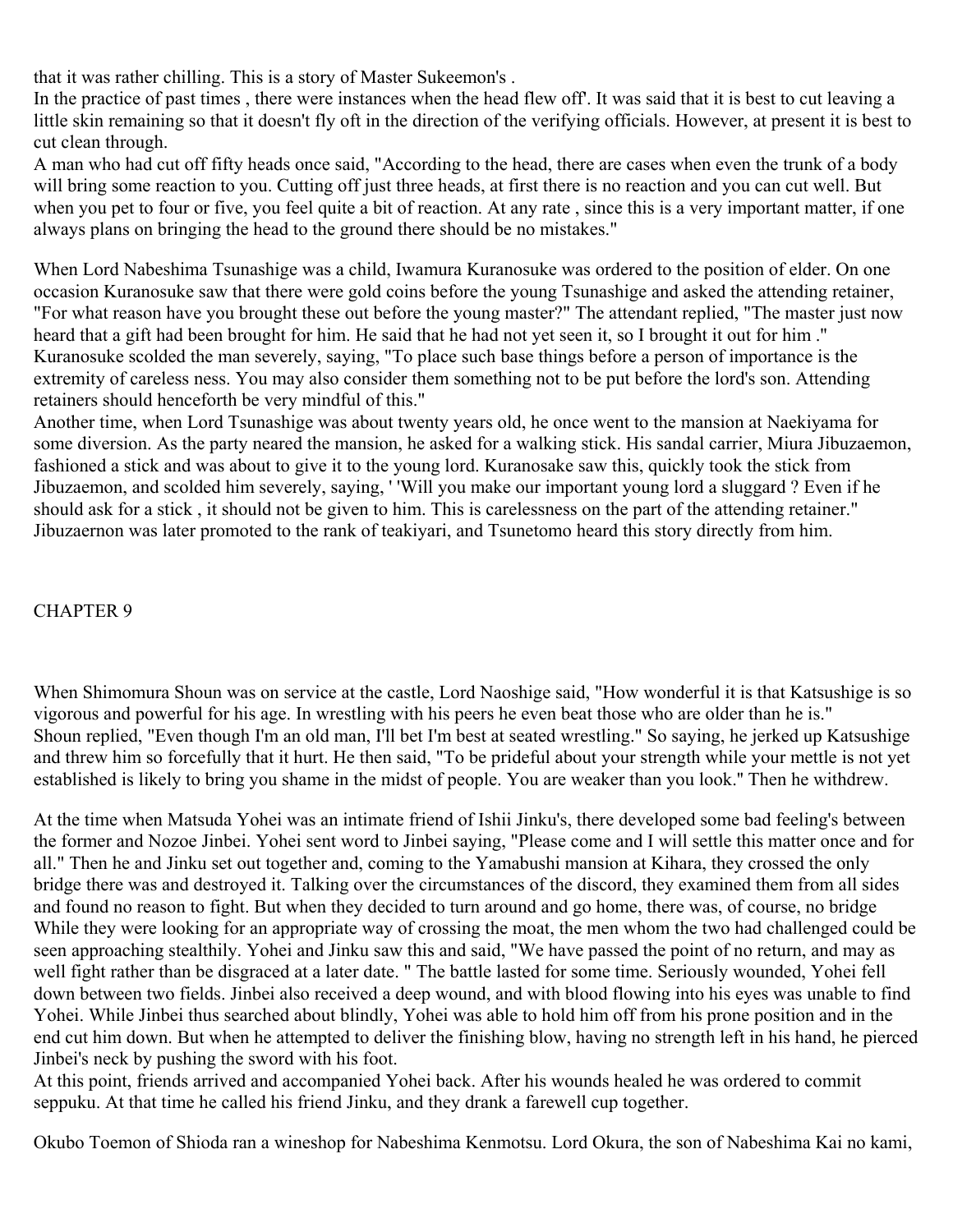that it was rather chilling. This is a story of Master Sukeemon's .

In the practice of past times , there were instances when the head flew off'. It was said that it is best to cut leaving a little skin remaining so that it doesn't fly oft in the direction of the verifying officials. However, at present it is best to cut clean through.

A man who had cut off fifty heads once said, "According to the head, there are cases when even the trunk of a body will bring some reaction to you. Cutting off just three heads, at first there is no reaction and you can cut well. But when you pet to four or five, you feel quite a bit of reaction. At any rate , since this is a very important matter, if one always plans on bringing the head to the ground there should be no mistakes."

When Lord Nabeshima Tsunashige was a child, Iwamura Kuranosuke was ordered to the position of elder. On one occasion Kuranosuke saw that there were gold coins before the young Tsunashige and asked the attending retainer, "For what reason have you brought these out before the young master?" The attendant replied, "The master just now heard that a gift had been brought for him. He said that he had not yet seen it, so I brought it out for him .'' Kuranosuke scolded the man severely, saying, "To place such base things before a person of importance is the extremity of careless ness. You may also consider them something not to be put before the lord's son. Attending retainers should henceforth be very mindful of this."

Another time, when Lord Tsunashige was about twenty years old, he once went to the mansion at Naekiyama for some diversion. As the party neared the mansion, he asked for a walking stick. His sandal carrier, Miura Jibuzaemon, fashioned a stick and was about to give it to the young lord. Kuranosake saw this, quickly took the stick from Jibuzaemon, and scolded him severely, saying, ' 'Will you make our important young lord a sluggard ? Even if he should ask for a stick , it should not be given to him. This is carelessness on the part of the attending retainer." Jibuzaernon was later promoted to the rank of teakiyari, and Tsunetomo heard this story directly from him.

#### CHAPTER 9

When Shimomura Shoun was on service at the castle, Lord Naoshige said, "How wonderful it is that Katsushige is so vigorous and powerful for his age. In wrestling with his peers he even beat those who are older than he is." Shoun replied, "Even though I'm an old man, I'll bet I'm best at seated wrestling." So saying, he jerked up Katsushige and threw him so forcefully that it hurt. He then said, "To be prideful about your strength while your mettle is not yet established is likely to bring you shame in the midst of people. You are weaker than you look.'' Then he withdrew.

At the time when Matsuda Yohei was an intimate friend of Ishii Jinku's, there developed some bad feeling's between the former and Nozoe Jinbei. Yohei sent word to Jinbei saying, "Please come and I will settle this matter once and for all." Then he and Jinku set out together and, coming to the Yamabushi mansion at Kihara, they crossed the only bridge there was and destroyed it. Talking over the circumstances of the discord, they examined them from all sides and found no reason to fight. But when they decided to turn around and go home, there was, of course, no bridge While they were looking for an appropriate way of crossing the moat, the men whom the two had challenged could be seen approaching stealthily. Yohei and Jinku saw this and said, "We have passed the point of no return, and may as well fight rather than be disgraced at a later date. " The battle lasted for some time. Seriously wounded, Yohei fell down between two fields. Jinbei also received a deep wound, and with blood flowing into his eyes was unable to find Yohei. While Jinbei thus searched about blindly, Yohei was able to hold him off from his prone position and in the end cut him down. But when he attempted to deliver the finishing blow, having no strength left in his hand, he pierced Jinbei's neck by pushing the sword with his foot.

At this point, friends arrived and accompanied Yohei back. After his wounds healed he was ordered to commit seppuku. At that time he called his friend Jinku, and they drank a farewell cup together.

Okubo Toemon of Shioda ran a wineshop for Nabeshima Kenmotsu. Lord Okura, the son of Nabeshima Kai no kami,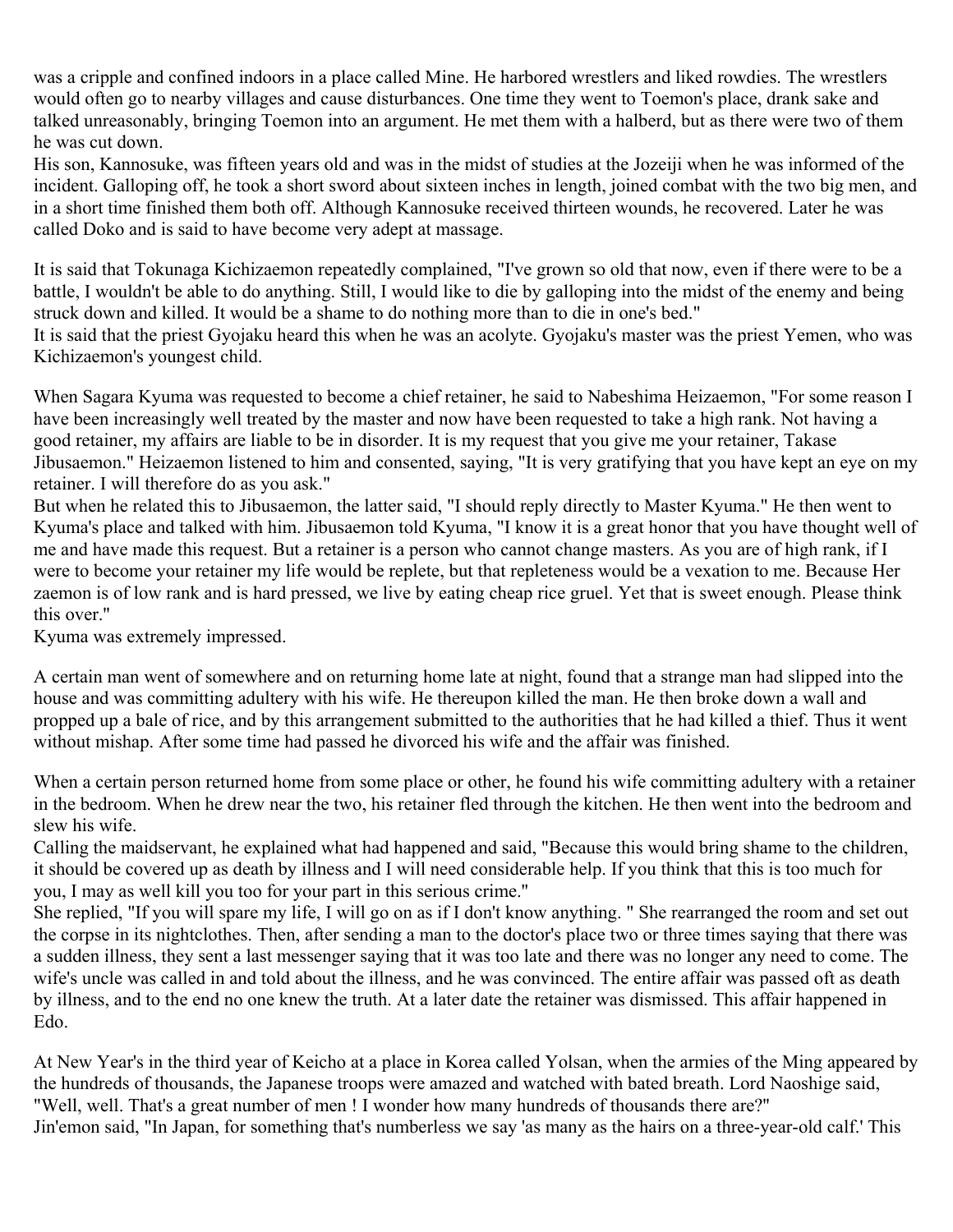was a cripple and confined indoors in a place called Mine. He harbored wrestlers and liked rowdies. The wrestlers would often go to nearby villages and cause disturbances. One time they went to Toemon's place, drank sake and talked unreasonably, bringing Toemon into an argument. He met them with a halberd, but as there were two of them he was cut down.

His son, Kannosuke, was fifteen years old and was in the midst of studies at the Jozeiji when he was informed of the incident. Galloping off, he took a short sword about sixteen inches in length, joined combat with the two big men, and in a short time finished them both off. Although Kannosuke received thirteen wounds, he recovered. Later he was called Doko and is said to have become very adept at massage.

It is said that Tokunaga Kichizaemon repeatedly complained, "I've grown so old that now, even if there were to be a battle, I wouldn't be able to do anything. Still, I would like to die by galloping into the midst of the enemy and being struck down and killed. It would be a shame to do nothing more than to die in one's bed."

It is said that the priest Gyojaku heard this when he was an acolyte. Gyojaku's master was the priest Yemen, who was Kichizaemon's youngest child.

When Sagara Kyuma was requested to become a chief retainer, he said to Nabeshima Heizaemon, "For some reason I have been increasingly well treated by the master and now have been requested to take a high rank. Not having a good retainer, my affairs are liable to be in disorder. It is my request that you give me your retainer, Takase Jibusaemon." Heizaemon listened to him and consented, saying, "It is very gratifying that you have kept an eye on my retainer. I will therefore do as you ask."

But when he related this to Jibusaemon, the latter said, "I should reply directly to Master Kyuma." He then went to Kyuma's place and talked with him. Jibusaemon told Kyuma, "I know it is a great honor that you have thought well of me and have made this request. But a retainer is a person who cannot change masters. As you are of high rank, if I were to become your retainer my life would be replete, but that repleteness would be a vexation to me. Because Her zaemon is of low rank and is hard pressed, we live by eating cheap rice gruel. Yet that is sweet enough. Please think this over.''

Kyuma was extremely impressed.

A certain man went of somewhere and on returning home late at night, found that a strange man had slipped into the house and was committing adultery with his wife. He thereupon killed the man. He then broke down a wall and propped up a bale of rice, and by this arrangement submitted to the authorities that he had killed a thief. Thus it went without mishap. After some time had passed he divorced his wife and the affair was finished.

When a certain person returned home from some place or other, he found his wife committing adultery with a retainer in the bedroom. When he drew near the two, his retainer fled through the kitchen. He then went into the bedroom and slew his wife.

Calling the maidservant, he explained what had happened and said, "Because this would bring shame to the children, it should be covered up as death by illness and I will need considerable help. If you think that this is too much for you, I may as well kill you too for your part in this serious crime.''

She replied, "If you will spare my life, I will go on as if I don't know anything. " She rearranged the room and set out the corpse in its nightclothes. Then, after sending a man to the doctor's place two or three times saying that there was a sudden illness, they sent a last messenger saying that it was too late and there was no longer any need to come. The wife's uncle was called in and told about the illness, and he was convinced. The entire affair was passed oft as death by illness, and to the end no one knew the truth. At a later date the retainer was dismissed. This affair happened in Edo.

At New Year's in the third year of Keicho at a place in Korea called Yolsan, when the armies of the Ming appeared by the hundreds of thousands, the Japanese troops were amazed and watched with bated breath. Lord Naoshige said, "Well, well. That's a great number of men ! I wonder how many hundreds of thousands there are?'' Jin'emon said, "In Japan, for something that's numberless we say 'as many as the hairs on a three-year-old calf.' This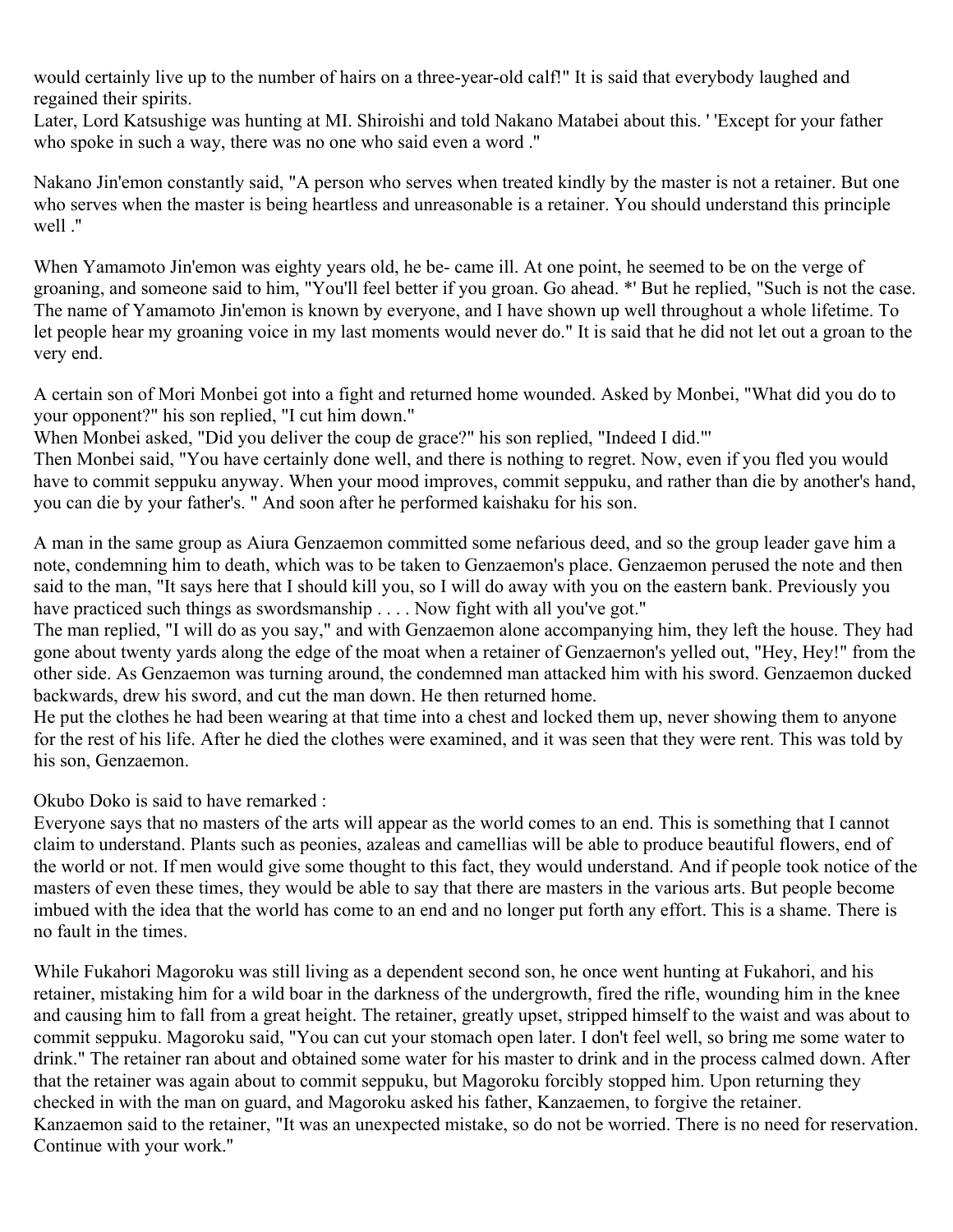would certainly live up to the number of hairs on a three-year-old calf!" It is said that everybody laughed and regained their spirits.

Later, Lord Katsushige was hunting at MI. Shiroishi and told Nakano Matabei about this. ' 'Except for your father who spoke in such a way, there was no one who said even a word .''

Nakano Jin'emon constantly said, "A person who serves when treated kindly by the master is not a retainer. But one who serves when the master is being heartless and unreasonable is a retainer. You should understand this principle well "

When Yamamoto Jin'emon was eighty years old, he be- came ill. At one point, he seemed to be on the verge of groaning, and someone said to him, "You'll feel better if you groan. Go ahead. \*' But he replied, "Such is not the case. The name of Yamamoto Jin'emon is known by everyone, and I have shown up well throughout a whole lifetime. To let people hear my groaning voice in my last moments would never do." It is said that he did not let out a groan to the very end.

A certain son of Mori Monbei got into a fight and returned home wounded. Asked by Monbei, "What did you do to your opponent?" his son replied, "I cut him down."

When Monbei asked, "Did you deliver the coup de grace?" his son replied, "Indeed I did."'

Then Monbei said, "You have certainly done well, and there is nothing to regret. Now, even if you fled you would have to commit seppuku anyway. When your mood improves, commit seppuku, and rather than die by another's hand, you can die by your father's. " And soon after he performed kaishaku for his son.

A man in the same group as Aiura Genzaemon committed some nefarious deed, and so the group leader gave him a note, condemning him to death, which was to be taken to Genzaemon's place. Genzaemon perused the note and then said to the man, "It says here that I should kill you, so I will do away with you on the eastern bank. Previously you have practiced such things as swordsmanship . . . . Now fight with all you've got."

The man replied, "I will do as you say," and with Genzaemon alone accompanying him, they left the house. They had gone about twenty yards along the edge of the moat when a retainer of Genzaernon's yelled out, "Hey, Hey!" from the other side. As Genzaemon was turning around, the condemned man attacked him with his sword. Genzaemon ducked backwards, drew his sword, and cut the man down. He then returned home.

He put the clothes he had been wearing at that time into a chest and locked them up, never showing them to anyone for the rest of his life. After he died the clothes were examined, and it was seen that they were rent. This was told by his son, Genzaemon.

Okubo Doko is said to have remarked :

Everyone says that no masters of the arts will appear as the world comes to an end. This is something that I cannot claim to understand. Plants such as peonies, azaleas and camellias will be able to produce beautiful flowers, end of the world or not. If men would give some thought to this fact, they would understand. And if people took notice of the masters of even these times, they would be able to say that there are masters in the various arts. But people become imbued with the idea that the world has come to an end and no longer put forth any effort. This is a shame. There is no fault in the times.

While Fukahori Magoroku was still living as a dependent second son, he once went hunting at Fukahori, and his retainer, mistaking him for a wild boar in the darkness of the undergrowth, fired the rifle, wounding him in the knee and causing him to fall from a great height. The retainer, greatly upset, stripped himself to the waist and was about to commit seppuku. Magoroku said, "You can cut your stomach open later. I don't feel well, so bring me some water to drink." The retainer ran about and obtained some water for his master to drink and in the process calmed down. After that the retainer was again about to commit seppuku, but Magoroku forcibly stopped him. Upon returning they checked in with the man on guard, and Magoroku asked his father, Kanzaemen, to forgive the retainer. Kanzaemon said to the retainer, "It was an unexpected mistake, so do not be worried. There is no need for reservation. Continue with your work.''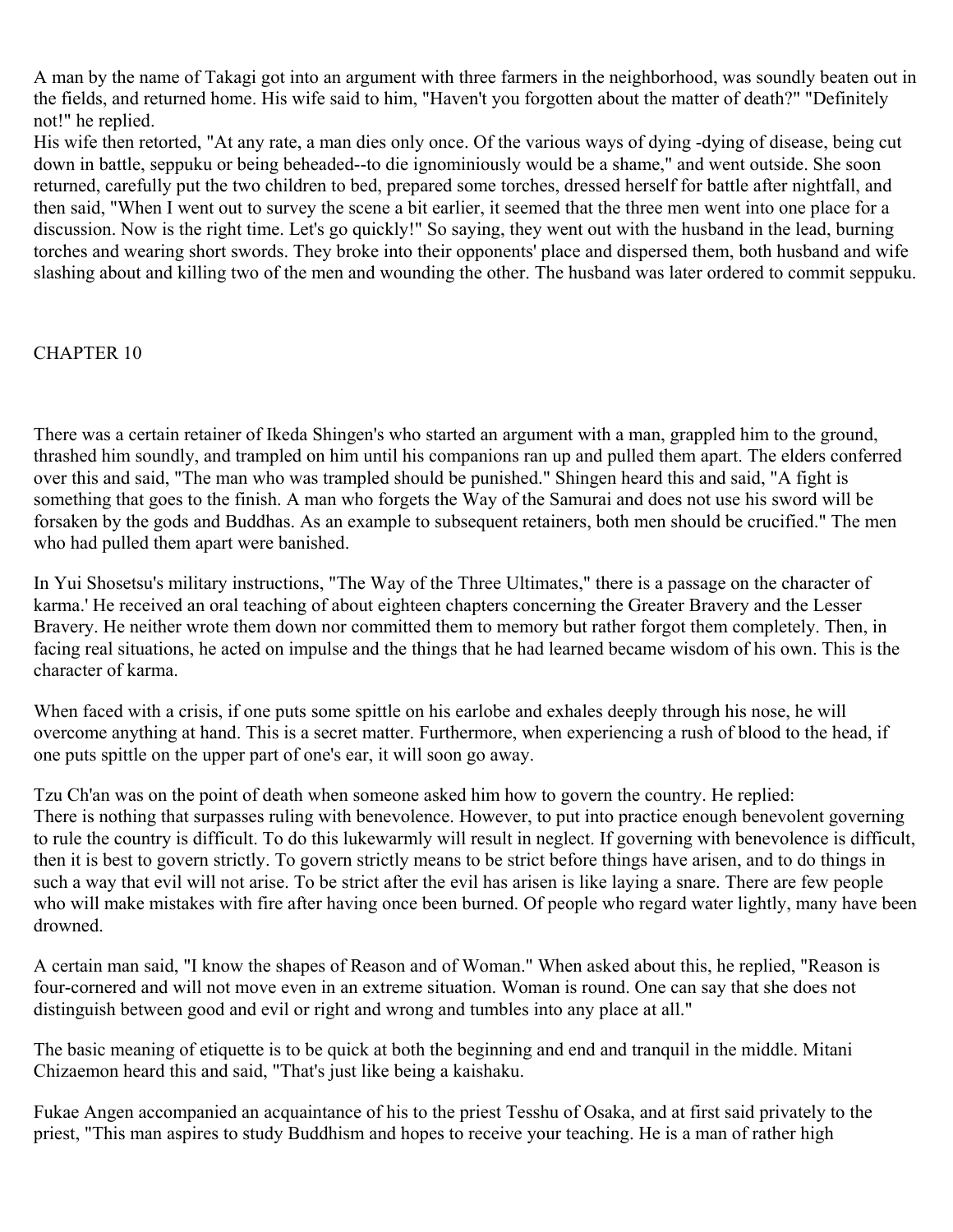A man by the name of Takagi got into an argument with three farmers in the neighborhood, was soundly beaten out in the fields, and returned home. His wife said to him, "Haven't you forgotten about the matter of death?" "Definitely not!" he replied.

His wife then retorted, "At any rate, a man dies only once. Of the various ways of dying -dying of disease, being cut down in battle, seppuku or being beheaded--to die ignominiously would be a shame," and went outside. She soon returned, carefully put the two children to bed, prepared some torches, dressed herself for battle after nightfall, and then said, "When I went out to survey the scene a bit earlier, it seemed that the three men went into one place for a discussion. Now is the right time. Let's go quickly!" So saying, they went out with the husband in the lead, burning torches and wearing short swords. They broke into their opponents' place and dispersed them, both husband and wife slashing about and killing two of the men and wounding the other. The husband was later ordered to commit seppuku.

#### CHAPTER 10

There was a certain retainer of Ikeda Shingen's who started an argument with a man, grappled him to the ground, thrashed him soundly, and trampled on him until his companions ran up and pulled them apart. The elders conferred over this and said, "The man who was trampled should be punished." Shingen heard this and said, "A fight is something that goes to the finish. A man who forgets the Way of the Samurai and does not use his sword will be forsaken by the gods and Buddhas. As an example to subsequent retainers, both men should be crucified." The men who had pulled them apart were banished.

In Yui Shosetsu's military instructions, "The Way of the Three Ultimates," there is a passage on the character of karma.' He received an oral teaching of about eighteen chapters concerning the Greater Bravery and the Lesser Bravery. He neither wrote them down nor committed them to memory but rather forgot them completely. Then, in facing real situations, he acted on impulse and the things that he had learned became wisdom of his own. This is the character of karma.

When faced with a crisis, if one puts some spittle on his earlobe and exhales deeply through his nose, he will overcome anything at hand. This is a secret matter. Furthermore, when experiencing a rush of blood to the head, if one puts spittle on the upper part of one's ear, it will soon go away.

Tzu Ch'an was on the point of death when someone asked him how to govern the country. He replied: There is nothing that surpasses ruling with benevolence. However, to put into practice enough benevolent governing to rule the country is difficult. To do this lukewarmly will result in neglect. If governing with benevolence is difficult, then it is best to govern strictly. To govern strictly means to be strict before things have arisen, and to do things in such a way that evil will not arise. To be strict after the evil has arisen is like laying a snare. There are few people who will make mistakes with fire after having once been burned. Of people who regard water lightly, many have been drowned.

A certain man said, "I know the shapes of Reason and of Woman." When asked about this, he replied, "Reason is four-cornered and will not move even in an extreme situation. Woman is round. One can say that she does not distinguish between good and evil or right and wrong and tumbles into any place at all."

The basic meaning of etiquette is to be quick at both the beginning and end and tranquil in the middle. Mitani Chizaemon heard this and said, "That's just like being a kaishaku.

Fukae Angen accompanied an acquaintance of his to the priest Tesshu of Osaka, and at first said privately to the priest, "This man aspires to study Buddhism and hopes to receive your teaching. He is a man of rather high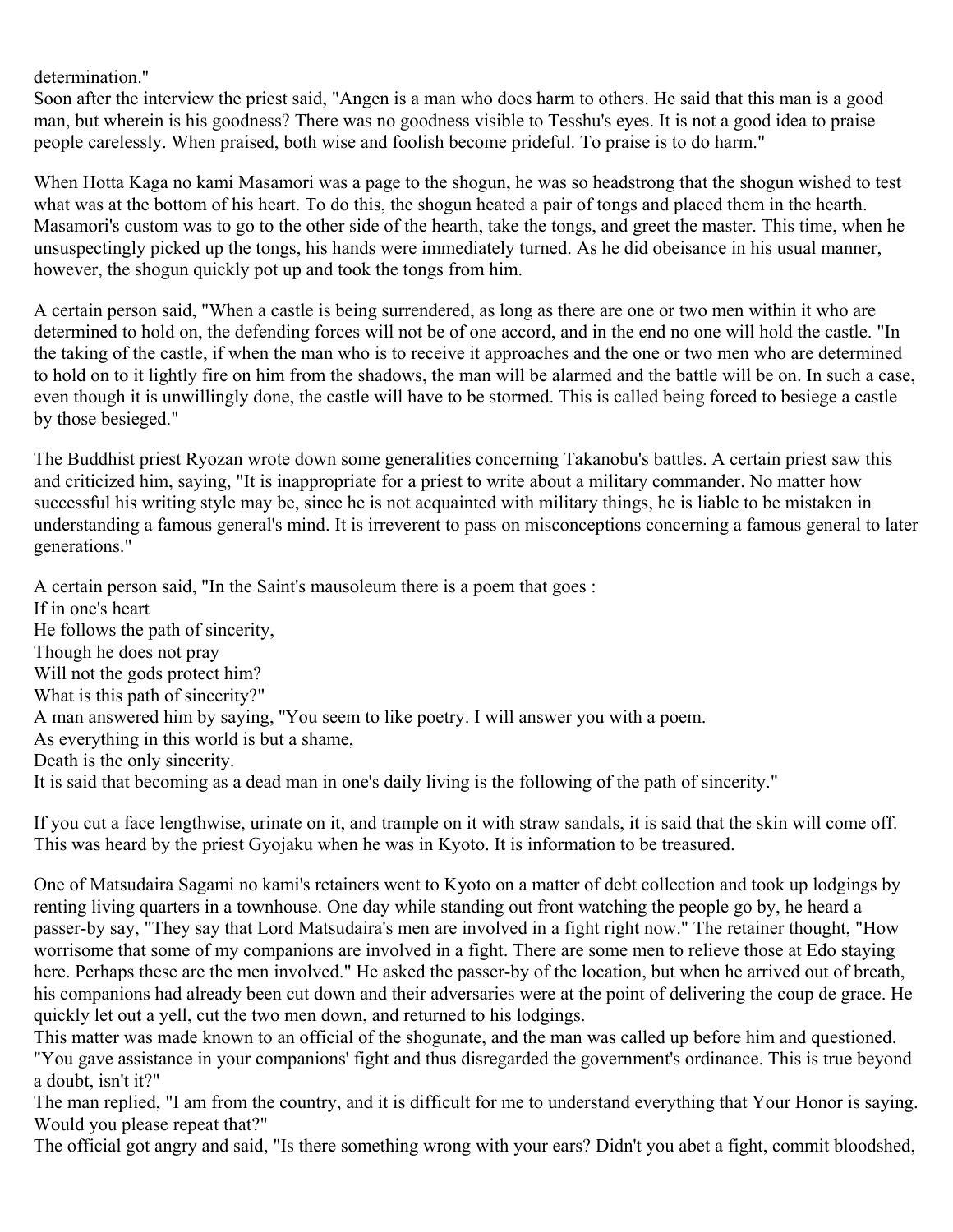determination.''

Soon after the interview the priest said, "Angen is a man who does harm to others. He said that this man is a good man, but wherein is his goodness? There was no goodness visible to Tesshu's eyes. It is not a good idea to praise people carelessly. When praised, both wise and foolish become prideful. To praise is to do harm."

When Hotta Kaga no kami Masamori was a page to the shogun, he was so headstrong that the shogun wished to test what was at the bottom of his heart. To do this, the shogun heated a pair of tongs and placed them in the hearth. Masamori's custom was to go to the other side of the hearth, take the tongs, and greet the master. This time, when he unsuspectingly picked up the tongs, his hands were immediately turned. As he did obeisance in his usual manner, however, the shogun quickly pot up and took the tongs from him.

A certain person said, "When a castle is being surrendered, as long as there are one or two men within it who are determined to hold on, the defending forces will not be of one accord, and in the end no one will hold the castle. "In the taking of the castle, if when the man who is to receive it approaches and the one or two men who are determined to hold on to it lightly fire on him from the shadows, the man will be alarmed and the battle will be on. In such a case, even though it is unwillingly done, the castle will have to be stormed. This is called being forced to besiege a castle by those besieged."

The Buddhist priest Ryozan wrote down some generalities concerning Takanobu's battles. A certain priest saw this and criticized him, saying, "It is inappropriate for a priest to write about a military commander. No matter how successful his writing style may be, since he is not acquainted with military things, he is liable to be mistaken in understanding a famous general's mind. It is irreverent to pass on misconceptions concerning a famous general to later generations."

A certain person said, "In the Saint's mausoleum there is a poem that goes : If in one's heart He follows the path of sincerity, Though he does not pray Will not the gods protect him? What is this path of sincerity?" A man answered him by saying, ''You seem to like poetry. I will answer you with a poem. As everything in this world is but a shame, Death is the only sincerity. It is said that becoming as a dead man in one's daily living is the following of the path of sincerity."

If you cut a face lengthwise, urinate on it, and trample on it with straw sandals, it is said that the skin will come off. This was heard by the priest Gyojaku when he was in Kyoto. It is information to be treasured.

One of Matsudaira Sagami no kami's retainers went to Kyoto on a matter of debt collection and took up lodgings by renting living quarters in a townhouse. One day while standing out front watching the people go by, he heard a passer-by say, "They say that Lord Matsudaira's men are involved in a fight right now." The retainer thought, "How worrisome that some of my companions are involved in a fight. There are some men to relieve those at Edo staying here. Perhaps these are the men involved." He asked the passer-by of the location, but when he arrived out of breath, his companions had already been cut down and their adversaries were at the point of delivering the coup de grace. He quickly let out a yell, cut the two men down, and returned to his lodgings.

This matter was made known to an official of the shogunate, and the man was called up before him and questioned. "You gave assistance in your companions' fight and thus disregarded the government's ordinance. This is true beyond a doubt, isn't it?"

The man replied, "I am from the country, and it is difficult for me to understand everything that Your Honor is saying. Would you please repeat that?"

The official got angry and said, "Is there something wrong with your ears? Didn't you abet a fight, commit bloodshed,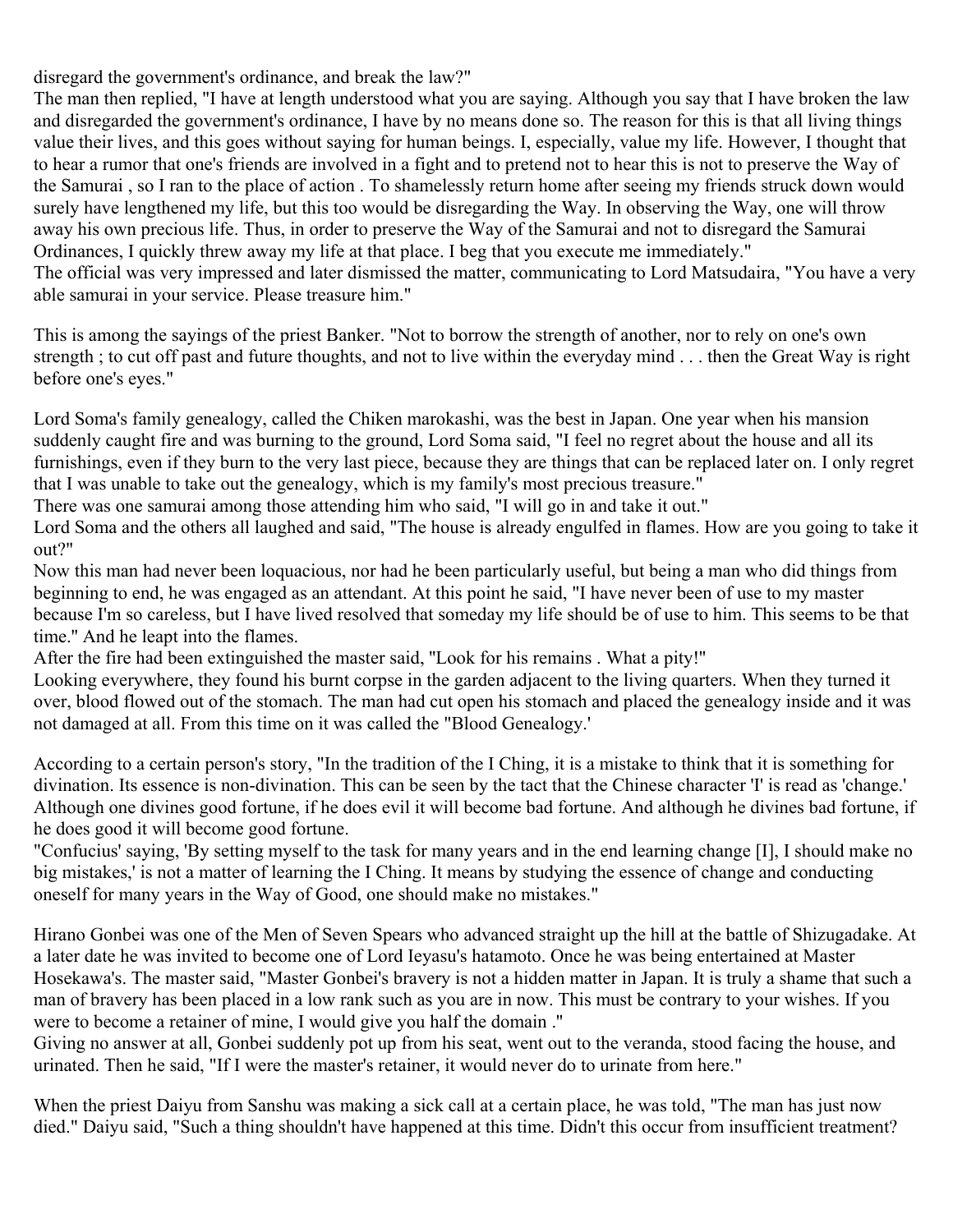disregard the government's ordinance, and break the law?"

The man then replied, "I have at length understood what you are saying. Although you say that I have broken the law and disregarded the government's ordinance, I have by no means done so. The reason for this is that all living things value their lives, and this goes without saying for human beings. I, especially, value my life. However, I thought that to hear a rumor that one's friends are involved in a fight and to pretend not to hear this is not to preserve the Way of the Samurai , so I ran to the place of action . To shamelessly return home after seeing my friends struck down would surely have lengthened my life, but this too would be disregarding the Way. In observing the Way, one will throw away his own precious life. Thus, in order to preserve the Way of the Samurai and not to disregard the Samurai Ordinances, I quickly threw away my life at that place. I beg that you execute me immediately." The official was very impressed and later dismissed the matter, communicating to Lord Matsudaira, "You have a very able samurai in your service. Please treasure him."

This is among the sayings of the priest Banker. "Not to borrow the strength of another, nor to rely on one's own strength ; to cut off past and future thoughts, and not to live within the everyday mind . . . then the Great Way is right before one's eyes."

Lord Soma's family genealogy, called the Chiken marokashi, was the best in Japan. One year when his mansion suddenly caught fire and was burning to the ground, Lord Soma said, "I feel no regret about the house and all its furnishings, even if they burn to the very last piece, because they are things that can be replaced later on. I only regret that I was unable to take out the genealogy, which is my family's most precious treasure."

There was one samurai among those attending him who said, "I will go in and take it out."

Lord Soma and the others all laughed and said, "The house is already engulfed in flames. How are you going to take it out?"

Now this man had never been loquacious, nor had he been particularly useful, but being a man who did things from beginning to end, he was engaged as an attendant. At this point he said, "I have never been of use to my master because I'm so careless, but I have lived resolved that someday my life should be of use to him. This seems to be that time.'' And he leapt into the flames.

After the fire had been extinguished the master said, ''Look for his remains . What a pity!''

Looking everywhere, they found his burnt corpse in the garden adjacent to the living quarters. When they turned it over, blood flowed out of the stomach. The man had cut open his stomach and placed the genealogy inside and it was not damaged at all. From this time on it was called the "Blood Genealogy.'

According to a certain person's story, "In the tradition of the I Ching, it is a mistake to think that it is something for divination. Its essence is non-divination. This can be seen by the tact that the Chinese character 'I' is read as 'change.' Although one divines good fortune, if he does evil it will become bad fortune. And although he divines bad fortune, if he does good it will become good fortune.

"Confucius' saying, 'By setting myself to the task for many years and in the end learning change [I], I should make no big mistakes,' is not a matter of learning the I Ching. It means by studying the essence of change and conducting oneself for many years in the Way of Good, one should make no mistakes."

Hirano Gonbei was one of the Men of Seven Spears who advanced straight up the hill at the battle of Shizugadake. At a later date he was invited to become one of Lord Ieyasu's hatamoto. Once he was being entertained at Master Hosekawa's. The master said, "Master Gonbei's bravery is not a hidden matter in Japan. It is truly a shame that such a man of bravery has been placed in a low rank such as you are in now. This must be contrary to your wishes. If you were to become a retainer of mine, I would give you half the domain .''

Giving no answer at all, Gonbei suddenly pot up from his seat, went out to the veranda, stood facing the house, and urinated. Then he said, "If I were the master's retainer, it would never do to urinate from here."

When the priest Daiyu from Sanshu was making a sick call at a certain place, he was told, "The man has just now died." Daiyu said, "Such a thing shouldn't have happened at this time. Didn't this occur from insufficient treatment?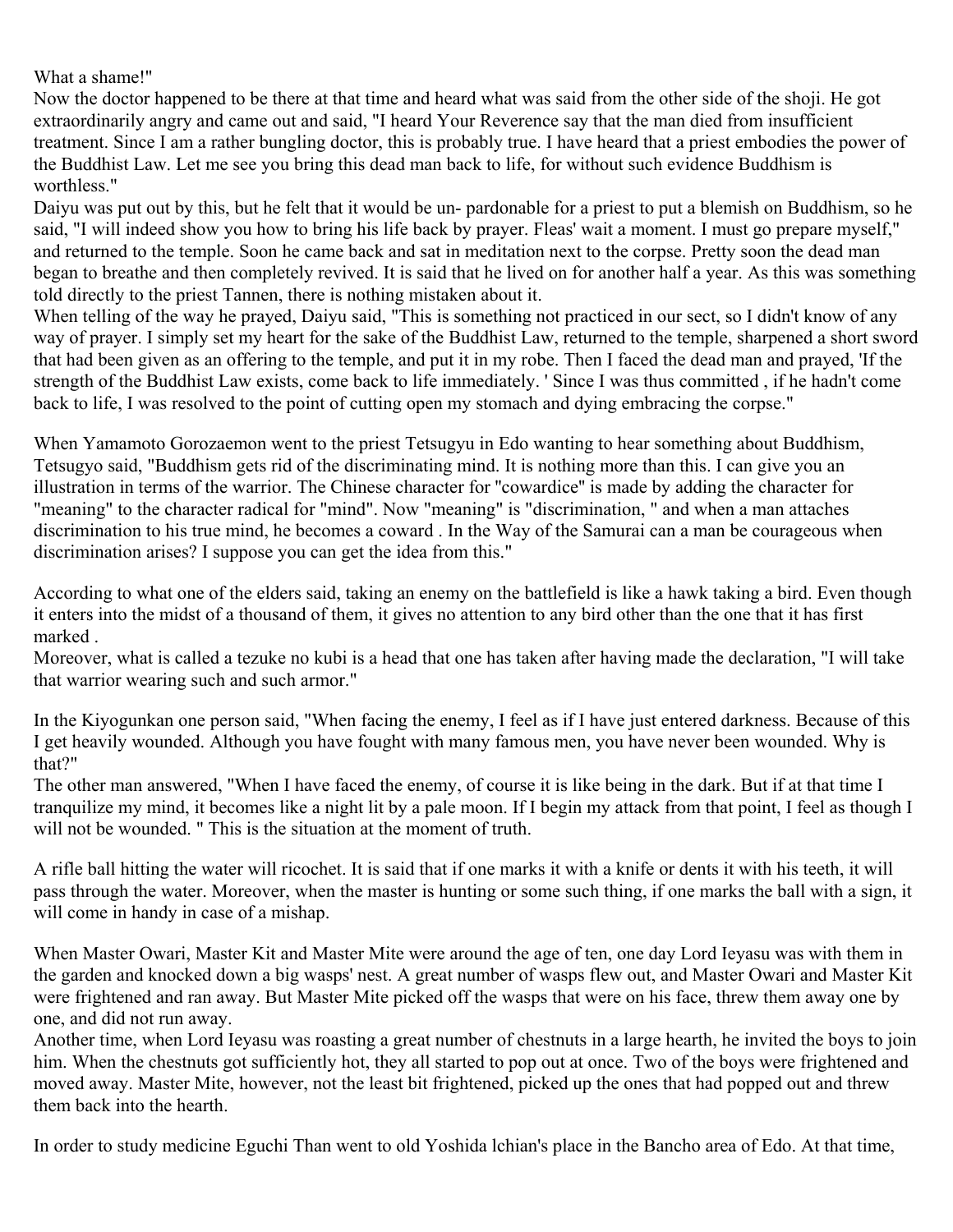What a shame!''

Now the doctor happened to be there at that time and heard what was said from the other side of the shoji. He got extraordinarily angry and came out and said, "I heard Your Reverence say that the man died from insufficient treatment. Since I am a rather bungling doctor, this is probably true. I have heard that a priest embodies the power of the Buddhist Law. Let me see you bring this dead man back to life, for without such evidence Buddhism is worthless."

Daiyu was put out by this, but he felt that it would be un- pardonable for a priest to put a blemish on Buddhism, so he said, "I will indeed show you how to bring his life back by prayer. Fleas' wait a moment. I must go prepare myself," and returned to the temple. Soon he came back and sat in meditation next to the corpse. Pretty soon the dead man began to breathe and then completely revived. It is said that he lived on for another half a year. As this was something told directly to the priest Tannen, there is nothing mistaken about it.

When telling of the way he prayed, Daiyu said, "This is something not practiced in our sect, so I didn't know of any way of prayer. I simply set my heart for the sake of the Buddhist Law, returned to the temple, sharpened a short sword that had been given as an offering to the temple, and put it in my robe. Then I faced the dead man and prayed, 'If the strength of the Buddhist Law exists, come back to life immediately. ' Since I was thus committed , if he hadn't come back to life, I was resolved to the point of cutting open my stomach and dying embracing the corpse."

When Yamamoto Gorozaemon went to the priest Tetsugyu in Edo wanting to hear something about Buddhism, Tetsugyo said, "Buddhism gets rid of the discriminating mind. It is nothing more than this. I can give you an illustration in terms of the warrior. The Chinese character for ''cowardice'' is made by adding the character for "meaning" to the character radical for "mind". Now "meaning" is "discrimination, " and when a man attaches discrimination to his true mind, he becomes a coward . In the Way of the Samurai can a man be courageous when discrimination arises? I suppose you can get the idea from this."

According to what one of the elders said, taking an enemy on the battlefield is like a hawk taking a bird. Even though it enters into the midst of a thousand of them, it gives no attention to any bird other than the one that it has first marked .

Moreover, what is called a tezuke no kubi is a head that one has taken after having made the declaration, "I will take that warrior wearing such and such armor."

In the Kiyogunkan one person said, "When facing the enemy, I feel as if I have just entered darkness. Because of this I get heavily wounded. Although you have fought with many famous men, you have never been wounded. Why is that?"

The other man answered, "When I have faced the enemy, of course it is like being in the dark. But if at that time I tranquilize my mind, it becomes like a night lit by a pale moon. If I begin my attack from that point, I feel as though I will not be wounded. " This is the situation at the moment of truth.

A rifle ball hitting the water will ricochet. It is said that if one marks it with a knife or dents it with his teeth, it will pass through the water. Moreover, when the master is hunting or some such thing, if one marks the ball with a sign, it will come in handy in case of a mishap.

When Master Owari, Master Kit and Master Mite were around the age of ten, one day Lord Ieyasu was with them in the garden and knocked down a big wasps' nest. A great number of wasps flew out, and Master Owari and Master Kit were frightened and ran away. But Master Mite picked off the wasps that were on his face, threw them away one by one, and did not run away.

Another time, when Lord Ieyasu was roasting a great number of chestnuts in a large hearth, he invited the boys to join him. When the chestnuts got sufficiently hot, they all started to pop out at once. Two of the boys were frightened and moved away. Master Mite, however, not the least bit frightened, picked up the ones that had popped out and threw them back into the hearth.

In order to study medicine Eguchi Than went to old Yoshida lchian's place in the Bancho area of Edo. At that time,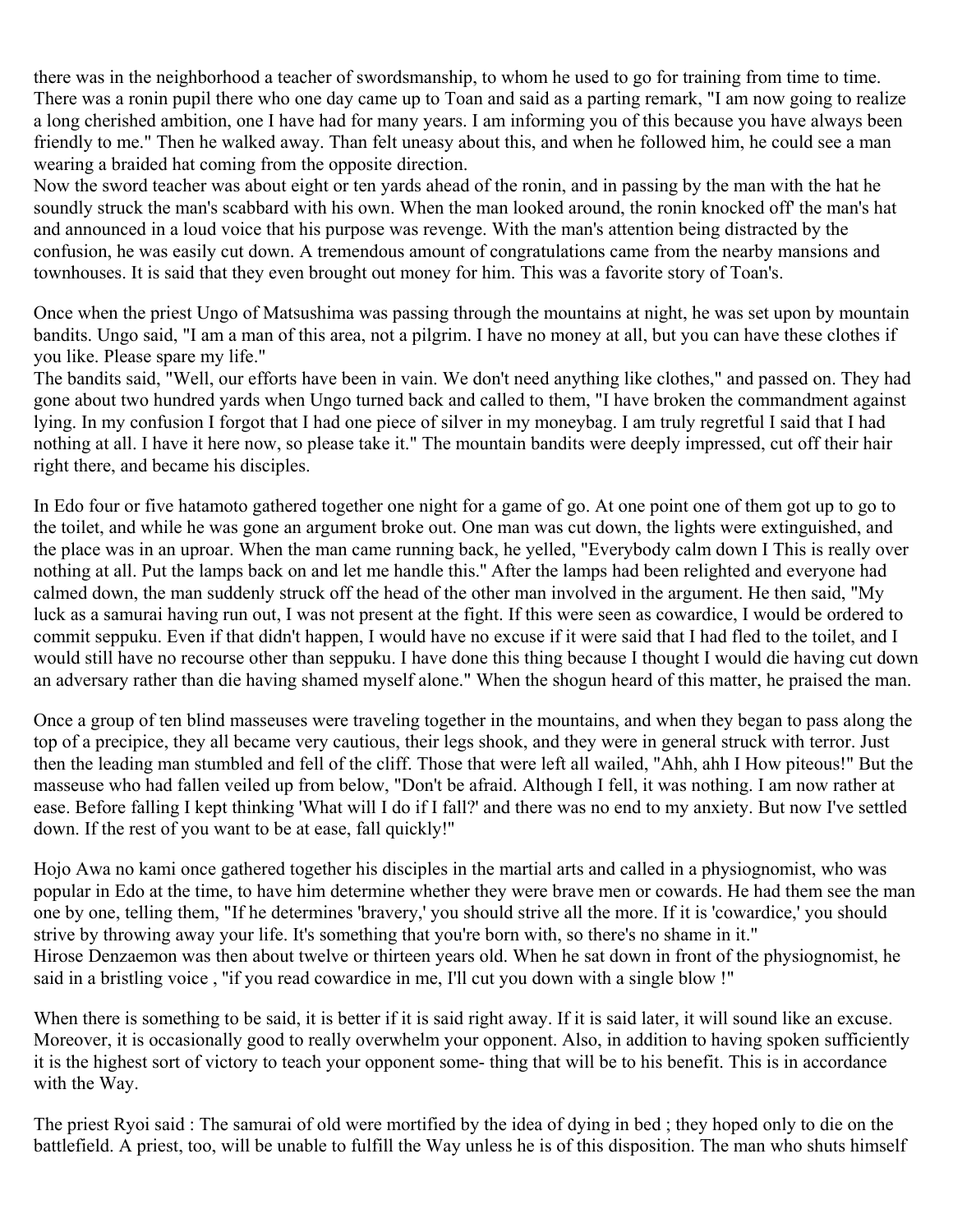there was in the neighborhood a teacher of swordsmanship, to whom he used to go for training from time to time. There was a ronin pupil there who one day came up to Toan and said as a parting remark, "I am now going to realize a long cherished ambition, one I have had for many years. I am informing you of this because you have always been friendly to me." Then he walked away. Than felt uneasy about this, and when he followed him, he could see a man wearing a braided hat coming from the opposite direction.

Now the sword teacher was about eight or ten yards ahead of the ronin, and in passing by the man with the hat he soundly struck the man's scabbard with his own. When the man looked around, the ronin knocked off' the man's hat and announced in a loud voice that his purpose was revenge. With the man's attention being distracted by the confusion, he was easily cut down. A tremendous amount of congratulations came from the nearby mansions and townhouses. It is said that they even brought out money for him. This was a favorite story of Toan's.

Once when the priest Ungo of Matsushima was passing through the mountains at night, he was set upon by mountain bandits. Ungo said, "I am a man of this area, not a pilgrim. I have no money at all, but you can have these clothes if you like. Please spare my life."

The bandits said, "Well, our efforts have been in vain. We don't need anything like clothes," and passed on. They had gone about two hundred yards when Ungo turned back and called to them, "I have broken the commandment against lying. In my confusion I forgot that I had one piece of silver in my moneybag. I am truly regretful I said that I had nothing at all. I have it here now, so please take it." The mountain bandits were deeply impressed, cut off their hair right there, and became his disciples.

In Edo four or five hatamoto gathered together one night for a game of go. At one point one of them got up to go to the toilet, and while he was gone an argument broke out. One man was cut down, the lights were extinguished, and the place was in an uproar. When the man came running back, he yelled, "Everybody calm down I This is really over nothing at all. Put the lamps back on and let me handle this.'' After the lamps had been relighted and everyone had calmed down, the man suddenly struck off the head of the other man involved in the argument. He then said, "My luck as a samurai having run out, I was not present at the fight. If this were seen as cowardice, I would be ordered to commit seppuku. Even if that didn't happen, I would have no excuse if it were said that I had fled to the toilet, and I would still have no recourse other than seppuku. I have done this thing because I thought I would die having cut down an adversary rather than die having shamed myself alone." When the shogun heard of this matter, he praised the man.

Once a group of ten blind masseuses were traveling together in the mountains, and when they began to pass along the top of a precipice, they all became very cautious, their legs shook, and they were in general struck with terror. Just then the leading man stumbled and fell of the cliff. Those that were left all wailed, "Ahh, ahh I How piteous!" But the masseuse who had fallen veiled up from below, "Don't be afraid. Although I fell, it was nothing. I am now rather at ease. Before falling I kept thinking 'What will I do if I fall?' and there was no end to my anxiety. But now I've settled down. If the rest of you want to be at ease, fall quickly!''

Hojo Awa no kami once gathered together his disciples in the martial arts and called in a physiognomist, who was popular in Edo at the time, to have him determine whether they were brave men or cowards. He had them see the man one by one, telling them, "If he determines 'bravery,' you should strive all the more. If it is 'cowardice,' you should strive by throwing away your life. It's something that you're born with, so there's no shame in it." Hirose Denzaemon was then about twelve or thirteen years old. When he sat down in front of the physiognomist, he said in a bristling voice , ''if you read cowardice in me, I'll cut you down with a single blow !"

When there is something to be said, it is better if it is said right away. If it is said later, it will sound like an excuse. Moreover, it is occasionally good to really overwhelm your opponent. Also, in addition to having spoken sufficiently it is the highest sort of victory to teach your opponent some- thing that will be to his benefit. This is in accordance with the Way.

The priest Ryoi said : The samurai of old were mortified by the idea of dying in bed ; they hoped only to die on the battlefield. A priest, too, will be unable to fulfill the Way unless he is of this disposition. The man who shuts himself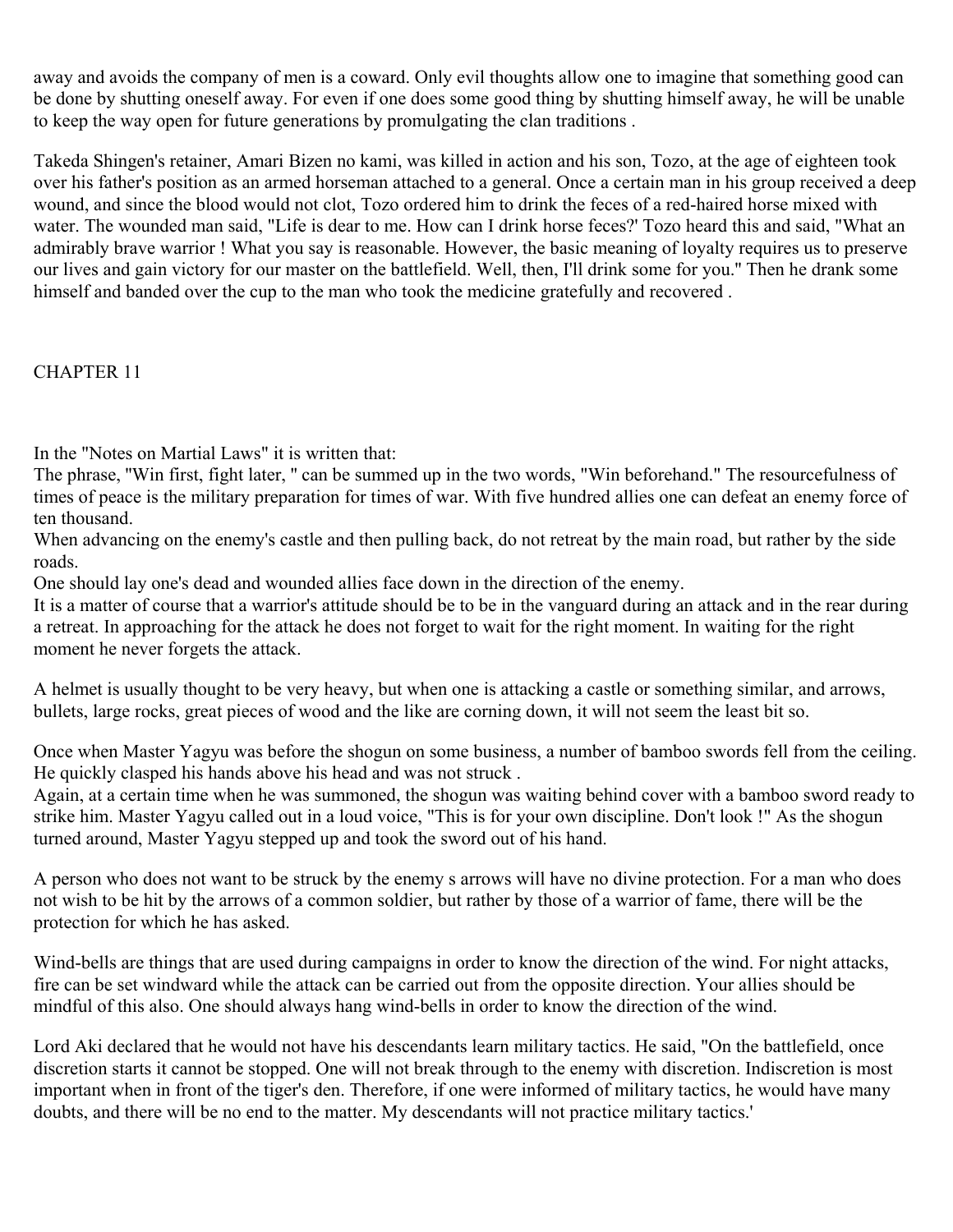away and avoids the company of men is a coward. Only evil thoughts allow one to imagine that something good can be done by shutting oneself away. For even if one does some good thing by shutting himself away, he will be unable to keep the way open for future generations by promulgating the clan traditions .

Takeda Shingen's retainer, Amari Bizen no kami, was killed in action and his son, Tozo, at the age of eighteen took over his father's position as an armed horseman attached to a general. Once a certain man in his group received a deep wound, and since the blood would not clot, Tozo ordered him to drink the feces of a red-haired horse mixed with water. The wounded man said, "Life is dear to me. How can I drink horse feces?' Tozo heard this and said, "What an admirably brave warrior ! What you say is reasonable. However, the basic meaning of loyalty requires us to preserve our lives and gain victory for our master on the battlefield. Well, then, I'll drink some for you.'' Then he drank some himself and banded over the cup to the man who took the medicine gratefully and recovered .

CHAPTER 11

In the "Notes on Martial Laws" it is written that:

The phrase, ''Win first, fight later, '' can be summed up in the two words, "Win beforehand." The resourcefulness of times of peace is the military preparation for times of war. With five hundred allies one can defeat an enemy force of ten thousand.

When advancing on the enemy's castle and then pulling back, do not retreat by the main road, but rather by the side roads.

One should lay one's dead and wounded allies face down in the direction of the enemy.

It is a matter of course that a warrior's attitude should be to be in the vanguard during an attack and in the rear during a retreat. In approaching for the attack he does not forget to wait for the right moment. In waiting for the right moment he never forgets the attack.

A helmet is usually thought to be very heavy, but when one is attacking a castle or something similar, and arrows, bullets, large rocks, great pieces of wood and the like are corning down, it will not seem the least bit so.

Once when Master Yagyu was before the shogun on some business, a number of bamboo swords fell from the ceiling. He quickly clasped his hands above his head and was not struck .

Again, at a certain time when he was summoned, the shogun was waiting behind cover with a bamboo sword ready to strike him. Master Yagyu called out in a loud voice, "This is for your own discipline. Don't look !" As the shogun turned around, Master Yagyu stepped up and took the sword out of his hand.

A person who does not want to be struck by the enemy s arrows will have no divine protection. For a man who does not wish to be hit by the arrows of a common soldier, but rather by those of a warrior of fame, there will be the protection for which he has asked.

Wind-bells are things that are used during campaigns in order to know the direction of the wind. For night attacks, fire can be set windward while the attack can be carried out from the opposite direction. Your allies should be mindful of this also. One should always hang wind-bells in order to know the direction of the wind.

Lord Aki declared that he would not have his descendants learn military tactics. He said, "On the battlefield, once discretion starts it cannot be stopped. One will not break through to the enemy with discretion. Indiscretion is most important when in front of the tiger's den. Therefore, if one were informed of military tactics, he would have many doubts, and there will be no end to the matter. My descendants will not practice military tactics.'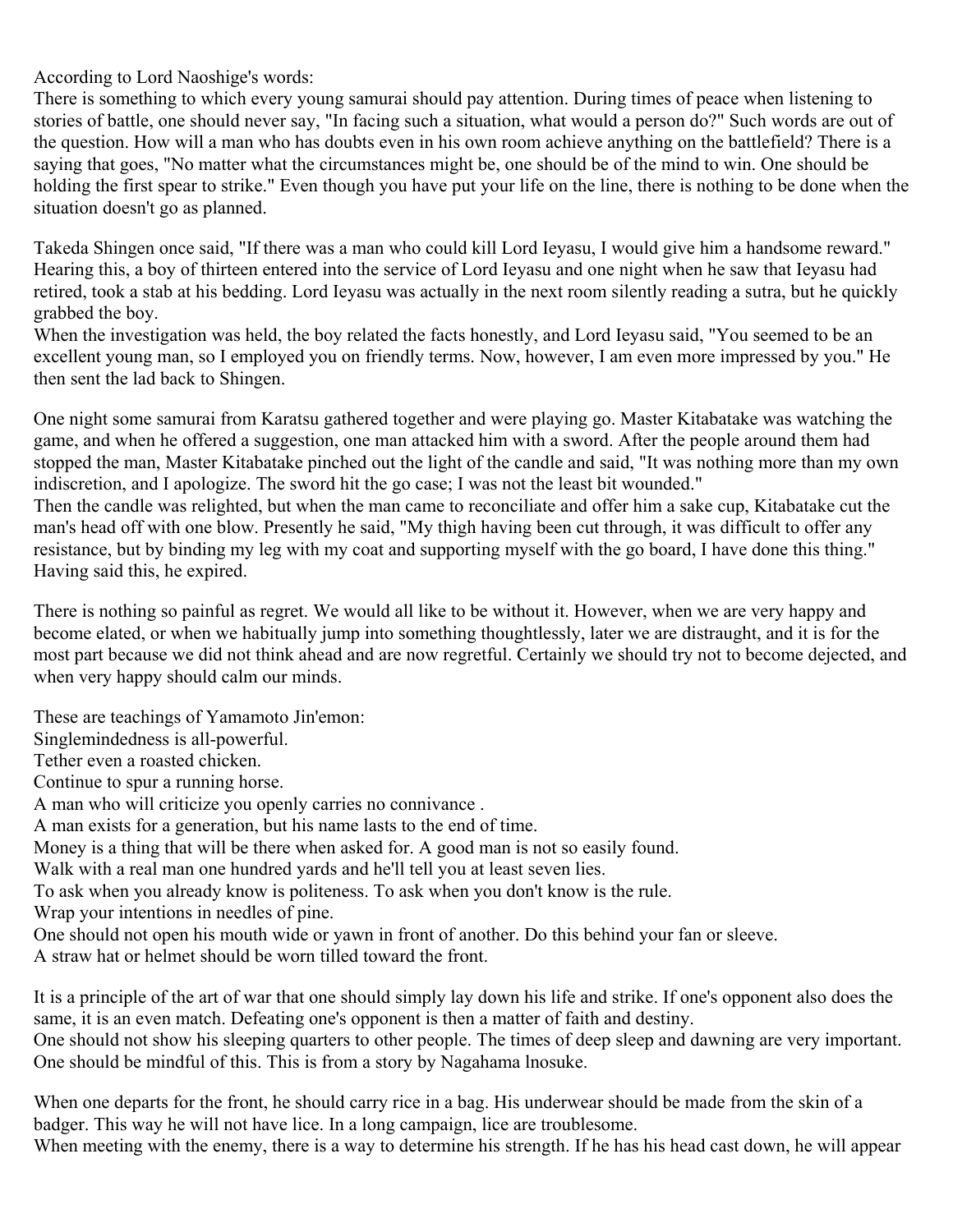According to Lord Naoshige's words:

There is something to which every young samurai should pay attention. During times of peace when listening to stories of battle, one should never say, "In facing such a situation, what would a person do?" Such words are out of the question. How will a man who has doubts even in his own room achieve anything on the battlefield? There is a saying that goes, "No matter what the circumstances might be, one should be of the mind to win. One should be holding the first spear to strike." Even though you have put your life on the line, there is nothing to be done when the situation doesn't go as planned.

Takeda Shingen once said, "If there was a man who could kill Lord Ieyasu, I would give him a handsome reward." Hearing this, a boy of thirteen entered into the service of Lord Ieyasu and one night when he saw that Ieyasu had retired, took a stab at his bedding. Lord Ieyasu was actually in the next room silently reading a sutra, but he quickly grabbed the boy.

When the investigation was held, the boy related the facts honestly, and Lord Ieyasu said, "You seemed to be an excellent young man, so I employed you on friendly terms. Now, however, I am even more impressed by you." He then sent the lad back to Shingen.

One night some samurai from Karatsu gathered together and were playing go. Master Kitabatake was watching the game, and when he offered a suggestion, one man attacked him with a sword. After the people around them had stopped the man, Master Kitabatake pinched out the light of the candle and said, "It was nothing more than my own indiscretion, and I apologize. The sword hit the go case; I was not the least bit wounded."

Then the candle was relighted, but when the man came to reconciliate and offer him a sake cup, Kitabatake cut the man's head off with one blow. Presently he said, "My thigh having been cut through, it was difficult to offer any resistance, but by binding my leg with my coat and supporting myself with the go board, I have done this thing." Having said this, he expired.

There is nothing so painful as regret. We would all like to be without it. However, when we are very happy and become elated, or when we habitually jump into something thoughtlessly, later we are distraught, and it is for the most part because we did not think ahead and are now regretful. Certainly we should try not to become dejected, and when very happy should calm our minds.

These are teachings of Yamamoto Jin'emon:

Singlemindedness is all-powerful.

Tether even a roasted chicken.

Continue to spur a running horse.

A man who will criticize you openly carries no connivance .

A man exists for a generation, but his name lasts to the end of time.

Money is a thing that will be there when asked for. A good man is not so easily found.

Walk with a real man one hundred yards and he'll tell you at least seven lies.

To ask when you already know is politeness. To ask when you don't know is the rule.

Wrap your intentions in needles of pine.

One should not open his mouth wide or yawn in front of another. Do this behind your fan or sleeve.

A straw hat or helmet should be worn tilled toward the front.

It is a principle of the art of war that one should simply lay down his life and strike. If one's opponent also does the same, it is an even match. Defeating one's opponent is then a matter of faith and destiny.

One should not show his sleeping quarters to other people. The times of deep sleep and dawning are very important. One should be mindful of this. This is from a story by Nagahama lnosuke.

When one departs for the front, he should carry rice in a bag. His underwear should be made from the skin of a badger. This way he will not have lice. In a long campaign, lice are troublesome. When meeting with the enemy, there is a way to determine his strength. If he has his head cast down, he will appear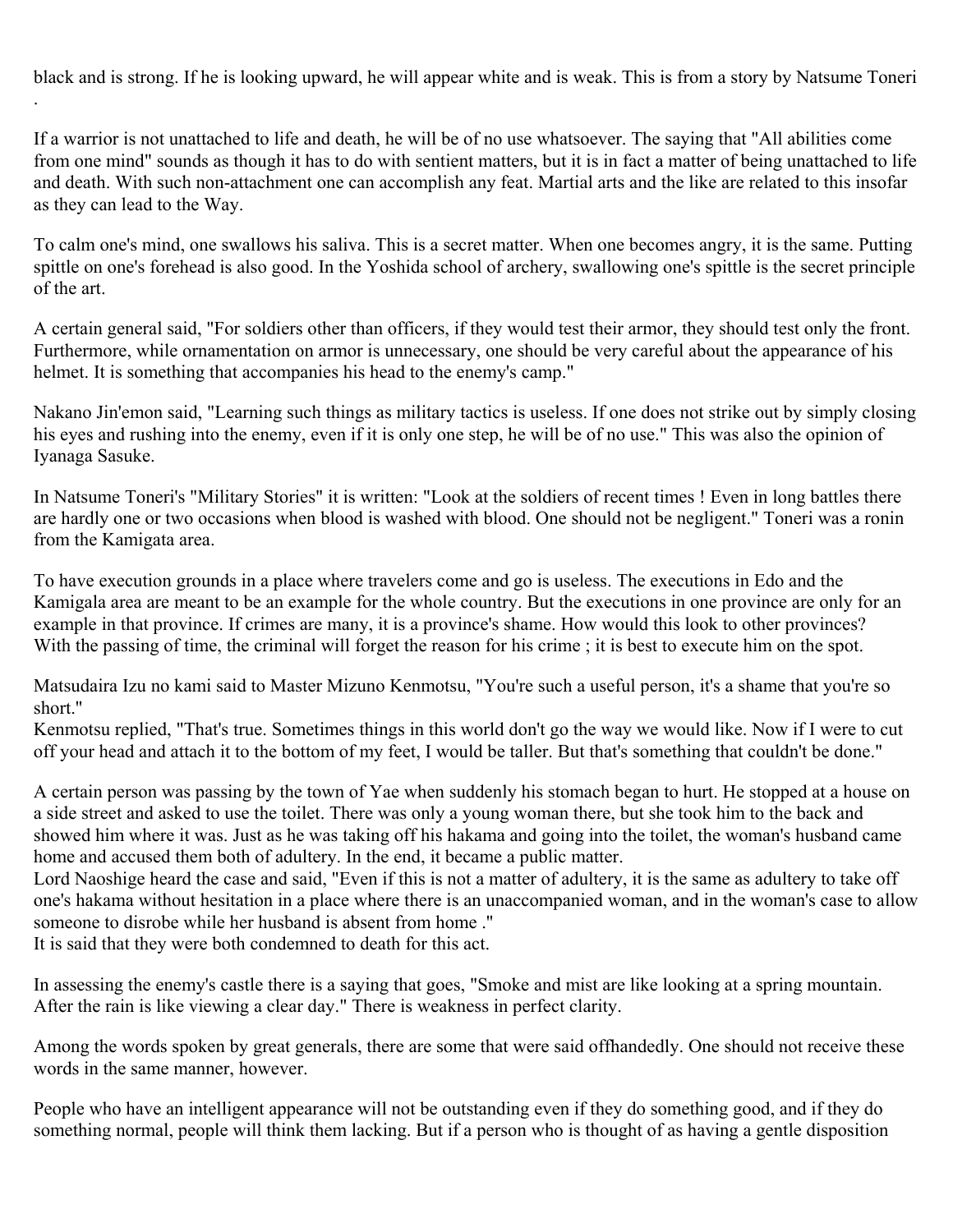black and is strong. If he is looking upward, he will appear white and is weak. This is from a story by Natsume Toneri

If a warrior is not unattached to life and death, he will be of no use whatsoever. The saying that "All abilities come from one mind" sounds as though it has to do with sentient matters, but it is in fact a matter of being unattached to life and death. With such non-attachment one can accomplish any feat. Martial arts and the like are related to this insofar as they can lead to the Way.

To calm one's mind, one swallows his saliva. This is a secret matter. When one becomes angry, it is the same. Putting spittle on one's forehead is also good. In the Yoshida school of archery, swallowing one's spittle is the secret principle of the art.

A certain general said, "For soldiers other than officers, if they would test their armor, they should test only the front. Furthermore, while ornamentation on armor is unnecessary, one should be very careful about the appearance of his helmet. It is something that accompanies his head to the enemy's camp."

Nakano Jin'emon said, "Learning such things as military tactics is useless. If one does not strike out by simply closing his eyes and rushing into the enemy, even if it is only one step, he will be of no use." This was also the opinion of Iyanaga Sasuke.

In Natsume Toneri's "Military Stories" it is written: "Look at the soldiers of recent times ! Even in long battles there are hardly one or two occasions when blood is washed with blood. One should not be negligent." Toneri was a ronin from the Kamigata area.

To have execution grounds in a place where travelers come and go is useless. The executions in Edo and the Kamigala area are meant to be an example for the whole country. But the executions in one province are only for an example in that province. If crimes are many, it is a province's shame. How would this look to other provinces? With the passing of time, the criminal will forget the reason for his crime; it is best to execute him on the spot.

Matsudaira Izu no kami said to Master Mizuno Kenmotsu, "You're such a useful person, it's a shame that you're so short.''

Kenmotsu replied, "That's true. Sometimes things in this world don't go the way we would like. Now if I were to cut off your head and attach it to the bottom of my feet, I would be taller. But that's something that couldn't be done."

A certain person was passing by the town of Yae when suddenly his stomach began to hurt. He stopped at a house on a side street and asked to use the toilet. There was only a young woman there, but she took him to the back and showed him where it was. Just as he was taking off his hakama and going into the toilet, the woman's husband came home and accused them both of adultery. In the end, it became a public matter.

Lord Naoshige heard the case and said, "Even if this is not a matter of adultery, it is the same as adultery to take off one's hakama without hesitation in a place where there is an unaccompanied woman, and in the woman's case to allow someone to disrobe while her husband is absent from home .''

It is said that they were both condemned to death for this act.

.

In assessing the enemy's castle there is a saying that goes, "Smoke and mist are like looking at a spring mountain. After the rain is like viewing a clear day." There is weakness in perfect clarity.

Among the words spoken by great generals, there are some that were said offhandedly. One should not receive these words in the same manner, however.

People who have an intelligent appearance will not be outstanding even if they do something good, and if they do something normal, people will think them lacking. But if a person who is thought of as having a gentle disposition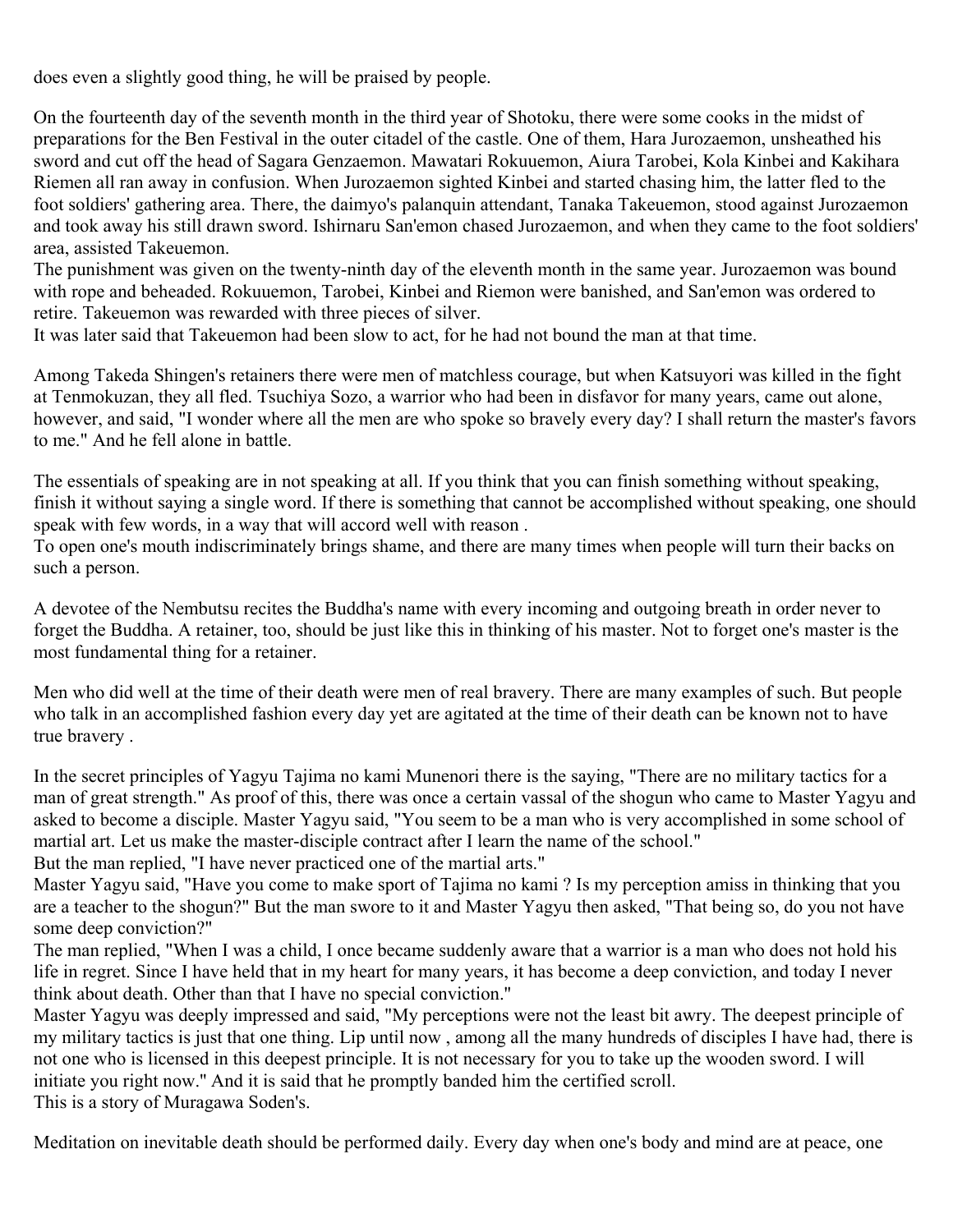does even a slightly good thing, he will be praised by people.

On the fourteenth day of the seventh month in the third year of Shotoku, there were some cooks in the midst of preparations for the Ben Festival in the outer citadel of the castle. One of them, Hara Jurozaemon, unsheathed his sword and cut off the head of Sagara Genzaemon. Mawatari Rokuuemon, Aiura Tarobei, Kola Kinbei and Kakihara Riemen all ran away in confusion. When Jurozaemon sighted Kinbei and started chasing him, the latter fled to the foot soldiers' gathering area. There, the daimyo's palanquin attendant, Tanaka Takeuemon, stood against Jurozaemon and took away his still drawn sword. Ishirnaru San'emon chased Jurozaemon, and when they came to the foot soldiers' area, assisted Takeuemon.

The punishment was given on the twenty-ninth day of the eleventh month in the same year. Jurozaemon was bound with rope and beheaded. Rokuuemon, Tarobei, Kinbei and Riemon were banished, and San'emon was ordered to retire. Takeuemon was rewarded with three pieces of silver.

It was later said that Takeuemon had been slow to act, for he had not bound the man at that time.

Among Takeda Shingen's retainers there were men of matchless courage, but when Katsuyori was killed in the fight at Tenmokuzan, they all fled. Tsuchiya Sozo, a warrior who had been in disfavor for many years, came out alone, however, and said, "I wonder where all the men are who spoke so bravely every day? I shall return the master's favors to me." And he fell alone in battle.

The essentials of speaking are in not speaking at all. If you think that you can finish something without speaking, finish it without saying a single word. If there is something that cannot be accomplished without speaking, one should speak with few words, in a way that will accord well with reason .

To open one's mouth indiscriminately brings shame, and there are many times when people will turn their backs on such a person.

A devotee of the Nembutsu recites the Buddha's name with every incoming and outgoing breath in order never to forget the Buddha. A retainer, too, should be just like this in thinking of his master. Not to forget one's master is the most fundamental thing for a retainer.

Men who did well at the time of their death were men of real bravery. There are many examples of such. But people who talk in an accomplished fashion every day yet are agitated at the time of their death can be known not to have true bravery .

In the secret principles of Yagyu Tajima no kami Munenori there is the saying, "There are no military tactics for a man of great strength." As proof of this, there was once a certain vassal of the shogun who came to Master Yagyu and asked to become a disciple. Master Yagyu said, "You seem to be a man who is very accomplished in some school of martial art. Let us make the master-disciple contract after I learn the name of the school."

But the man replied, "I have never practiced one of the martial arts."

Master Yagyu said, "Have you come to make sport of Tajima no kami ? Is my perception amiss in thinking that you are a teacher to the shogun?" But the man swore to it and Master Yagyu then asked, "That being so, do you not have some deep conviction?"

The man replied, "When I was a child, I once became suddenly aware that a warrior is a man who does not hold his life in regret. Since I have held that in my heart for many years, it has become a deep conviction, and today I never think about death. Other than that I have no special conviction.''

Master Yagyu was deeply impressed and said, "My perceptions were not the least bit awry. The deepest principle of my military tactics is just that one thing. Lip until now , among all the many hundreds of disciples I have had, there is not one who is licensed in this deepest principle. It is not necessary for you to take up the wooden sword. I will initiate you right now.'' And it is said that he promptly banded him the certified scroll. This is a story of Muragawa Soden's.

Meditation on inevitable death should be performed daily. Every day when one's body and mind are at peace, one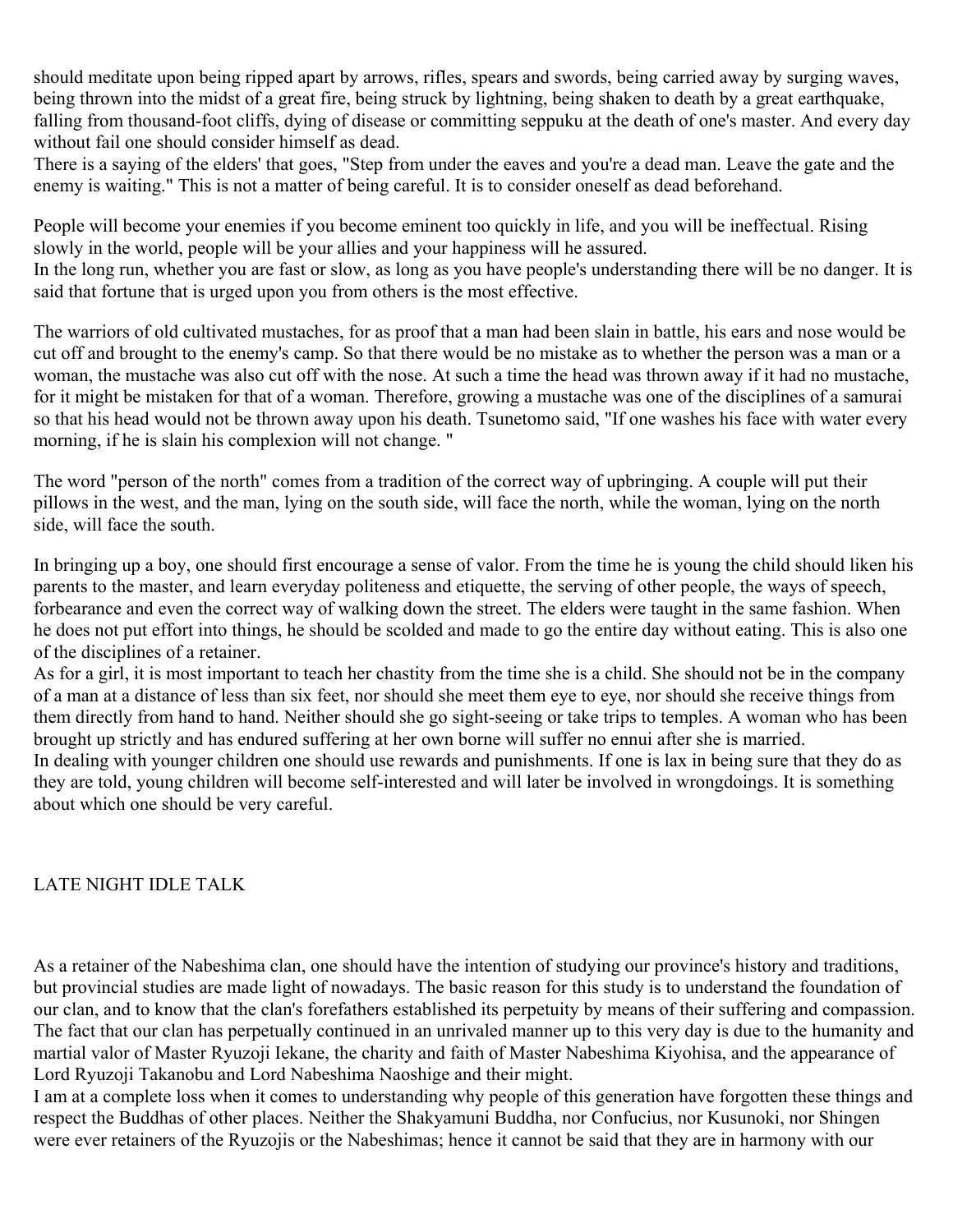should meditate upon being ripped apart by arrows, rifles, spears and swords, being carried away by surging waves, being thrown into the midst of a great fire, being struck by lightning, being shaken to death by a great earthquake, falling from thousand-foot cliffs, dying of disease or committing seppuku at the death of one's master. And every day without fail one should consider himself as dead.

There is a saying of the elders' that goes, "Step from under the eaves and you're a dead man. Leave the gate and the enemy is waiting." This is not a matter of being careful. It is to consider oneself as dead beforehand.

People will become your enemies if you become eminent too quickly in life, and you will be ineffectual. Rising slowly in the world, people will be your allies and your happiness will he assured.

In the long run, whether you are fast or slow, as long as you have people's understanding there will be no danger. It is said that fortune that is urged upon you from others is the most effective.

The warriors of old cultivated mustaches, for as proof that a man had been slain in battle, his ears and nose would be cut off and brought to the enemy's camp. So that there would be no mistake as to whether the person was a man or a woman, the mustache was also cut off with the nose. At such a time the head was thrown away if it had no mustache, for it might be mistaken for that of a woman. Therefore, growing a mustache was one of the disciplines of a samurai so that his head would not be thrown away upon his death. Tsunetomo said, "If one washes his face with water every morning, if he is slain his complexion will not change. "

The word "person of the north" comes from a tradition of the correct way of upbringing. A couple will put their pillows in the west, and the man, lying on the south side, will face the north, while the woman, lying on the north side, will face the south.

In bringing up a boy, one should first encourage a sense of valor. From the time he is young the child should liken his parents to the master, and learn everyday politeness and etiquette, the serving of other people, the ways of speech, forbearance and even the correct way of walking down the street. The elders were taught in the same fashion. When he does not put effort into things, he should be scolded and made to go the entire day without eating. This is also one of the disciplines of a retainer.

As for a girl, it is most important to teach her chastity from the time she is a child. She should not be in the company of a man at a distance of less than six feet, nor should she meet them eye to eye, nor should she receive things from them directly from hand to hand. Neither should she go sight-seeing or take trips to temples. A woman who has been brought up strictly and has endured suffering at her own borne will suffer no ennui after she is married. In dealing with younger children one should use rewards and punishments. If one is lax in being sure that they do as they are told, young children will become self-interested and will later be involved in wrongdoings. It is something about which one should be very careful.

#### LATE NIGHT IDLE TALK

As a retainer of the Nabeshima clan, one should have the intention of studying our province's history and traditions, but provincial studies are made light of nowadays. The basic reason for this study is to understand the foundation of our clan, and to know that the clan's forefathers established its perpetuity by means of their suffering and compassion. The fact that our clan has perpetually continued in an unrivaled manner up to this very day is due to the humanity and martial valor of Master Ryuzoji Iekane, the charity and faith of Master Nabeshima Kiyohisa, and the appearance of Lord Ryuzoji Takanobu and Lord Nabeshima Naoshige and their might.

I am at a complete loss when it comes to understanding why people of this generation have forgotten these things and respect the Buddhas of other places. Neither the Shakyamuni Buddha, nor Confucius, nor Kusunoki, nor Shingen were ever retainers of the Ryuzojis or the Nabeshimas; hence it cannot be said that they are in harmony with our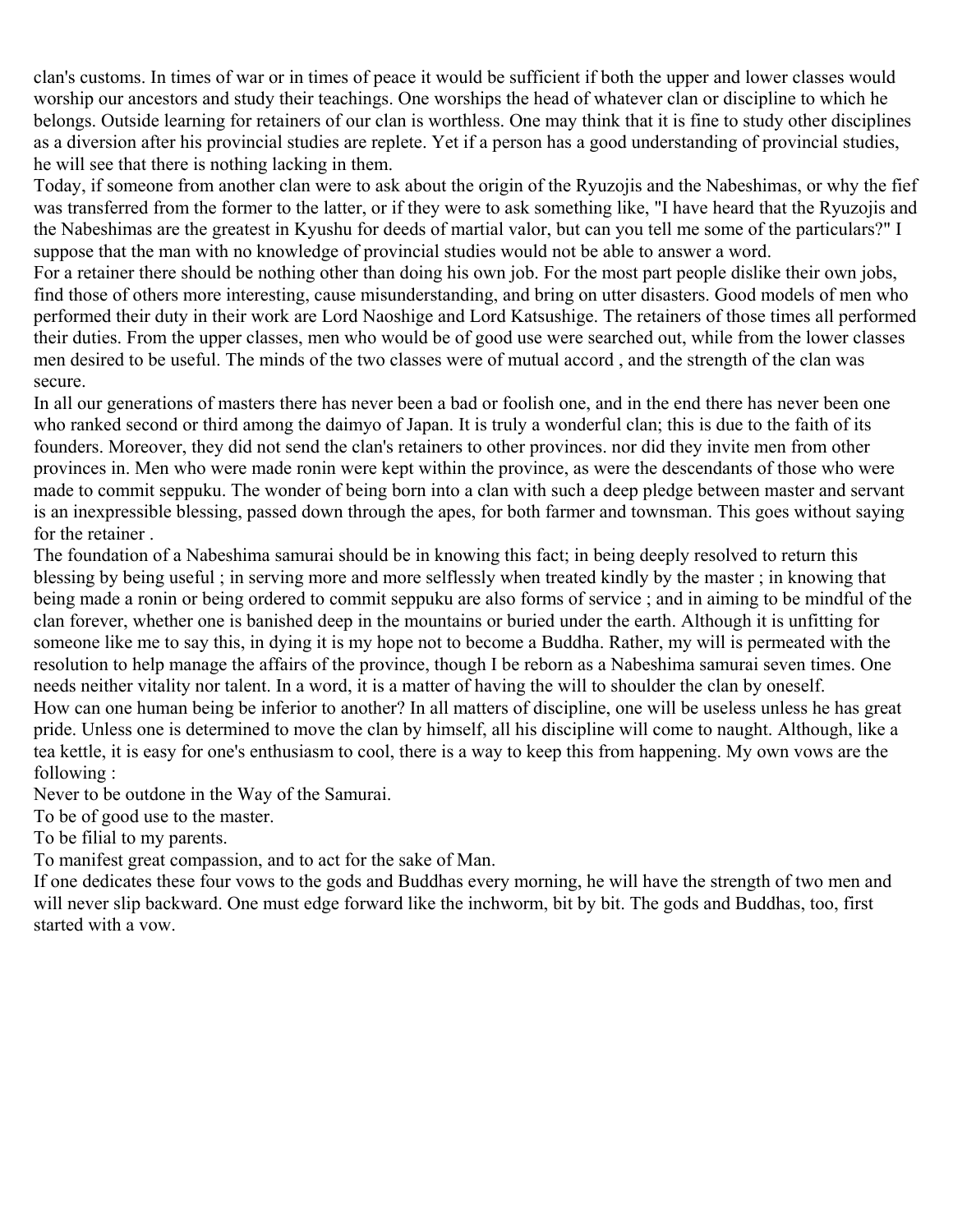clan's customs. In times of war or in times of peace it would be sufficient if both the upper and lower classes would worship our ancestors and study their teachings. One worships the head of whatever clan or discipline to which he belongs. Outside learning for retainers of our clan is worthless. One may think that it is fine to study other disciplines as a diversion after his provincial studies are replete. Yet if a person has a good understanding of provincial studies, he will see that there is nothing lacking in them.

Today, if someone from another clan were to ask about the origin of the Ryuzojis and the Nabeshimas, or why the fief was transferred from the former to the latter, or if they were to ask something like, "I have heard that the Ryuzojis and the Nabeshimas are the greatest in Kyushu for deeds of martial valor, but can you tell me some of the particulars?" I suppose that the man with no knowledge of provincial studies would not be able to answer a word.

For a retainer there should be nothing other than doing his own job. For the most part people dislike their own jobs, find those of others more interesting, cause misunderstanding, and bring on utter disasters. Good models of men who performed their duty in their work are Lord Naoshige and Lord Katsushige. The retainers of those times all performed their duties. From the upper classes, men who would be of good use were searched out, while from the lower classes men desired to be useful. The minds of the two classes were of mutual accord , and the strength of the clan was secure.

In all our generations of masters there has never been a bad or foolish one, and in the end there has never been one who ranked second or third among the daimyo of Japan. It is truly a wonderful clan; this is due to the faith of its founders. Moreover, they did not send the clan's retainers to other provinces. nor did they invite men from other provinces in. Men who were made ronin were kept within the province, as were the descendants of those who were made to commit seppuku. The wonder of being born into a clan with such a deep pledge between master and servant is an inexpressible blessing, passed down through the apes, for both farmer and townsman. This goes without saying for the retainer .

The foundation of a Nabeshima samurai should be in knowing this fact; in being deeply resolved to return this blessing by being useful ; in serving more and more selflessly when treated kindly by the master ; in knowing that being made a ronin or being ordered to commit seppuku are also forms of service ; and in aiming to be mindful of the clan forever, whether one is banished deep in the mountains or buried under the earth. Although it is unfitting for someone like me to say this, in dying it is my hope not to become a Buddha. Rather, my will is permeated with the resolution to help manage the affairs of the province, though I be reborn as a Nabeshima samurai seven times. One needs neither vitality nor talent. In a word, it is a matter of having the will to shoulder the clan by oneself. How can one human being be inferior to another? In all matters of discipline, one will be useless unless he has great pride. Unless one is determined to move the clan by himself, all his discipline will come to naught. Although, like a tea kettle, it is easy for one's enthusiasm to cool, there is a way to keep this from happening. My own vows are the following :

Never to be outdone in the Way of the Samurai.

To be of good use to the master.

To be filial to my parents.

To manifest great compassion, and to act for the sake of Man.

If one dedicates these four vows to the gods and Buddhas every morning, he will have the strength of two men and will never slip backward. One must edge forward like the inchworm, bit by bit. The gods and Buddhas, too, first started with a vow.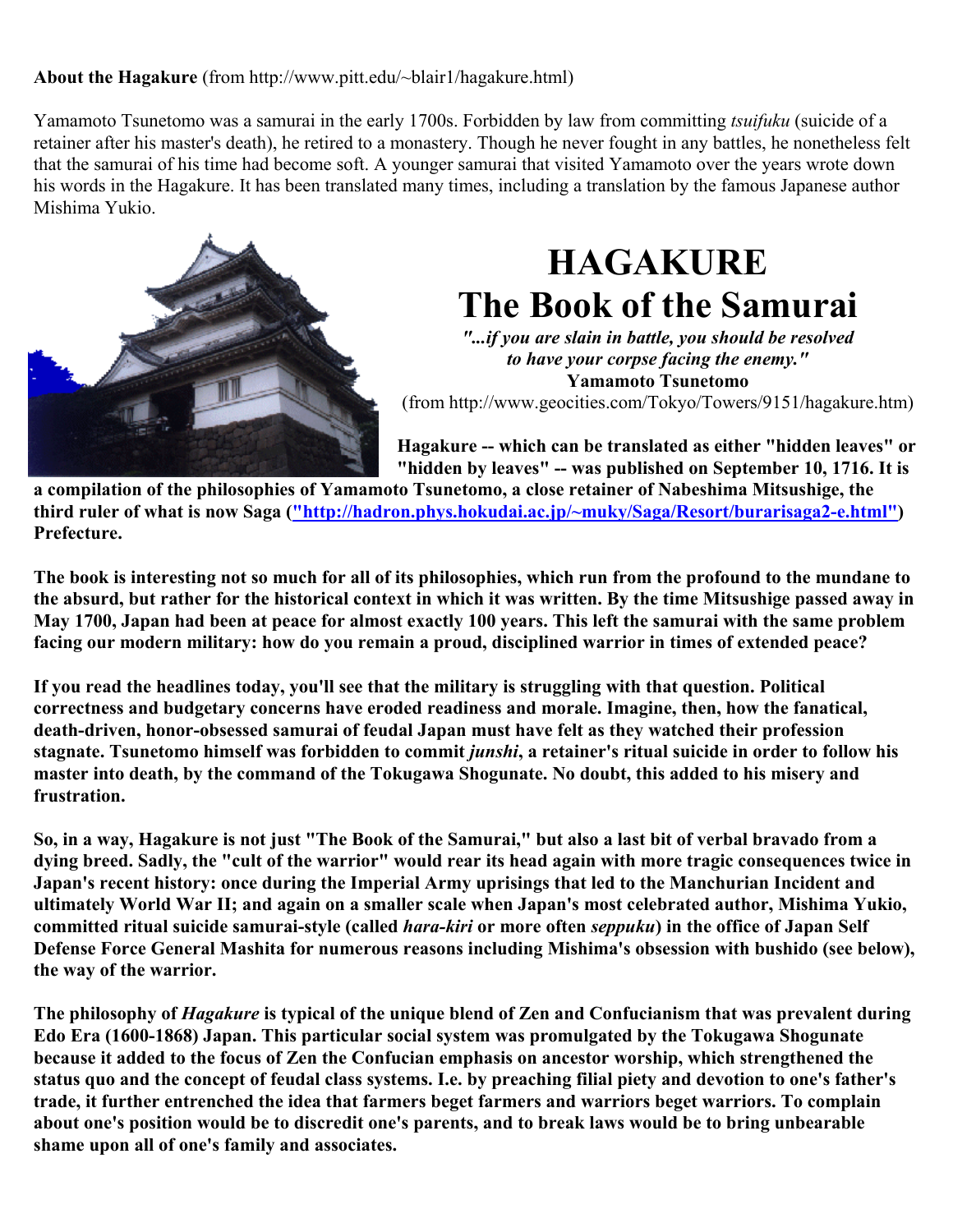**About the Hagakure** (from http://www.pitt.edu/~blair1/hagakure.html)

Yamamoto Tsunetomo was a samurai in the early 1700s. Forbidden by law from committing *tsuifuku* (suicide of a retainer after his master's death), he retired to a monastery. Though he never fought in any battles, he nonetheless felt that the samurai of his time had become soft. A younger samurai that visited Yamamoto over the years wrote down his words in the Hagakure. It has been translated many times, including a translation by the famous Japanese author Mishima Yukio.



# **HAGAKURE The Book of the Samurai**

*"...if you are slain in battle, you should be resolved to have your corpse facing the enemy."* **Yamamoto Tsunetomo**  (from http://www.geocities.com/Tokyo/Towers/9151/hagakure.htm)

**Hagakure -- which can be translated as either "hidden leaves" or "hidden by leaves" -- was published on September 10, 1716. It is** 

**a compilation of the philosophies of Yamamoto Tsunetomo, a close retainer of Nabeshima Mitsushige, the third ruler of what is now Saga ("http://hadron.phys.hokudai.ac.jp/~muky/Saga/Resort/burarisaga2-e.html") Prefecture.** 

**The book is interesting not so much for all of its philosophies, which run from the profound to the mundane to the absurd, but rather for the historical context in which it was written. By the time Mitsushige passed away in May 1700, Japan had been at peace for almost exactly 100 years. This left the samurai with the same problem facing our modern military: how do you remain a proud, disciplined warrior in times of extended peace?** 

**If you read the headlines today, you'll see that the military is struggling with that question. Political correctness and budgetary concerns have eroded readiness and morale. Imagine, then, how the fanatical, death-driven, honor-obsessed samurai of feudal Japan must have felt as they watched their profession stagnate. Tsunetomo himself was forbidden to commit** *junshi***, a retainer's ritual suicide in order to follow his master into death, by the command of the Tokugawa Shogunate. No doubt, this added to his misery and frustration.** 

**So, in a way, Hagakure is not just "The Book of the Samurai," but also a last bit of verbal bravado from a dying breed. Sadly, the "cult of the warrior" would rear its head again with more tragic consequences twice in Japan's recent history: once during the Imperial Army uprisings that led to the Manchurian Incident and ultimately World War II; and again on a smaller scale when Japan's most celebrated author, Mishima Yukio, committed ritual suicide samurai-style (called** *hara-kiri* **or more often** *seppuku***) in the office of Japan Self Defense Force General Mashita for numerous reasons including Mishima's obsession with bushido (see below), the way of the warrior.** 

**The philosophy of** *Hagakure* **is typical of the unique blend of Zen and Confucianism that was prevalent during Edo Era (1600-1868) Japan. This particular social system was promulgated by the Tokugawa Shogunate because it added to the focus of Zen the Confucian emphasis on ancestor worship, which strengthened the status quo and the concept of feudal class systems. I.e. by preaching filial piety and devotion to one's father's trade, it further entrenched the idea that farmers beget farmers and warriors beget warriors. To complain about one's position would be to discredit one's parents, and to break laws would be to bring unbearable shame upon all of one's family and associates.**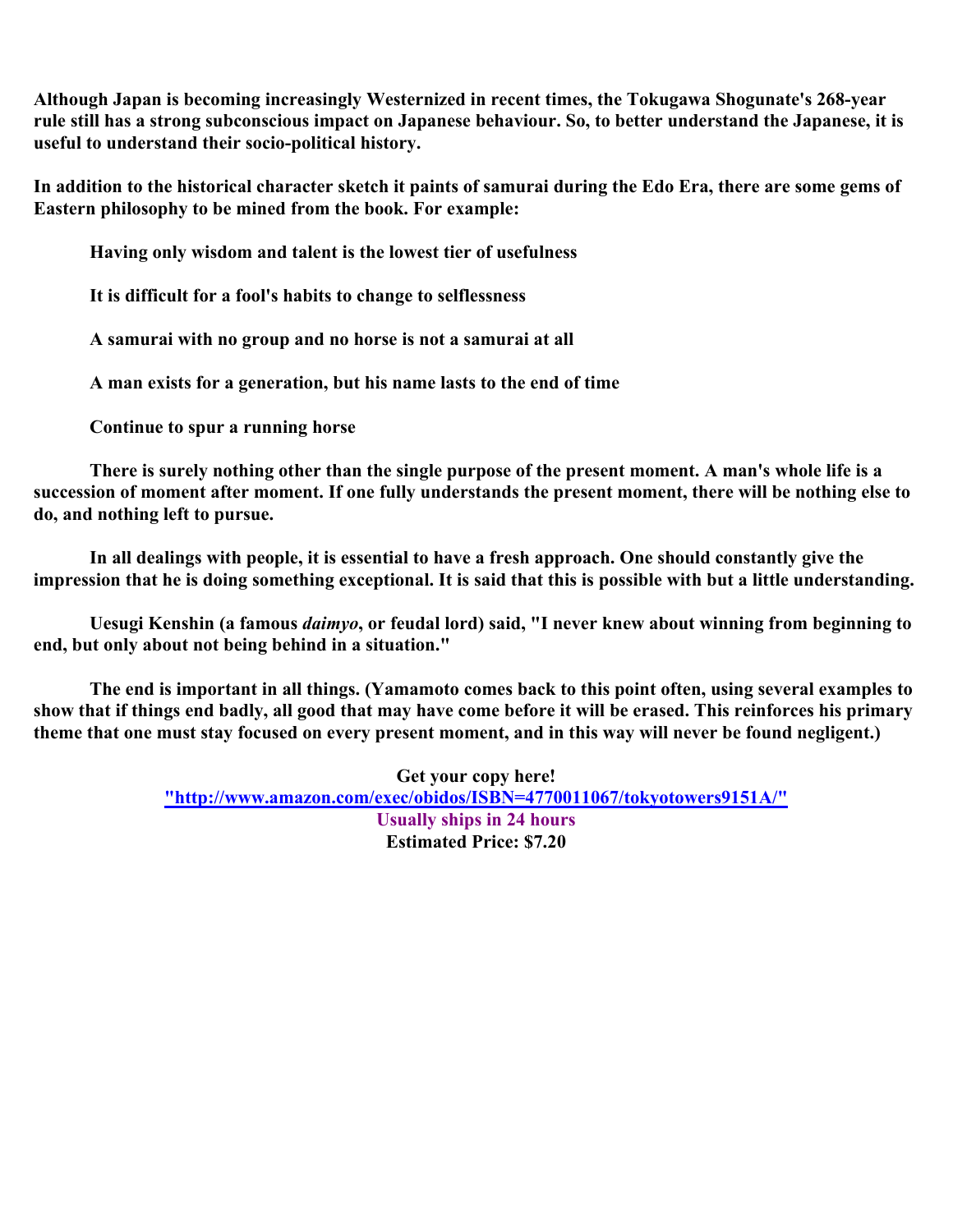**Although Japan is becoming increasingly Westernized in recent times, the Tokugawa Shogunate's 268-year rule still has a strong subconscious impact on Japanese behaviour. So, to better understand the Japanese, it is useful to understand their socio-political history.** 

**In addition to the historical character sketch it paints of samurai during the Edo Era, there are some gems of Eastern philosophy to be mined from the book. For example:** 

 **Having only wisdom and talent is the lowest tier of usefulness** 

 **It is difficult for a fool's habits to change to selflessness** 

 **A samurai with no group and no horse is not a samurai at all** 

 **A man exists for a generation, but his name lasts to the end of time** 

 **Continue to spur a running horse** 

 **There is surely nothing other than the single purpose of the present moment. A man's whole life is a succession of moment after moment. If one fully understands the present moment, there will be nothing else to do, and nothing left to pursue.** 

 **In all dealings with people, it is essential to have a fresh approach. One should constantly give the impression that he is doing something exceptional. It is said that this is possible with but a little understanding.** 

 **Uesugi Kenshin (a famous** *daimyo***, or feudal lord) said, "I never knew about winning from beginning to end, but only about not being behind in a situation."** 

 **The end is important in all things. (Yamamoto comes back to this point often, using several examples to show that if things end badly, all good that may have come before it will be erased. This reinforces his primary theme that one must stay focused on every present moment, and in this way will never be found negligent.)** 

> **Get your copy here! "http://www.amazon.com/exec/obidos/ISBN=4770011067/tokyotowers9151A/" Usually ships in 24 hours Estimated Price: \$7.20**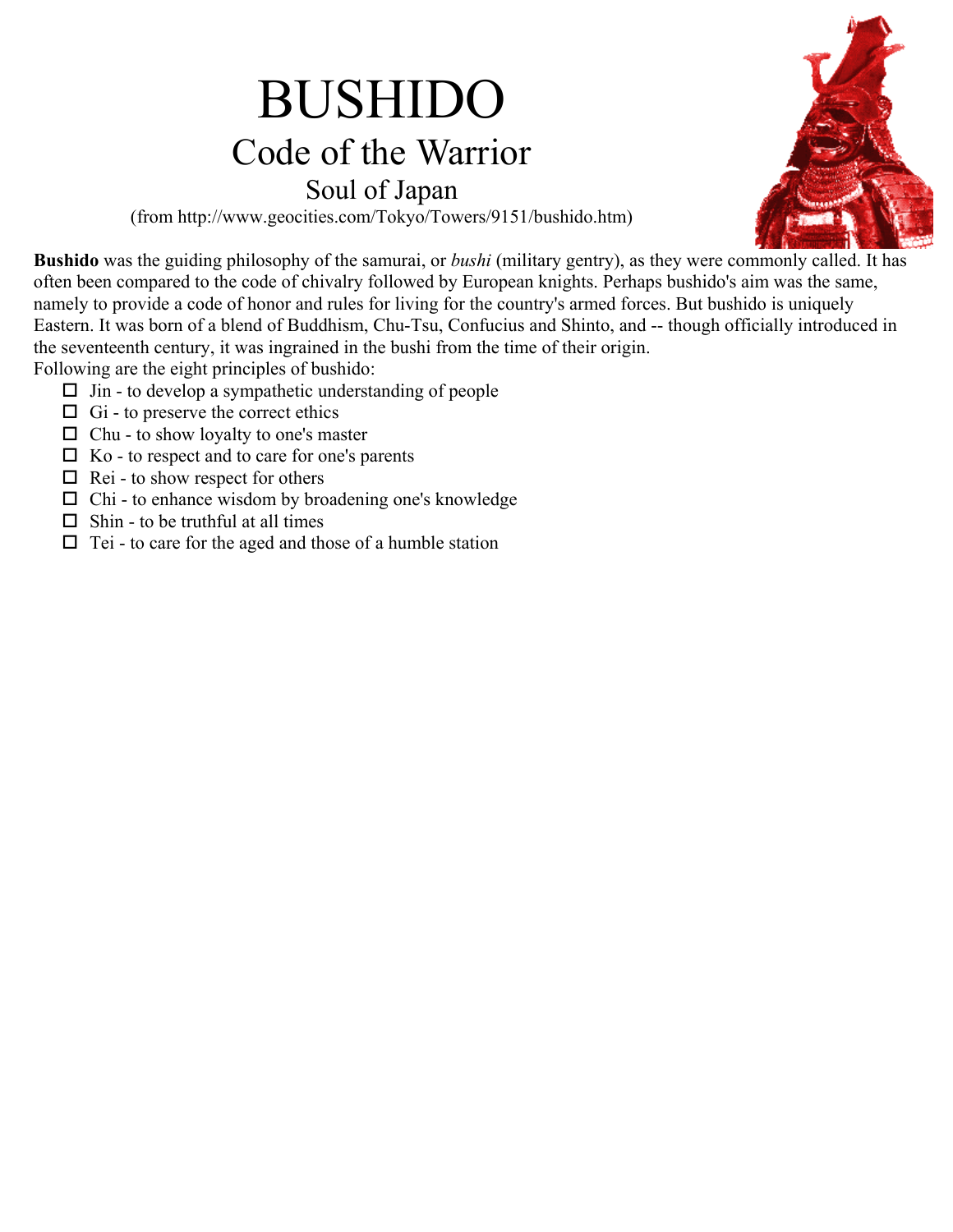# BUSHIDO Code of the Warrior

Soul of Japan

(from http://www.geocities.com/Tokyo/Towers/9151/bushido.htm)



**Bushido** was the guiding philosophy of the samurai, or *bushi* (military gentry), as they were commonly called. It has often been compared to the code of chivalry followed by European knights. Perhaps bushido's aim was the same, namely to provide a code of honor and rules for living for the country's armed forces. But bushido is uniquely Eastern. It was born of a blend of Buddhism, Chu-Tsu, Confucius and Shinto, and -- though officially introduced in the seventeenth century, it was ingrained in the bushi from the time of their origin.

Following are the eight principles of bushido:

- $\Box$  Jin to develop a sympathetic understanding of people
- $\Box$  Gi to preserve the correct ethics
- $\Box$  Chu to show loyalty to one's master
- $\Box$  Ko to respect and to care for one's parents
- $\Box$  Rei to show respect for others
- $\Box$  Chi to enhance wisdom by broadening one's knowledge
- $\Box$  Shin to be truthful at all times
- $\Box$  Tei to care for the aged and those of a humble station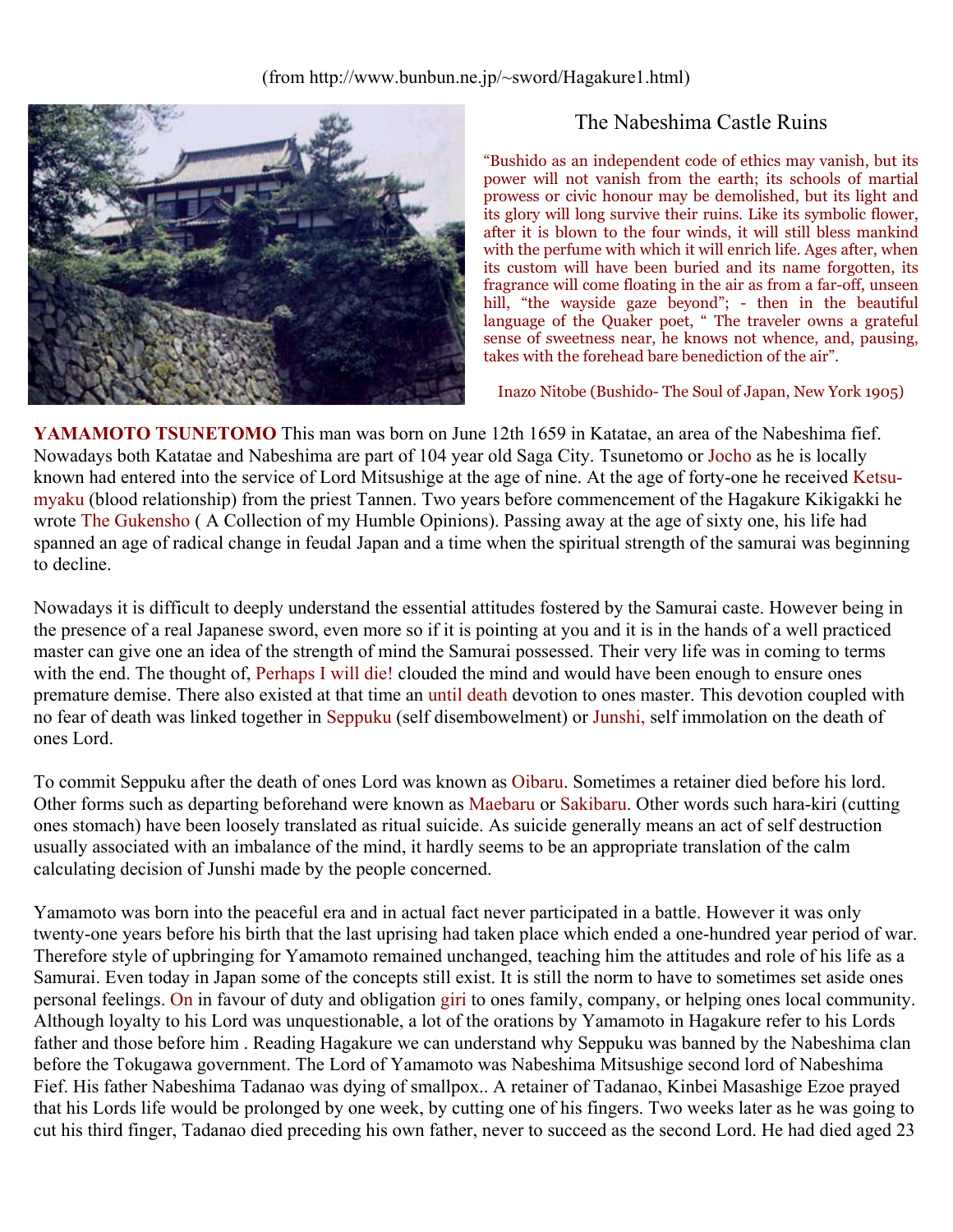

# The Nabeshima Castle Ruins

"Bushido as an independent code of ethics may vanish, but its power will not vanish from the earth; its schools of martial prowess or civic honour may be demolished, but its light and its glory will long survive their ruins. Like its symbolic flower, after it is blown to the four winds, it will still bless mankind with the perfume with which it will enrich life. Ages after, when its custom will have been buried and its name forgotten, its fragrance will come floating in the air as from a far-off, unseen hill, "the wayside gaze beyond"; - then in the beautiful language of the Quaker poet, " The traveler owns a grateful sense of sweetness near, he knows not whence, and, pausing, takes with the forehead bare benediction of the air".

Inazo Nitobe (Bushido- The Soul of Japan, New York 1905)

**YAMAMOTO TSUNETOMO** This man was born on June 12th 1659 in Katatae, an area of the Nabeshima fief. Nowadays both Katatae and Nabeshima are part of 104 year old Saga City. Tsunetomo or Jocho as he is locally known had entered into the service of Lord Mitsushige at the age of nine. At the age of forty-one he received Ketsumyaku (blood relationship) from the priest Tannen. Two years before commencement of the Hagakure Kikigakki he wrote The Gukensho ( A Collection of my Humble Opinions). Passing away at the age of sixty one, his life had spanned an age of radical change in feudal Japan and a time when the spiritual strength of the samurai was beginning to decline.

Nowadays it is difficult to deeply understand the essential attitudes fostered by the Samurai caste. However being in the presence of a real Japanese sword, even more so if it is pointing at you and it is in the hands of a well practiced master can give one an idea of the strength of mind the Samurai possessed. Their very life was in coming to terms with the end. The thought of, Perhaps I will die! clouded the mind and would have been enough to ensure ones premature demise. There also existed at that time an until death devotion to ones master. This devotion coupled with no fear of death was linked together in Seppuku (self disembowelment) or Junshi, self immolation on the death of ones Lord.

To commit Seppuku after the death of ones Lord was known as Oibaru. Sometimes a retainer died before his lord. Other forms such as departing beforehand were known as Maebaru or Sakibaru. Other words such hara-kiri (cutting ones stomach) have been loosely translated as ritual suicide. As suicide generally means an act of self destruction usually associated with an imbalance of the mind, it hardly seems to be an appropriate translation of the calm calculating decision of Junshi made by the people concerned.

Yamamoto was born into the peaceful era and in actual fact never participated in a battle. However it was only twenty-one years before his birth that the last uprising had taken place which ended a one-hundred year period of war. Therefore style of upbringing for Yamamoto remained unchanged, teaching him the attitudes and role of his life as a Samurai. Even today in Japan some of the concepts still exist. It is still the norm to have to sometimes set aside ones personal feelings. On in favour of duty and obligation giri to ones family, company, or helping ones local community. Although loyalty to his Lord was unquestionable, a lot of the orations by Yamamoto in Hagakure refer to his Lords father and those before him . Reading Hagakure we can understand why Seppuku was banned by the Nabeshima clan before the Tokugawa government. The Lord of Yamamoto was Nabeshima Mitsushige second lord of Nabeshima Fief. His father Nabeshima Tadanao was dying of smallpox.. A retainer of Tadanao, Kinbei Masashige Ezoe prayed that his Lords life would be prolonged by one week, by cutting one of his fingers. Two weeks later as he was going to cut his third finger, Tadanao died preceding his own father, never to succeed as the second Lord. He had died aged 23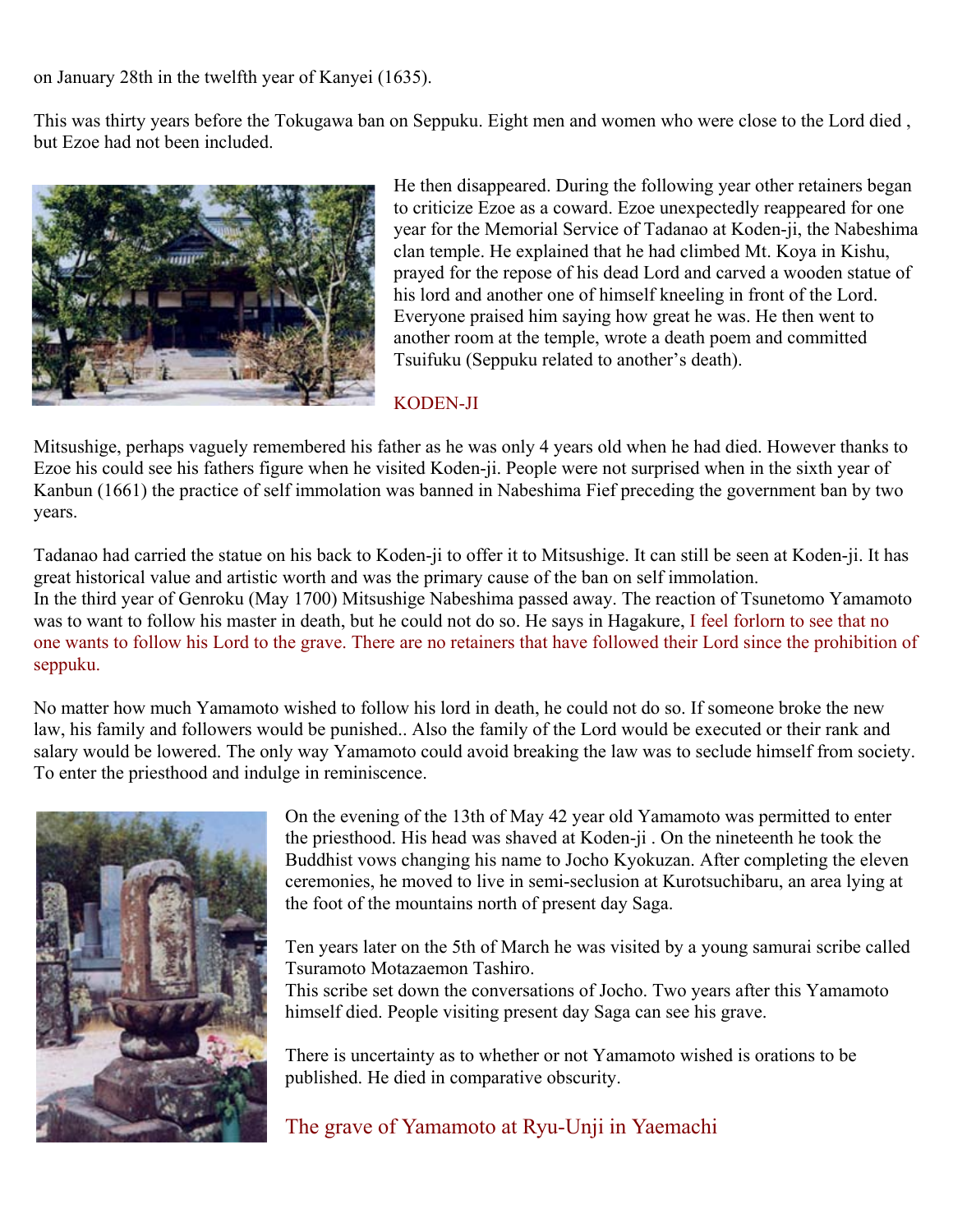on January 28th in the twelfth year of Kanyei (1635).

This was thirty years before the Tokugawa ban on Seppuku. Eight men and women who were close to the Lord died , but Ezoe had not been included.



He then disappeared. During the following year other retainers began to criticize Ezoe as a coward. Ezoe unexpectedly reappeared for one year for the Memorial Service of Tadanao at Koden-ji, the Nabeshima clan temple. He explained that he had climbed Mt. Koya in Kishu, prayed for the repose of his dead Lord and carved a wooden statue of his lord and another one of himself kneeling in front of the Lord. Everyone praised him saying how great he was. He then went to another room at the temple, wrote a death poem and committed Tsuifuku (Seppuku related to another's death).

# KODEN-JI

Mitsushige, perhaps vaguely remembered his father as he was only 4 years old when he had died. However thanks to Ezoe his could see his fathers figure when he visited Koden-ji. People were not surprised when in the sixth year of Kanbun (1661) the practice of self immolation was banned in Nabeshima Fief preceding the government ban by two years.

Tadanao had carried the statue on his back to Koden-ji to offer it to Mitsushige. It can still be seen at Koden-ji. It has great historical value and artistic worth and was the primary cause of the ban on self immolation. In the third year of Genroku (May 1700) Mitsushige Nabeshima passed away. The reaction of Tsunetomo Yamamoto was to want to follow his master in death, but he could not do so. He says in Hagakure, I feel forlorn to see that no one wants to follow his Lord to the grave. There are no retainers that have followed their Lord since the prohibition of seppuku.

No matter how much Yamamoto wished to follow his lord in death, he could not do so. If someone broke the new law, his family and followers would be punished.. Also the family of the Lord would be executed or their rank and salary would be lowered. The only way Yamamoto could avoid breaking the law was to seclude himself from society. To enter the priesthood and indulge in reminiscence.



On the evening of the 13th of May 42 year old Yamamoto was permitted to enter the priesthood. His head was shaved at Koden-ji . On the nineteenth he took the Buddhist vows changing his name to Jocho Kyokuzan. After completing the eleven ceremonies, he moved to live in semi-seclusion at Kurotsuchibaru, an area lying at the foot of the mountains north of present day Saga.

Ten years later on the 5th of March he was visited by a young samurai scribe called Tsuramoto Motazaemon Tashiro.

This scribe set down the conversations of Jocho. Two years after this Yamamoto himself died. People visiting present day Saga can see his grave.

There is uncertainty as to whether or not Yamamoto wished is orations to be published. He died in comparative obscurity.

# The grave of Yamamoto at Ryu-Unji in Yaemachi